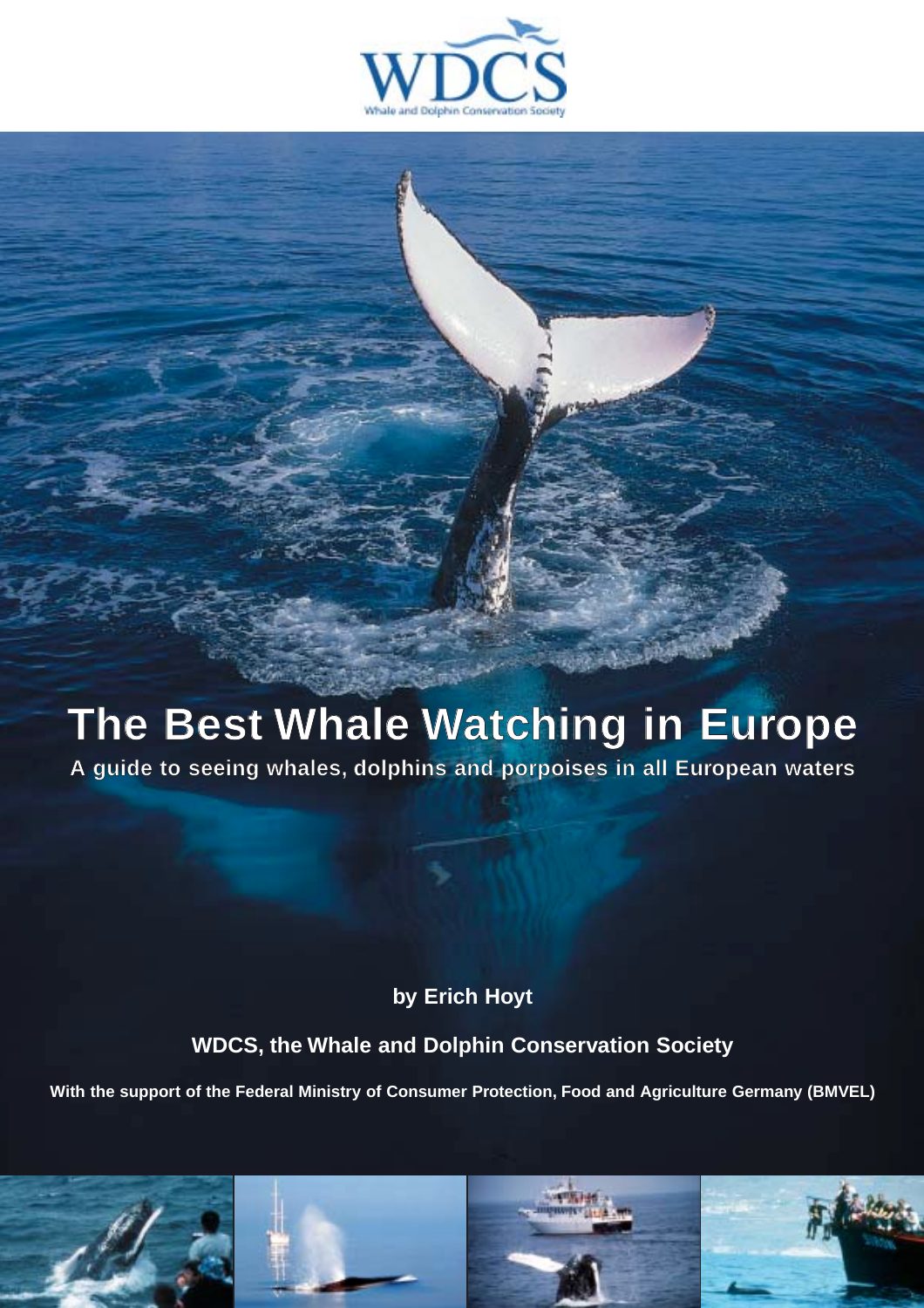

# **The Best Whale Watching in Europe**

**A guide to seeing whales, dolphins and porpoises in all European waters**

**by Erich Hoyt**

**WDCS, the Whale and Dolphin Conservation Society**

**With the support of the Federal Ministry of Consumer Protection, Food and Agriculture Germany (BMVEL)**

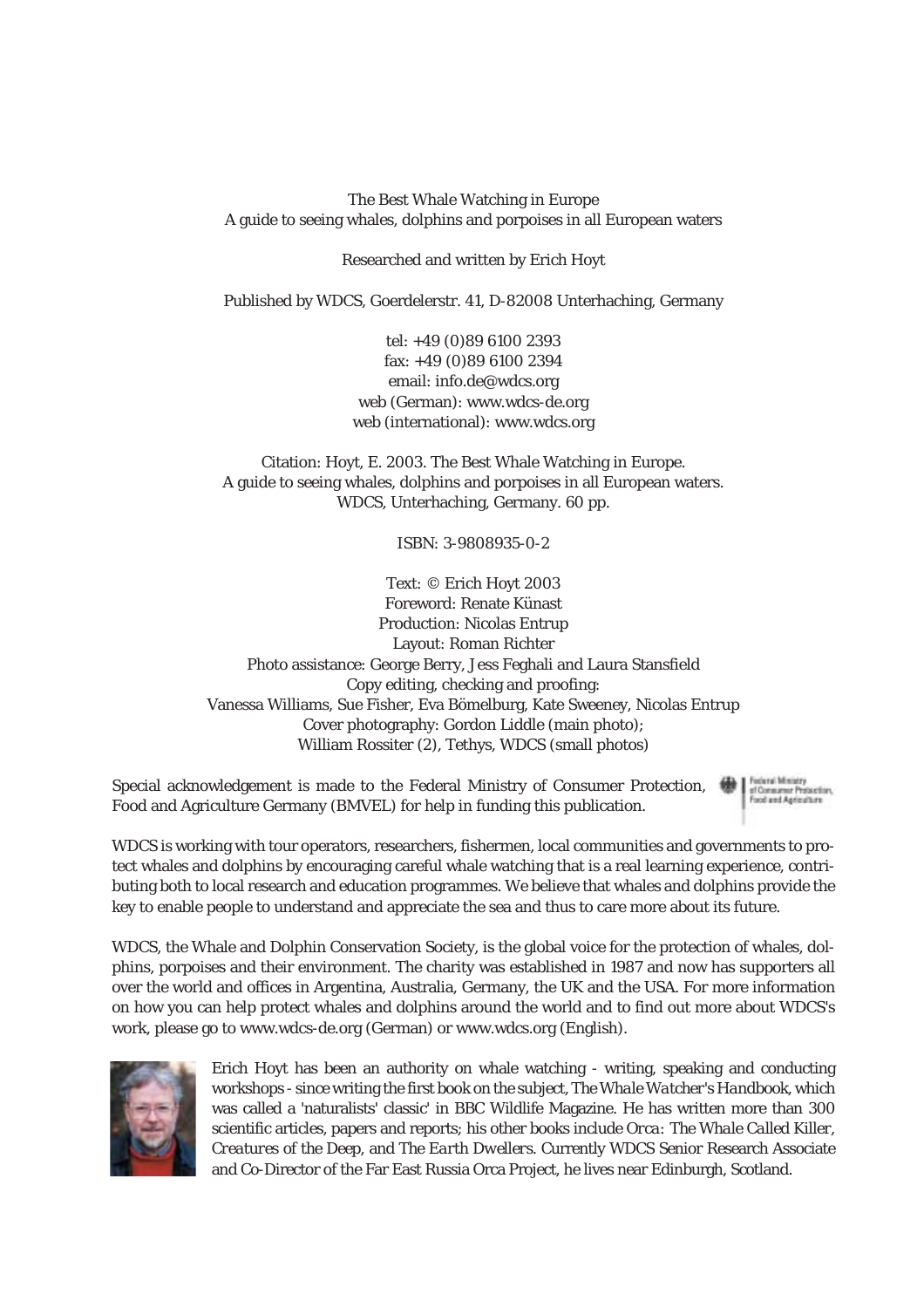The Best Whale Watching in Europe A guide to seeing whales, dolphins and porpoises in all European waters

Researched and written by Erich Hoyt

Published by WDCS, Goerdelerstr. 41, D-82008 Unterhaching, Germany

tel: +49 (0)89 6100 2393 fax: +49 (0)89 6100 2394 email: info.de@wdcs.org web (German): www.wdcs-de.org web (international): www.wdcs.org

Citation: Hoyt, E. 2003. The Best Whale Watching in Europe. A guide to seeing whales, dolphins and porpoises in all European waters. WDCS, Unterhaching, Germany. 60 pp.

ISBN: 3-9808935-0-2

Text: © Erich Hoyt 2003 Foreword: Renate Künast Production: Nicolas Entrup Layout: Roman Richter Photo assistance: George Berry, Jess Feghali and Laura Stansfield Copy editing, checking and proofing: Vanessa Williams, Sue Fisher, Eva Bömelburg, Kate Sweeney, Nicolas Entrup Cover photography: Gordon Liddle (main photo); William Rossiter (2), Tethys, WDCS (small photos)

Special acknowledgement is made to the Federal Ministry of Consumer Protection, Food and Agriculture Germany (BMVEL) for help in funding this publication.

Federal Ministry of Consumer Protection. Food and Agriculture

WDCS is working with tour operators, researchers, fishermen, local communities and governments to protect whales and dolphins by encouraging careful whale watching that is a real learning experience, contributing both to local research and education programmes. We believe that whales and dolphins provide the key to enable people to understand and appreciate the sea and thus to care more about its future.

WDCS, the Whale and Dolphin Conservation Society, is the global voice for the protection of whales, dolphins, porpoises and their environment. The charity was established in 1987 and now has supporters all over the world and offices in Argentina, Australia, Germany, the UK and the USA. For more information on how you can help protect whales and dolphins around the world and to find out more about WDCS's work, please go to www.wdcs-de.org (German) or www.wdcs.org (English).



Erich Hoyt has been an authority on whale watching - writing, speaking and conducting workshops - since writing the first book on the subject, *The Whale Watcher's Handbook*, which was called a 'naturalists' classic' in BBC Wildlife Magazine. He has written more than 300 scientific articles, papers and reports; his other books include *Orca: The Whale Called Killer*, *Creatures of the Deep*, and *The Earth Dwellers*. Currently WDCS Senior Research Associate and Co-Director of the Far East Russia Orca Project, he lives near Edinburgh, Scotland.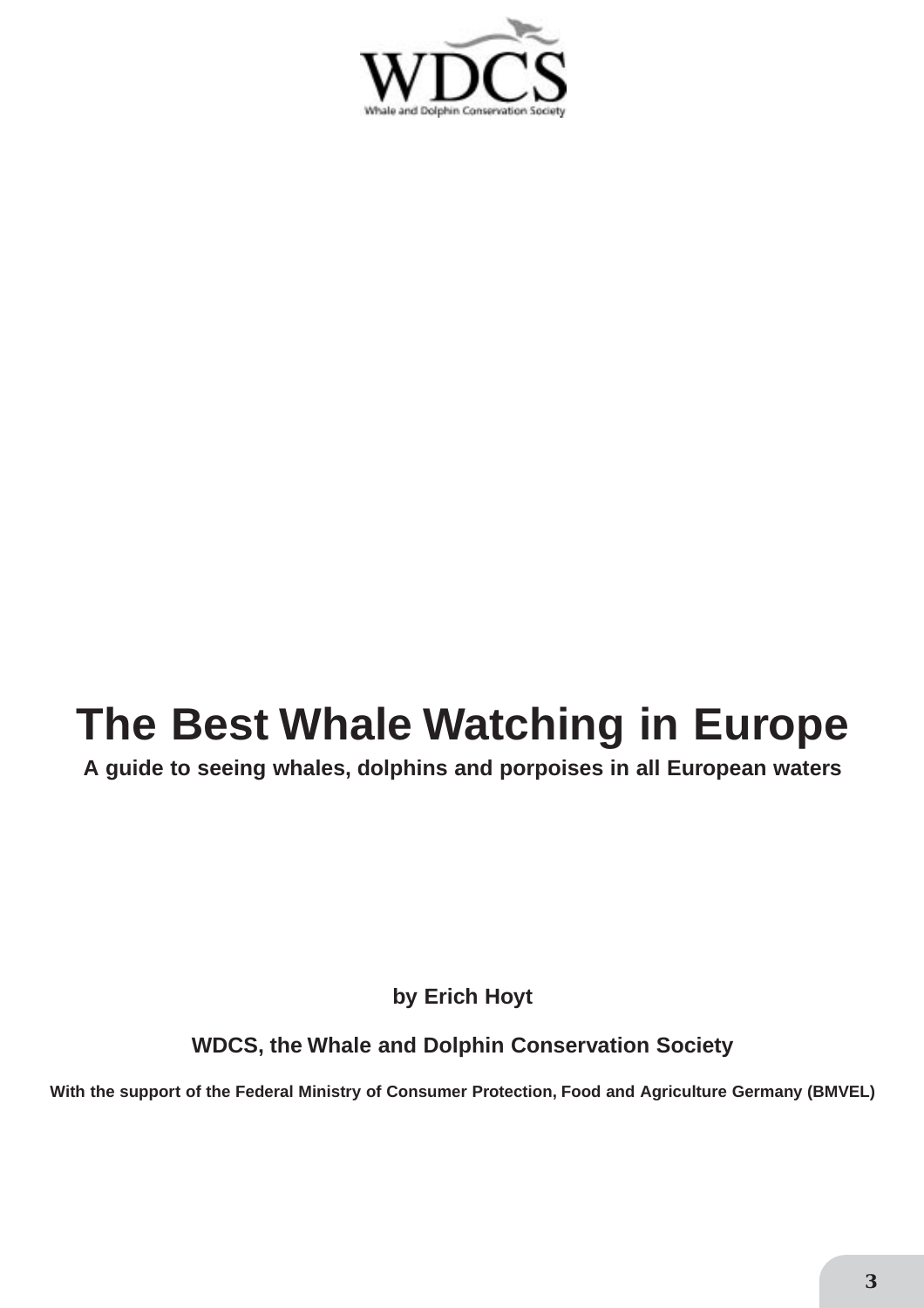

# **The Best Whale Watching in Europe**

**A guide to seeing whales, dolphins and porpoises in all European waters**

**by Erich Hoyt**

**WDCS, the Whale and Dolphin Conservation Society**

**With the support of the Federal Ministry of Consumer Protection, Food and Agriculture Germany (BMVEL)**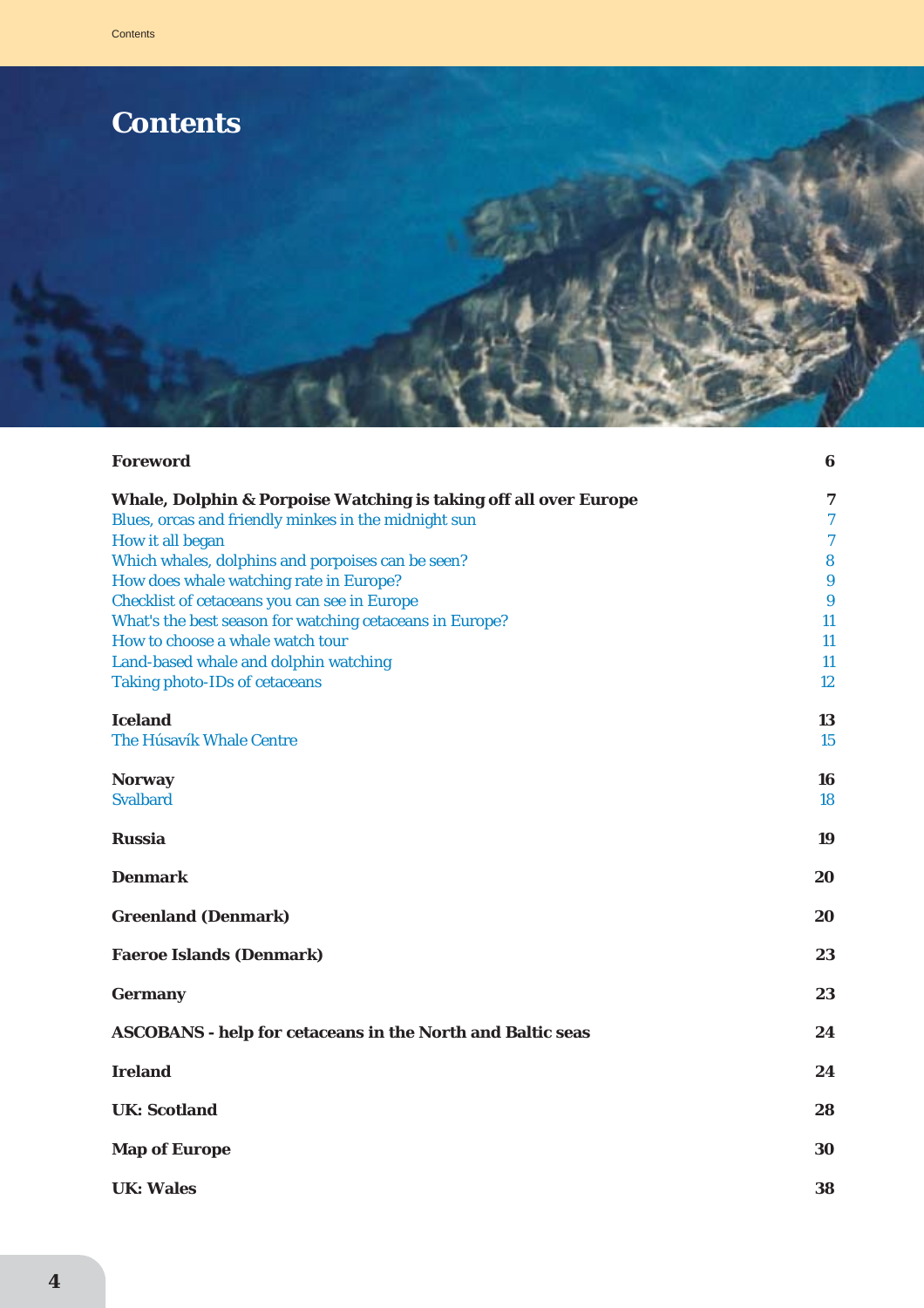

| <b>Foreword</b>                                                                              | 6                     |
|----------------------------------------------------------------------------------------------|-----------------------|
| Whale, Dolphin & Porpoise Watching is taking off all over Europe                             | $\boldsymbol{7}$      |
| Blues, orcas and friendly minkes in the midnight sun                                         | $\boldsymbol{7}$      |
| How it all began                                                                             | $\overline{7}$        |
| Which whales, dolphins and porpoises can be seen?<br>How does whale watching rate in Europe? | 8<br>$\boldsymbol{9}$ |
| <b>Checklist of cetaceans you can see in Europe</b>                                          | 9                     |
| What's the best season for watching cetaceans in Europe?                                     | 11                    |
| How to choose a whale watch tour                                                             | 11                    |
| Land-based whale and dolphin watching                                                        | 11                    |
| <b>Taking photo-IDs of cetaceans</b>                                                         | 12                    |
| <b>Iceland</b>                                                                               | 13                    |
| <b>The Húsavík Whale Centre</b>                                                              | <b>15</b>             |
|                                                                                              |                       |
| <b>Norway</b>                                                                                | 16                    |
| <b>Svalbard</b>                                                                              | 18                    |
| <b>Russia</b>                                                                                | 19                    |
| <b>Denmark</b>                                                                               | 20                    |
| <b>Greenland (Denmark)</b>                                                                   | 20                    |
| <b>Faeroe Islands (Denmark)</b>                                                              | 23                    |
| <b>Germany</b>                                                                               | 23                    |
| <b>ASCOBANS - help for cetaceans in the North and Baltic seas</b>                            | 24                    |
| <b>Ireland</b>                                                                               | 24                    |
| <b>UK: Scotland</b>                                                                          | 28                    |
| <b>Map of Europe</b>                                                                         | 30                    |
| <b>UK: Wales</b>                                                                             | 38                    |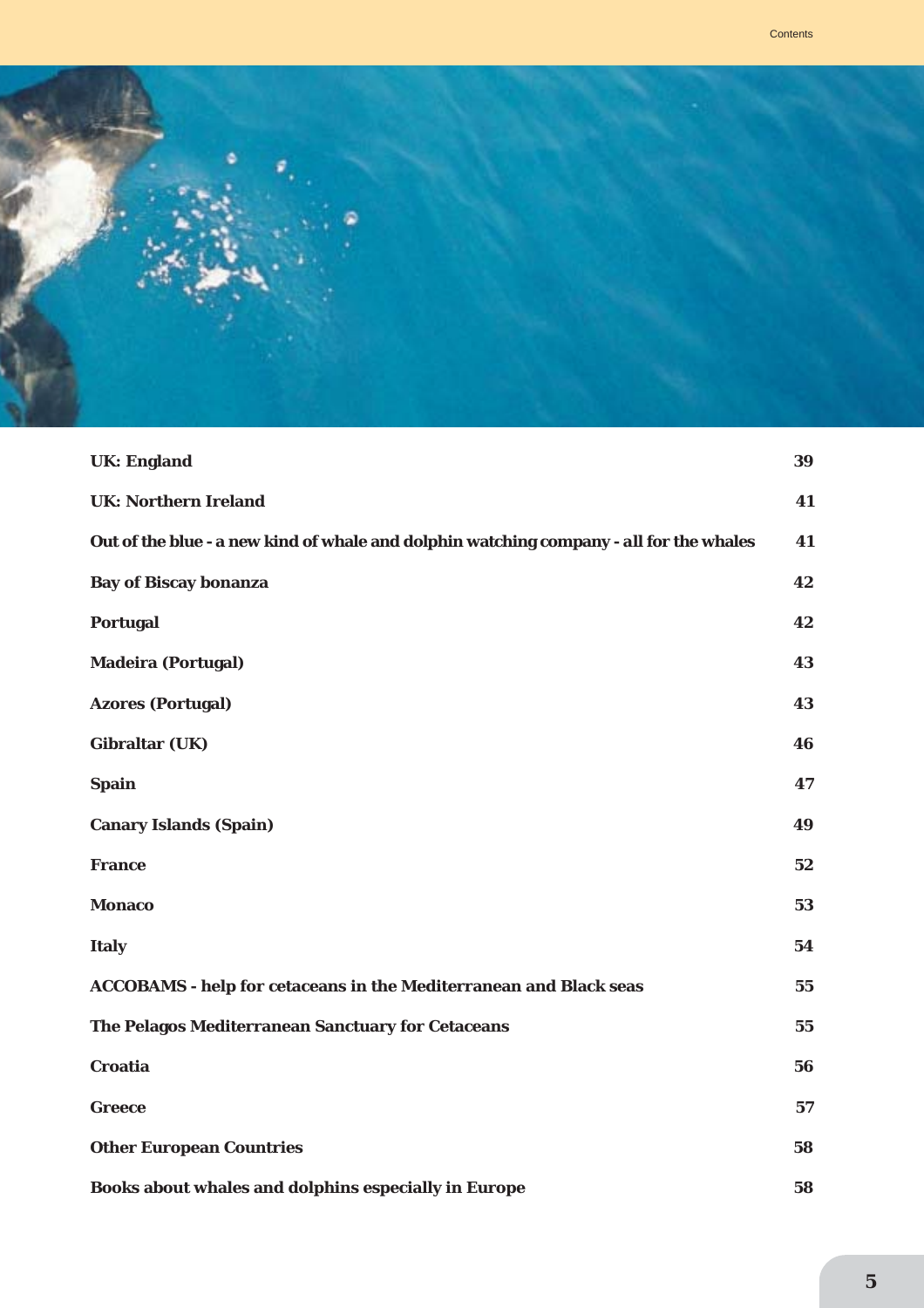

| <b>UK: England</b>                                                                      | 39 |
|-----------------------------------------------------------------------------------------|----|
| <b>UK: Northern Ireland</b>                                                             | 41 |
| Out of the blue - a new kind of whale and dolphin watching company - all for the whales | 41 |
| <b>Bay of Biscay bonanza</b>                                                            | 42 |
| <b>Portugal</b>                                                                         | 42 |
| <b>Madeira (Portugal)</b>                                                               | 43 |
| <b>Azores (Portugal)</b>                                                                | 43 |
| <b>Gibraltar (UK)</b>                                                                   | 46 |
| <b>Spain</b>                                                                            | 47 |
| <b>Canary Islands (Spain)</b>                                                           | 49 |
| <b>France</b>                                                                           | 52 |
| <b>Monaco</b>                                                                           | 53 |
| <b>Italy</b>                                                                            | 54 |
| <b>ACCOBAMS - help for cetaceans in the Mediterranean and Black seas</b>                | 55 |
| The Pelagos Mediterranean Sanctuary for Cetaceans                                       | 55 |
| <b>Croatia</b>                                                                          | 56 |
| <b>Greece</b>                                                                           | 57 |
| <b>Other European Countries</b>                                                         | 58 |
| Books about whales and dolphins especially in Europe                                    | 58 |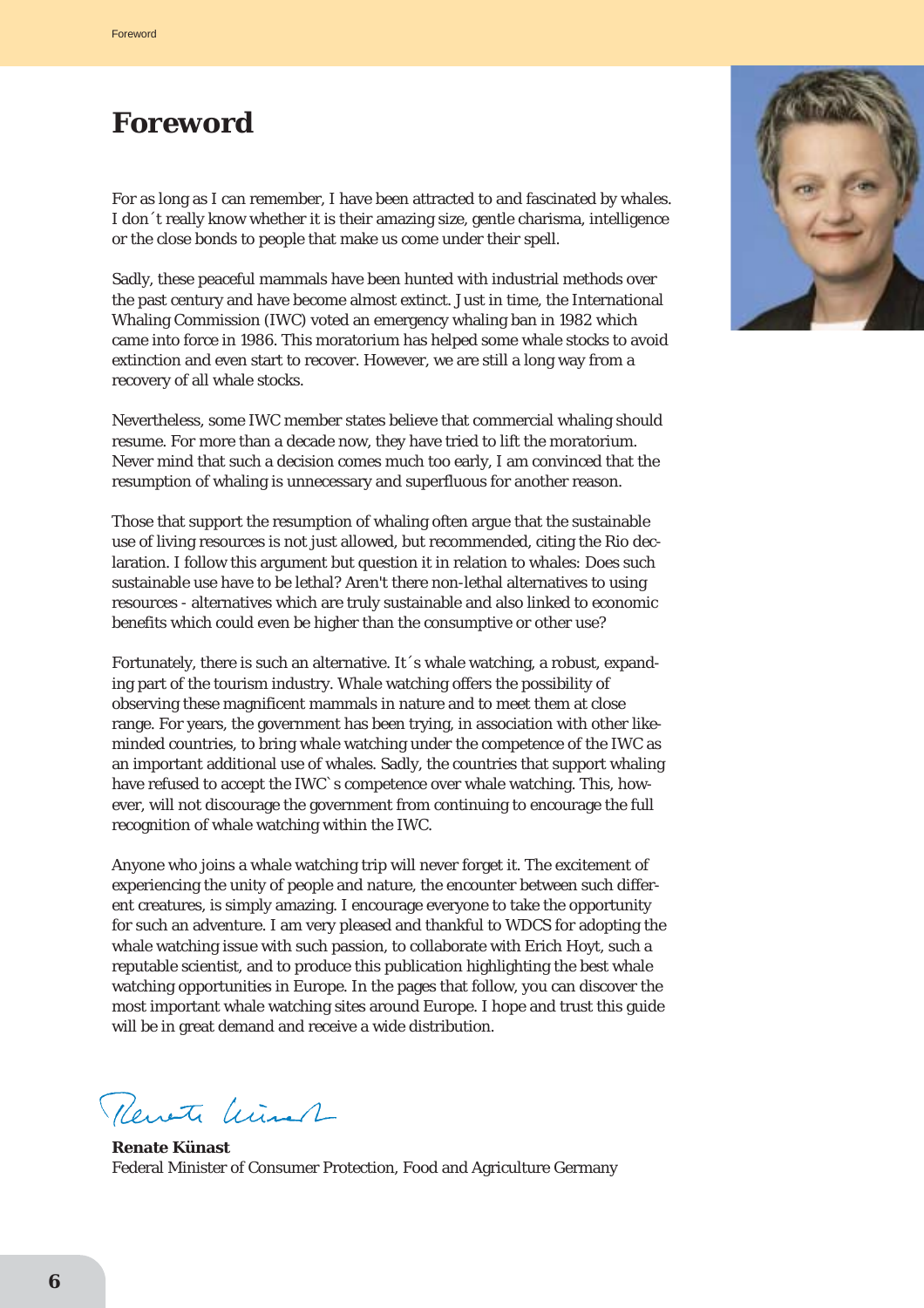# **Foreword**

For as long as I can remember, I have been attracted to and fascinated by whales. I don´t really know whether it is their amazing size, gentle charisma, intelligence or the close bonds to people that make us come under their spell.

Sadly, these peaceful mammals have been hunted with industrial methods over the past century and have become almost extinct. Just in time, the International Whaling Commission (IWC) voted an emergency whaling ban in 1982 which came into force in 1986. This moratorium has helped some whale stocks to avoid extinction and even start to recover. However, we are still a long way from a recovery of all whale stocks.

Nevertheless, some IWC member states believe that commercial whaling should resume. For more than a decade now, they have tried to lift the moratorium. Never mind that such a decision comes much too early, I am convinced that the resumption of whaling is unnecessary and superfluous for another reason.

Those that support the resumption of whaling often argue that the sustainable use of living resources is not just allowed, but recommended, citing the Rio declaration. I follow this argument but question it in relation to whales: Does such sustainable use have to be lethal? Aren't there non-lethal alternatives to using resources - alternatives which are truly sustainable and also linked to economic benefits which could even be higher than the consumptive or other use?

Fortunately, there is such an alternative. It´s whale watching, a robust, expanding part of the tourism industry. Whale watching offers the possibility of observing these magnificent mammals in nature and to meet them at close range. For years, the government has been trying, in association with other likeminded countries, to bring whale watching under the competence of the IWC as an important additional use of whales. Sadly, the countries that support whaling have refused to accept the IWC`s competence over whale watching. This, however, will not discourage the government from continuing to encourage the full recognition of whale watching within the IWC.

Anyone who joins a whale watching trip will never forget it. The excitement of experiencing the unity of people and nature, the encounter between such different creatures, is simply amazing. I encourage everyone to take the opportunity for such an adventure. I am very pleased and thankful to WDCS for adopting the whale watching issue with such passion, to collaborate with Erich Hoyt, such a reputable scientist, and to produce this publication highlighting the best whale watching opportunities in Europe. In the pages that follow, you can discover the most important whale watching sites around Europe. I hope and trust this guide will be in great demand and receive a wide distribution.

Revete Winer

**Renate Künast** Federal Minister of Consumer Protection, Food and Agriculture Germany

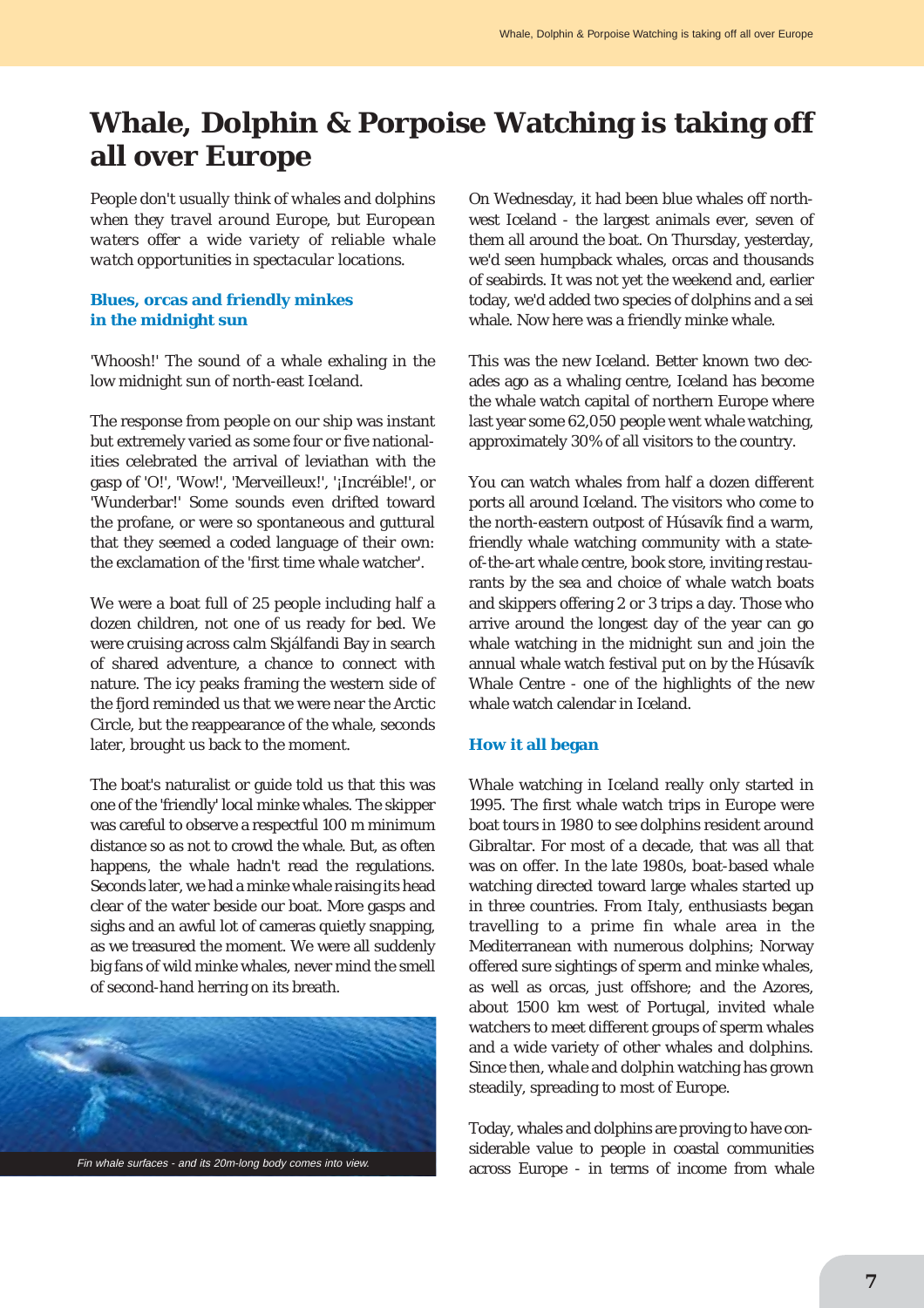# **Whale, Dolphin & Porpoise Watching is taking off all over Europe**

*People don't usually think of whales and dolphins when they travel around Europe, but European waters offer a wide variety of reliable whale watch opportunities in spectacular locations.*

### **Blues, orcas and friendly minkes in the midnight sun**

'Whoosh!' The sound of a whale exhaling in the low midnight sun of north-east Iceland.

The response from people on our ship was instant but extremely varied as some four or five nationalities celebrated the arrival of leviathan with the gasp of 'O!', 'Wow!', 'Merveilleux!', '¡Incréible!', or 'Wunderbar!' Some sounds even drifted toward the profane, or were so spontaneous and guttural that they seemed a coded language of their own: the exclamation of the 'first time whale watcher'.

We were a boat full of 25 people including half a dozen children, not one of us ready for bed. We were cruising across calm Skjálfandi Bay in search of shared adventure, a chance to connect with nature. The icy peaks framing the western side of the fjord reminded us that we were near the Arctic Circle, but the reappearance of the whale, seconds later, brought us back to the moment.

The boat's naturalist or guide told us that this was one of the 'friendly' local minke whales. The skipper was careful to observe a respectful 100 m minimum distance so as not to crowd the whale. But, as often happens, the whale hadn't read the regulations. Seconds later, we had a minke whale raising its head clear of the water beside our boat. More gasps and sighs and an awful lot of cameras quietly snapping, as we treasured the moment. We were all suddenly big fans of wild minke whales, never mind the smell of second-hand herring on its breath.



On Wednesday, it had been blue whales off northwest Iceland - the largest animals ever, seven of them all around the boat. On Thursday, yesterday, we'd seen humpback whales, orcas and thousands of seabirds. It was not yet the weekend and, earlier today, we'd added two species of dolphins and a sei whale. Now here was a friendly minke whale.

This was the new Iceland. Better known two decades ago as a whaling centre, Iceland has become the whale watch capital of northern Europe where last year some 62,050 people went whale watching, approximately 30% of all visitors to the country.

You can watch whales from half a dozen different ports all around Iceland. The visitors who come to the north-eastern outpost of Húsavík find a warm, friendly whale watching community with a stateof-the-art whale centre, book store, inviting restaurants by the sea and choice of whale watch boats and skippers offering 2 or 3 trips a day. Those who arrive around the longest day of the year can go whale watching in the midnight sun and join the annual whale watch festival put on by the Húsavík Whale Centre - one of the highlights of the new whale watch calendar in Iceland.

#### **How it all began**

Whale watching in Iceland really only started in 1995. The first whale watch trips in Europe were boat tours in 1980 to see dolphins resident around Gibraltar. For most of a decade, that was all that was on offer. In the late 1980s, boat-based whale watching directed toward large whales started up in three countries. From Italy, enthusiasts began travelling to a prime fin whale area in the Mediterranean with numerous dolphins; Norway offered sure sightings of sperm and minke whales, as well as orcas, just offshore; and the Azores, about 1500 km west of Portugal, invited whale watchers to meet different groups of sperm whales and a wide variety of other whales and dolphins. Since then, whale and dolphin watching has grown steadily, spreading to most of Europe.

Today, whales and dolphins are proving to have considerable value to people in coastal communities across Europe - in terms of income from whale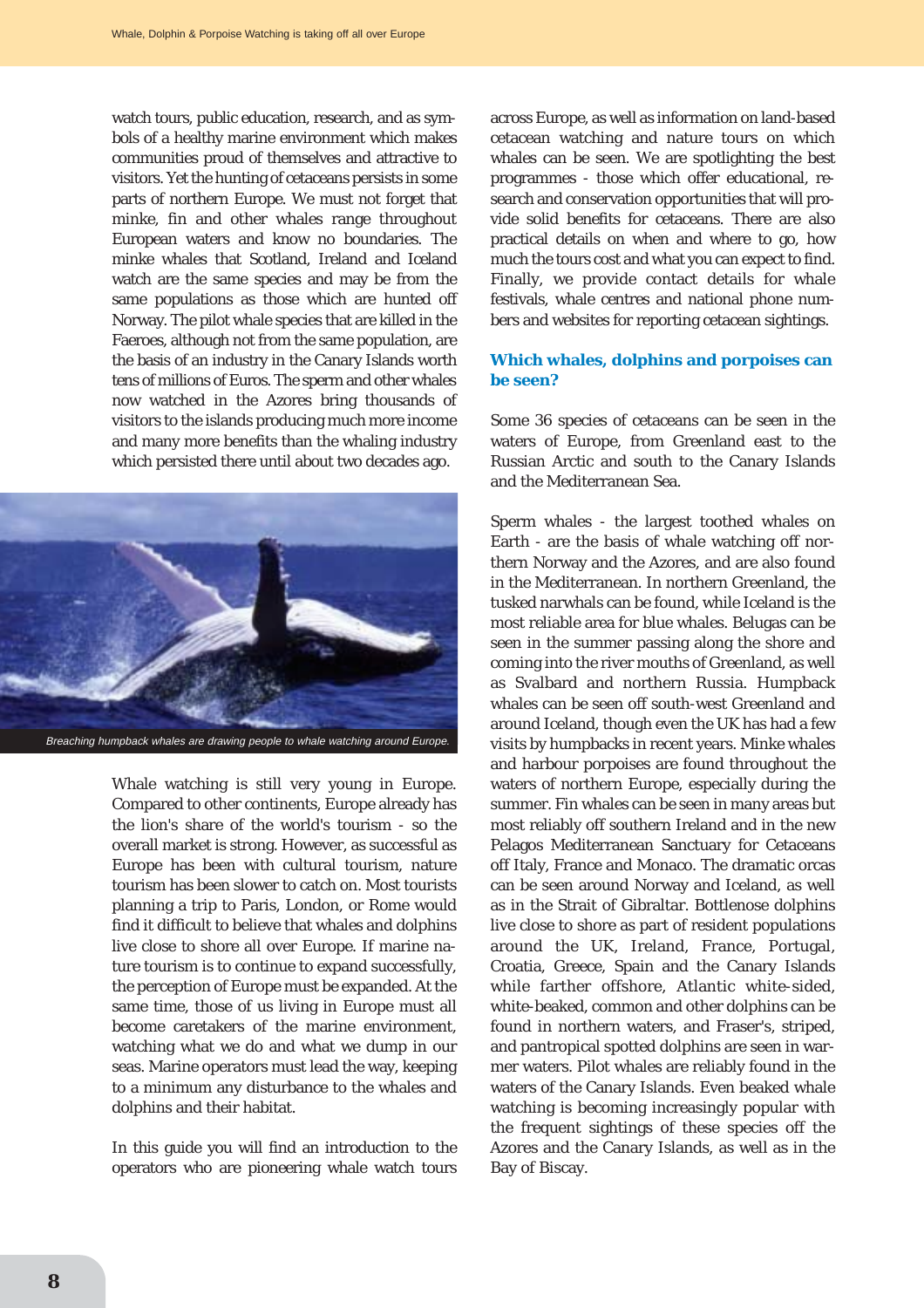watch tours, public education, research, and as symbols of a healthy marine environment which makes communities proud of themselves and attractive to visitors. Yet the hunting of cetaceans persists in some parts of northern Europe. We must not forget that minke, fin and other whales range throughout European waters and know no boundaries. The minke whales that Scotland, Ireland and Iceland watch are the same species and may be from the same populations as those which are hunted off Norway. The pilot whale species that are killed in the Faeroes, although not from the same population, are the basis of an industry in the Canary Islands worth tens of millions of Euros. The sperm and other whales now watched in the Azores bring thousands of visitors to the islands producing much more income and many more benefits than the whaling industry which persisted there until about two decades ago.



Whale watching is still very young in Europe. Compared to other continents, Europe already has the lion's share of the world's tourism - so the overall market is strong. However, as successful as Europe has been with cultural tourism, nature tourism has been slower to catch on. Most tourists planning a trip to Paris, London, or Rome would find it difficult to believe that whales and dolphins live close to shore all over Europe. If marine nature tourism is to continue to expand successfully, the perception of Europe must be expanded. At the same time, those of us living in Europe must all become caretakers of the marine environment, watching what we do and what we dump in our seas. Marine operators must lead the way, keeping to a minimum any disturbance to the whales and dolphins and their habitat.

In this guide you will find an introduction to the operators who are pioneering whale watch tours across Europe, as well as information on land-based cetacean watching and nature tours on which whales can be seen. We are spotlighting the best programmes - those which offer educational, research and conservation opportunities that will provide solid benefits for cetaceans. There are also practical details on when and where to go, how much the tours cost and what you can expect to find. Finally, we provide contact details for whale festivals, whale centres and national phone numbers and websites for reporting cetacean sightings.

### **Which whales, dolphins and porpoises can be seen?**

Some 36 species of cetaceans can be seen in the waters of Europe, from Greenland east to the Russian Arctic and south to the Canary Islands and the Mediterranean Sea.

Sperm whales - the largest toothed whales on Earth - are the basis of whale watching off northern Norway and the Azores, and are also found in the Mediterranean. In northern Greenland, the tusked narwhals can be found, while Iceland is the most reliable area for blue whales. Belugas can be seen in the summer passing along the shore and coming into the river mouths of Greenland, as well as Svalbard and northern Russia. Humpback whales can be seen off south-west Greenland and around Iceland, though even the UK has had a few visits by humpbacks in recent years. Minke whales and harbour porpoises are found throughout the waters of northern Europe, especially during the summer. Fin whales can be seen in many areas but most reliably off southern Ireland and in the new Pelagos Mediterranean Sanctuary for Cetaceans off Italy, France and Monaco. The dramatic orcas can be seen around Norway and Iceland, as well as in the Strait of Gibraltar. Bottlenose dolphins live close to shore as part of resident populations around the UK, Ireland, France, Portugal, Croatia, Greece, Spain and the Canary Islands while farther offshore, Atlantic white-sided, white-beaked, common and other dolphins can be found in northern waters, and Fraser's, striped, and pantropical spotted dolphins are seen in warmer waters. Pilot whales are reliably found in the waters of the Canary Islands. Even beaked whale watching is becoming increasingly popular with the frequent sightings of these species off the Azores and the Canary Islands, as well as in the Bay of Biscay.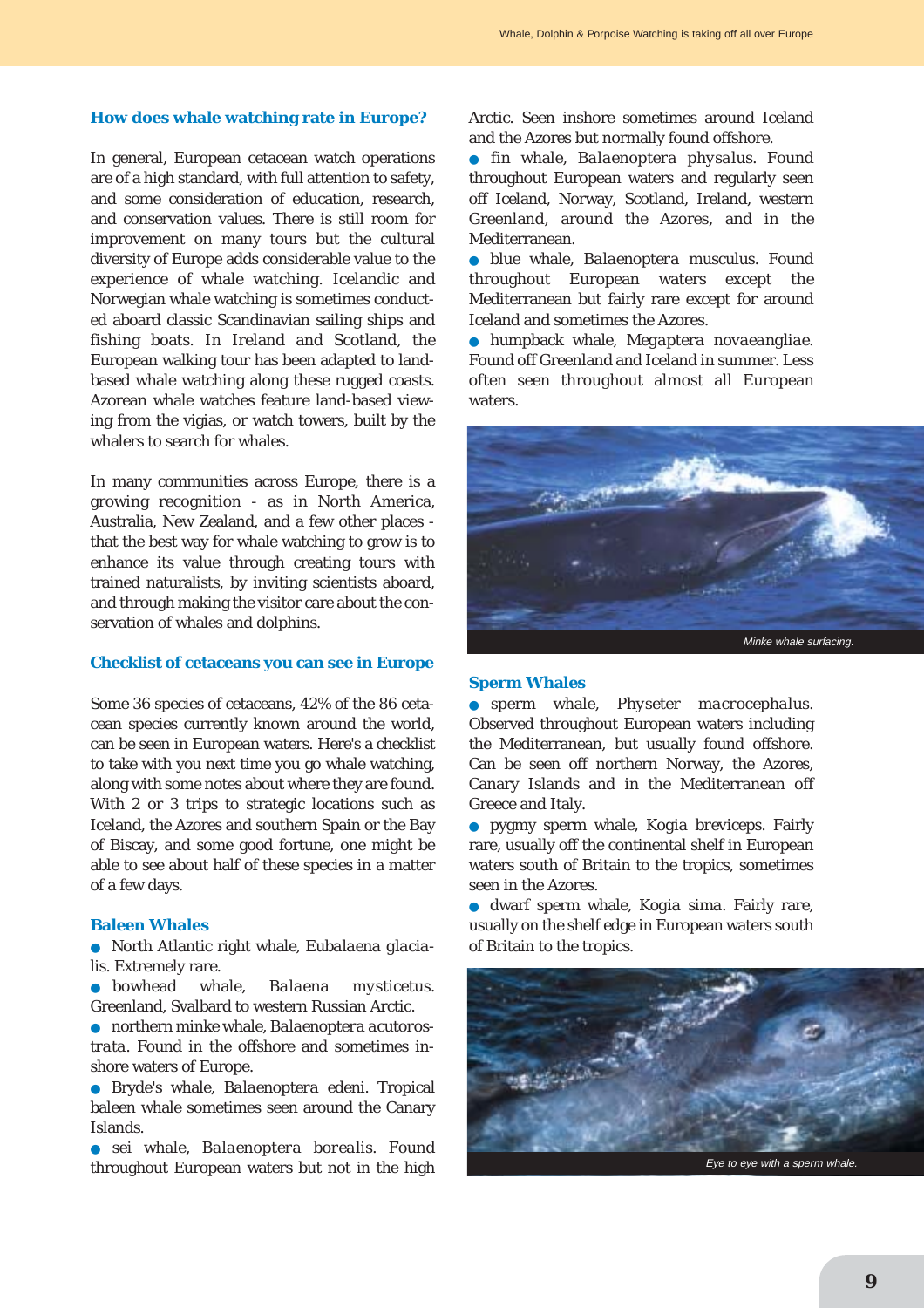#### **How does whale watching rate in Europe?**

In general, European cetacean watch operations are of a high standard, with full attention to safety, and some consideration of education, research, and conservation values. There is still room for improvement on many tours but the cultural diversity of Europe adds considerable value to the experience of whale watching. Icelandic and Norwegian whale watching is sometimes conducted aboard classic Scandinavian sailing ships and fishing boats. In Ireland and Scotland, the European walking tour has been adapted to landbased whale watching along these rugged coasts. Azorean whale watches feature land-based viewing from the vigias, or watch towers, built by the whalers to search for whales.

In many communities across Europe, there is a growing recognition - as in North America, Australia, New Zealand, and a few other places that the best way for whale watching to grow is to enhance its value through creating tours with trained naturalists, by inviting scientists aboard, and through making the visitor care about the conservation of whales and dolphins.

#### **Checklist of cetaceans you can see in Europe**

Some 36 species of cetaceans, 42% of the 86 cetacean species currently known around the world, can be seen in European waters. Here's a checklist to take with you next time you go whale watching, along with some notes about where they are found. With 2 or 3 trips to strategic locations such as Iceland, the Azores and southern Spain or the Bay of Biscay, and some good fortune, one might be able to see about half of these species in a matter of a few days.

### **Baleen Whales**

● North Atlantic right whale, *Eubalaena glacialis*. Extremely rare.

● bowhead whale, *Balaena mysticetus*. Greenland, Svalbard to western Russian Arctic.

● northern minke whale, *Balaenoptera acutorostrata*. Found in the offshore and sometimes inshore waters of Europe.

● Bryde's whale, *Balaenoptera edeni*. Tropical baleen whale sometimes seen around the Canary Islands.

● sei whale, *Balaenoptera borealis*. Found throughout European waters but not in the high Arctic. Seen inshore sometimes around Iceland and the Azores but normally found offshore.

● fin whale, *Balaenoptera physalus*. Found throughout European waters and regularly seen off Iceland, Norway, Scotland, Ireland, western Greenland, around the Azores, and in the Mediterranean.

● blue whale, *Balaenoptera musculus*. Found throughout European waters except the Mediterranean but fairly rare except for around Iceland and sometimes the Azores.

● humpback whale, *Megaptera novaeangliae*. Found off Greenland and Iceland in summer. Less often seen throughout almost all European waters.



#### **Sperm Whales**

● sperm whale, *Physeter macrocephalus*. Observed throughout European waters including the Mediterranean, but usually found offshore. Can be seen off northern Norway, the Azores, Canary Islands and in the Mediterranean off Greece and Italy.

● pygmy sperm whale, *Kogia breviceps*. Fairly rare, usually off the continental shelf in European waters south of Britain to the tropics, sometimes seen in the Azores.

● dwarf sperm whale, *Kogia sima*. Fairly rare, usually on the shelf edge in European waters south of Britain to the tropics.

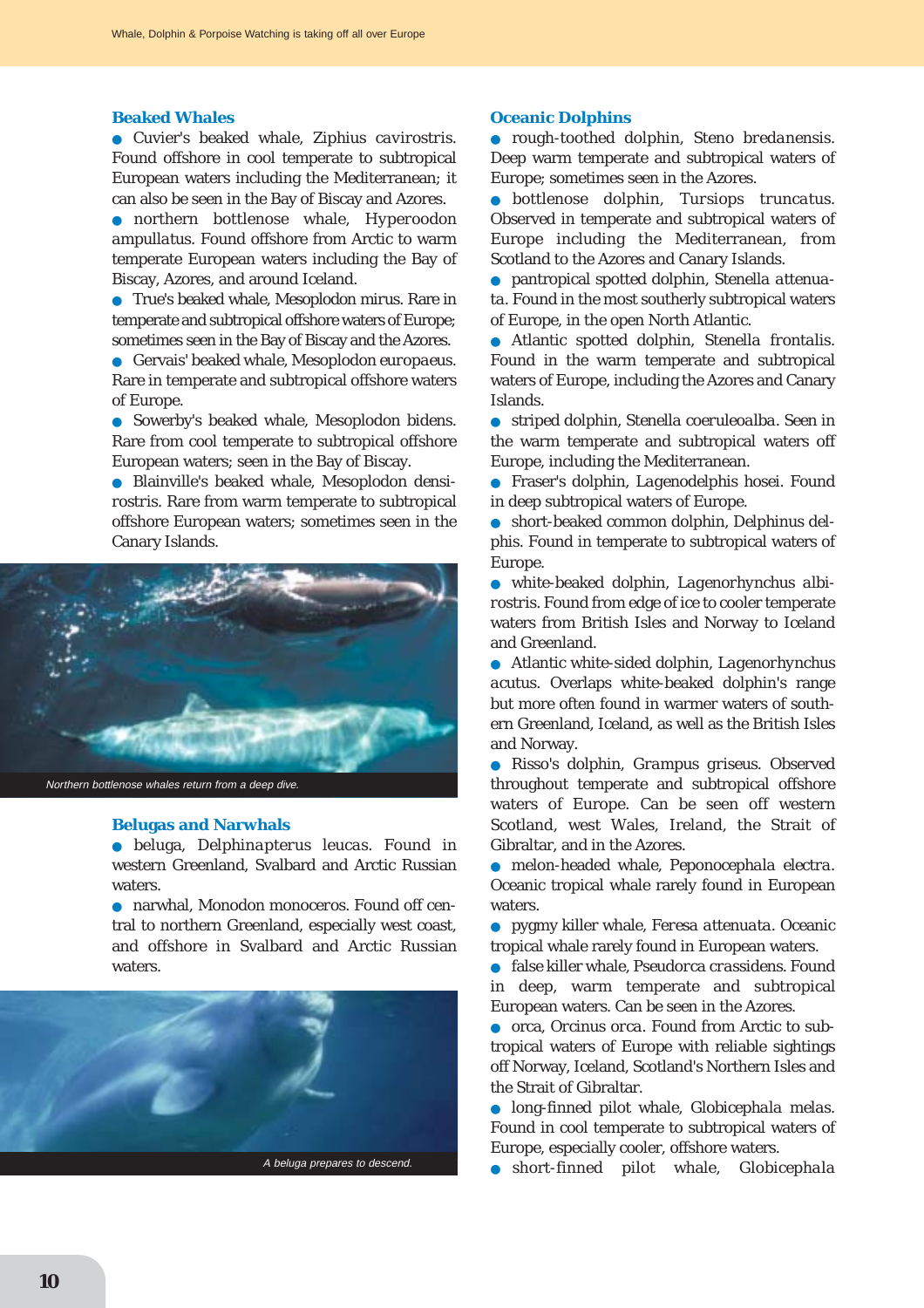#### **Beaked Whales**

● Cuvier's beaked whale, *Ziphius cavirostris*. Found offshore in cool temperate to subtropical European waters including the Mediterranean; it can also be seen in the Bay of Biscay and Azores.

● northern bottlenose whale, *Hyperoodon ampullatus*. Found offshore from Arctic to warm temperate European waters including the Bay of Biscay, Azores, and around Iceland.

● True's beaked whale, *Mesoplodon mirus*. Rare in temperate and subtropical offshore waters of Europe; sometimes seen in the Bay of Biscay and the Azores.

● Gervais' beaked whale, *Mesoplodon europaeus*. Rare in temperate and subtropical offshore waters of Europe.

● Sowerby's beaked whale, *Mesoplodon bidens*. Rare from cool temperate to subtropical offshore European waters; seen in the Bay of Biscay.

● Blainville's beaked whale, *Mesoplodon densirostris*. Rare from warm temperate to subtropical offshore European waters; sometimes seen in the Canary Islands.



#### **Belugas and Narwhals**

● beluga, *Delphinapterus leucas*. Found in western Greenland, Svalbard and Arctic Russian waters.

● narwhal, *Monodon monoceros*. Found off central to northern Greenland, especially west coast, and offshore in Svalbard and Arctic Russian waters.



#### **Oceanic Dolphins**

● rough-toothed dolphin, *Steno bredanensis*. Deep warm temperate and subtropical waters of Europe; sometimes seen in the Azores.

● bottlenose dolphin, *Tursiops truncatus*. Observed in temperate and subtropical waters of Europe including the Mediterranean, from Scotland to the Azores and Canary Islands.

pantropical spotted dolphin, Stenella attenua*ta*. Found in the most southerly subtropical waters of Europe, in the open North Atlantic.

● Atlantic spotted dolphin, *Stenella frontalis*. Found in the warm temperate and subtropical waters of Europe, including the Azores and Canary Islands.

● striped dolphin, *Stenella coeruleoalba*. Seen in the warm temperate and subtropical waters off Europe, including the Mediterranean.

● Fraser's dolphin, *Lagenodelphis hosei*. Found in deep subtropical waters of Europe.

short-beaked common dolphin, *Delphinus delphis*. Found in temperate to subtropical waters of Europe.

● white-beaked dolphin, *Lagenorhynchus albirostris*. Found from edge of ice to cooler temperate waters from British Isles and Norway to Iceland and Greenland.

● Atlantic white-sided dolphin, *Lagenorhynchus acutus*. Overlaps white-beaked dolphin's range but more often found in warmer waters of southern Greenland, Iceland, as well as the British Isles and Norway.

● Risso's dolphin, *Grampus griseus*. Observed throughout temperate and subtropical offshore waters of Europe. Can be seen off western Scotland, west Wales, Ireland, the Strait of Gibraltar, and in the Azores.

● melon-headed whale, *Peponocephala electra*. Oceanic tropical whale rarely found in European waters.

● pygmy killer whale, *Feresa attenuata*. Oceanic tropical whale rarely found in European waters.

● false killer whale, *Pseudorca crassidens*. Found in deep, warm temperate and subtropical European waters. Can be seen in the Azores.

● orca, *Orcinus orca*. Found from Arctic to subtropical waters of Europe with reliable sightings off Norway, Iceland, Scotland's Northern Isles and the Strait of Gibraltar.

● long-finned pilot whale, *Globicephala melas*. Found in cool temperate to subtropical waters of Europe, especially cooler, offshore waters.

● short-finned pilot whale, *Globicephala*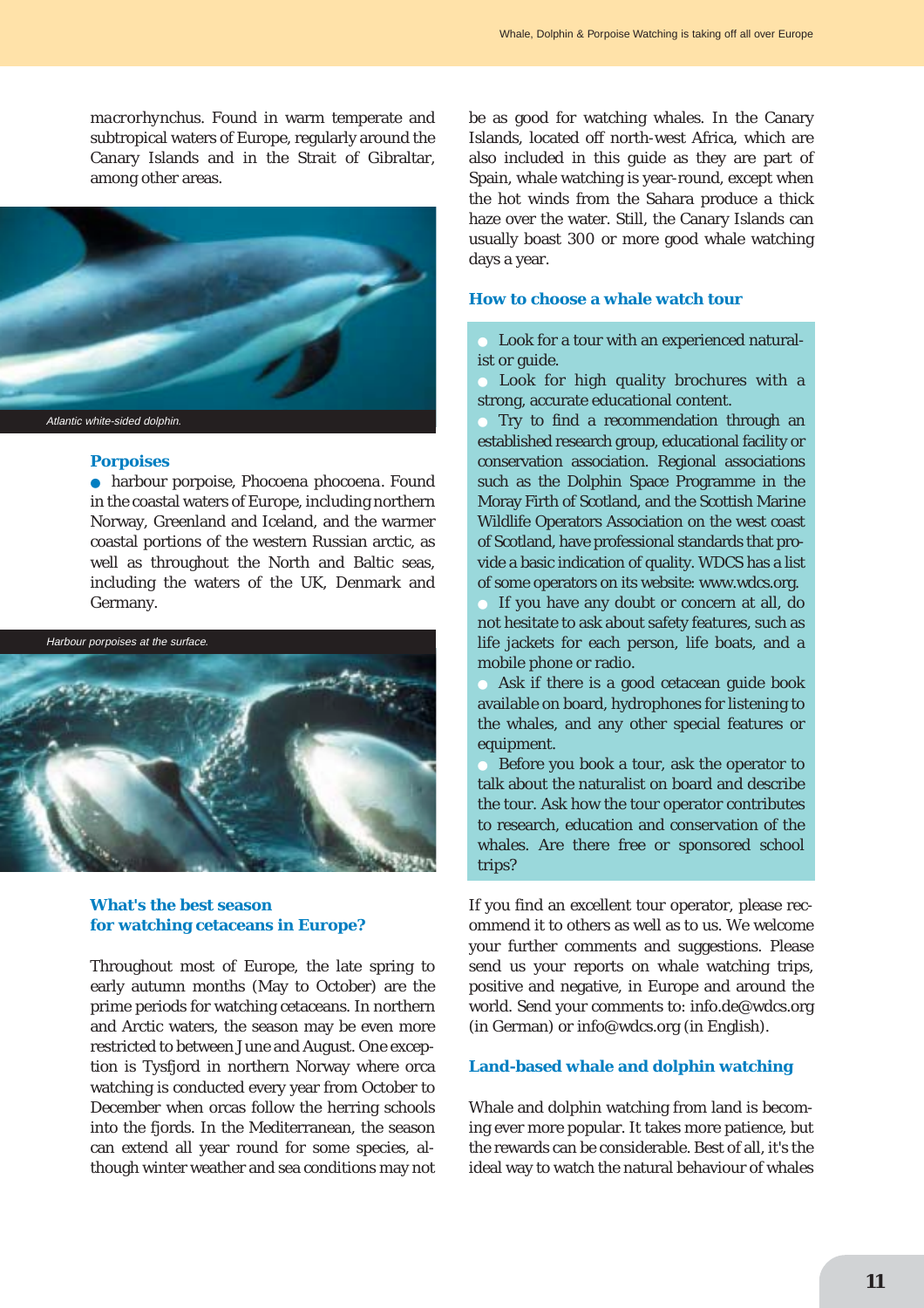*macrorhynchus*. Found in warm temperate and subtropical waters of Europe, regularly around the Canary Islands and in the Strait of Gibraltar, among other areas.



#### **Porpoises**

● harbour porpoise, *Phocoena phocoena*. Found in the coastal waters of Europe, including northern Norway, Greenland and Iceland, and the warmer coastal portions of the western Russian arctic, as well as throughout the North and Baltic seas, including the waters of the UK, Denmark and Germany.



### **What's the best season for watching cetaceans in Europe?**

Throughout most of Europe, the late spring to early autumn months (May to October) are the prime periods for watching cetaceans. In northern and Arctic waters, the season may be even more restricted to between June and August. One exception is Tysfjord in northern Norway where orca watching is conducted every year from October to December when orcas follow the herring schools into the fjords. In the Mediterranean, the season can extend all year round for some species, although winter weather and sea conditions may not be as good for watching whales. In the Canary Islands, located off north-west Africa, which are also included in this guide as they are part of Spain, whale watching is year-round, except when the hot winds from the Sahara produce a thick haze over the water. Still, the Canary Islands can usually boast 300 or more good whale watching days a year.

# **How to choose a whale watch tour**

Look for a tour with an experienced naturalist or guide.

Look for high quality brochures with a strong, accurate educational content.

Try to find a recommendation through an established research group, educational facility or conservation association. Regional associations such as the Dolphin Space Programme in the Moray Firth of Scotland, and the Scottish Marine Wildlife Operators Association on the west coast of Scotland, have professional standards that provide a basic indication of quality. WDCS has a list of some operators on its website: www.wdcs.org.

If you have any doubt or concern at all, do not hesitate to ask about safety features, such as life jackets for each person, life boats, and a mobile phone or radio.

Ask if there is a good cetacean guide book available on board, hydrophones for listening to the whales, and any other special features or equipment.

Before you book a tour, ask the operator to talk about the naturalist on board and describe the tour. Ask how the tour operator contributes to research, education and conservation of the whales. Are there free or sponsored school trips?

If you find an excellent tour operator, please recommend it to others as well as to us. We welcome your further comments and suggestions. Please send us your reports on whale watching trips, positive and negative, in Europe and around the world. Send your comments to: info.de@wdcs.org (in German) or info@wdcs.org (in English).

#### **Land-based whale and dolphin watching**

Whale and dolphin watching from land is becoming ever more popular. It takes more patience, but the rewards can be considerable. Best of all, it's the ideal way to watch the natural behaviour of whales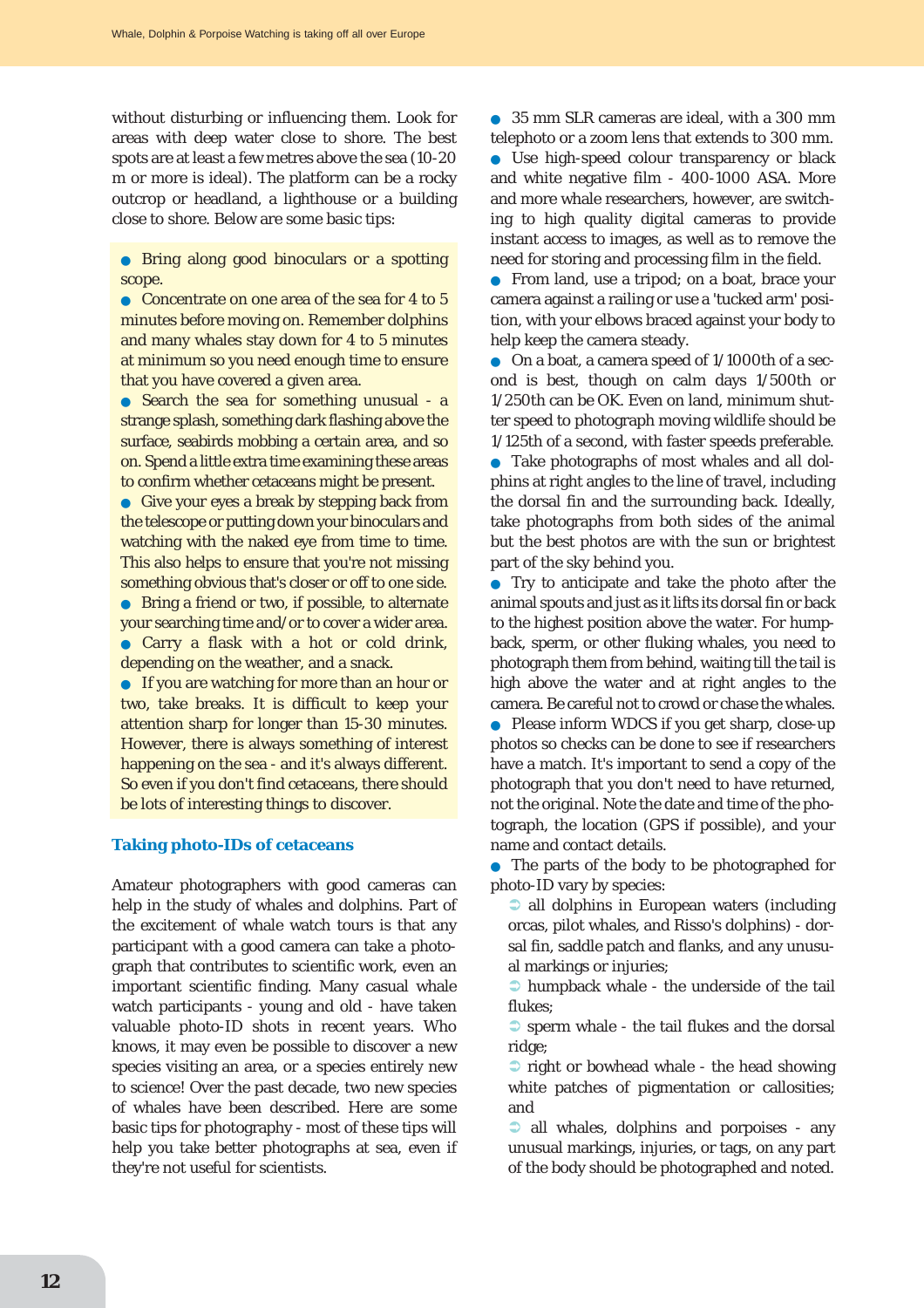without disturbing or influencing them. Look for areas with deep water close to shore. The best spots are at least a few metres above the sea (10-20 m or more is ideal). The platform can be a rocky outcrop or headland, a lighthouse or a building close to shore. Below are some basic tips:

● Bring along good binoculars or a spotting scope.

● Concentrate on one area of the sea for 4 to 5 minutes before moving on. Remember dolphins and many whales stay down for 4 to 5 minutes at minimum so you need enough time to ensure that you have covered a given area.

• Search the sea for something unusual - a strange splash, something dark flashing above the surface, seabirds mobbing a certain area, and so on. Spend a little extra time examining these areas to confirm whether cetaceans might be present.

● Give your eyes a break by stepping back from the telescope or putting down your binoculars and watching with the naked eye from time to time. This also helps to ensure that you're not missing something obvious that's closer or off to one side.

● Bring a friend or two, if possible, to alternate your searching time and/or to cover a wider area. ● Carry a flask with a hot or cold drink, depending on the weather, and a snack.

● If you are watching for more than an hour or two, take breaks. It is difficult to keep your attention sharp for longer than 15-30 minutes. However, there is always something of interest happening on the sea - and it's always different. So even if you don't find cetaceans, there should be lots of interesting things to discover.

#### **Taking photo-IDs of cetaceans**

Amateur photographers with good cameras can help in the study of whales and dolphins. Part of the excitement of whale watch tours is that any participant with a good camera can take a photograph that contributes to scientific work, even an important scientific finding. Many casual whale watch participants - young and old - have taken valuable photo-ID shots in recent years. Who knows, it may even be possible to discover a new species visiting an area, or a species entirely new to science! Over the past decade, two new species of whales have been described. Here are some basic tips for photography - most of these tips will help you take better photographs at sea, even if they're not useful for scientists.

● 35 mm SLR cameras are ideal, with a 300 mm telephoto or a zoom lens that extends to 300 mm.

● Use high-speed colour transparency or black and white negative film - 400-1000 ASA. More and more whale researchers, however, are switching to high quality digital cameras to provide instant access to images, as well as to remove the need for storing and processing film in the field.

● From land, use a tripod; on a boat, brace your camera against a railing or use a 'tucked arm' position, with your elbows braced against your body to help keep the camera steady.

● On a boat, a camera speed of 1/1000th of a second is best, though on calm days 1/500th or 1/250th can be OK. Even on land, minimum shutter speed to photograph moving wildlife should be 1/125th of a second, with faster speeds preferable.

● Take photographs of most whales and all dolphins at right angles to the line of travel, including the dorsal fin and the surrounding back. Ideally, take photographs from both sides of the animal but the best photos are with the sun or brightest part of the sky behind you.

● Try to anticipate and take the photo after the animal spouts and just as it lifts its dorsal fin or back to the highest position above the water. For humpback, sperm, or other fluking whales, you need to photograph them from behind, waiting till the tail is high above the water and at right angles to the camera. Be careful not to crowd or chase the whales. Please inform WDCS if you get sharp, close-up photos so checks can be done to see if researchers have a match. It's important to send a copy of the photograph that you don't need to have returned, not the original. Note the date and time of the photograph, the location (GPS if possible), and your name and contact details.

● The parts of the body to be photographed for photo-ID vary by species:

 $\supset$  all dolphins in European waters (including orcas, pilot whales, and Risso's dolphins) - dorsal fin, saddle patch and flanks, and any unusual markings or injuries;

 $\supset$  humpback whale - the underside of the tail flukes;

 $\bullet$  sperm whale - the tail flukes and the dorsal ridge;

 $\bullet$  right or bowhead whale - the head showing white patches of pigmentation or callosities; and

 $\bullet$  all whales, dolphins and porpoises - any unusual markings, injuries, or tags, on any part of the body should be photographed and noted.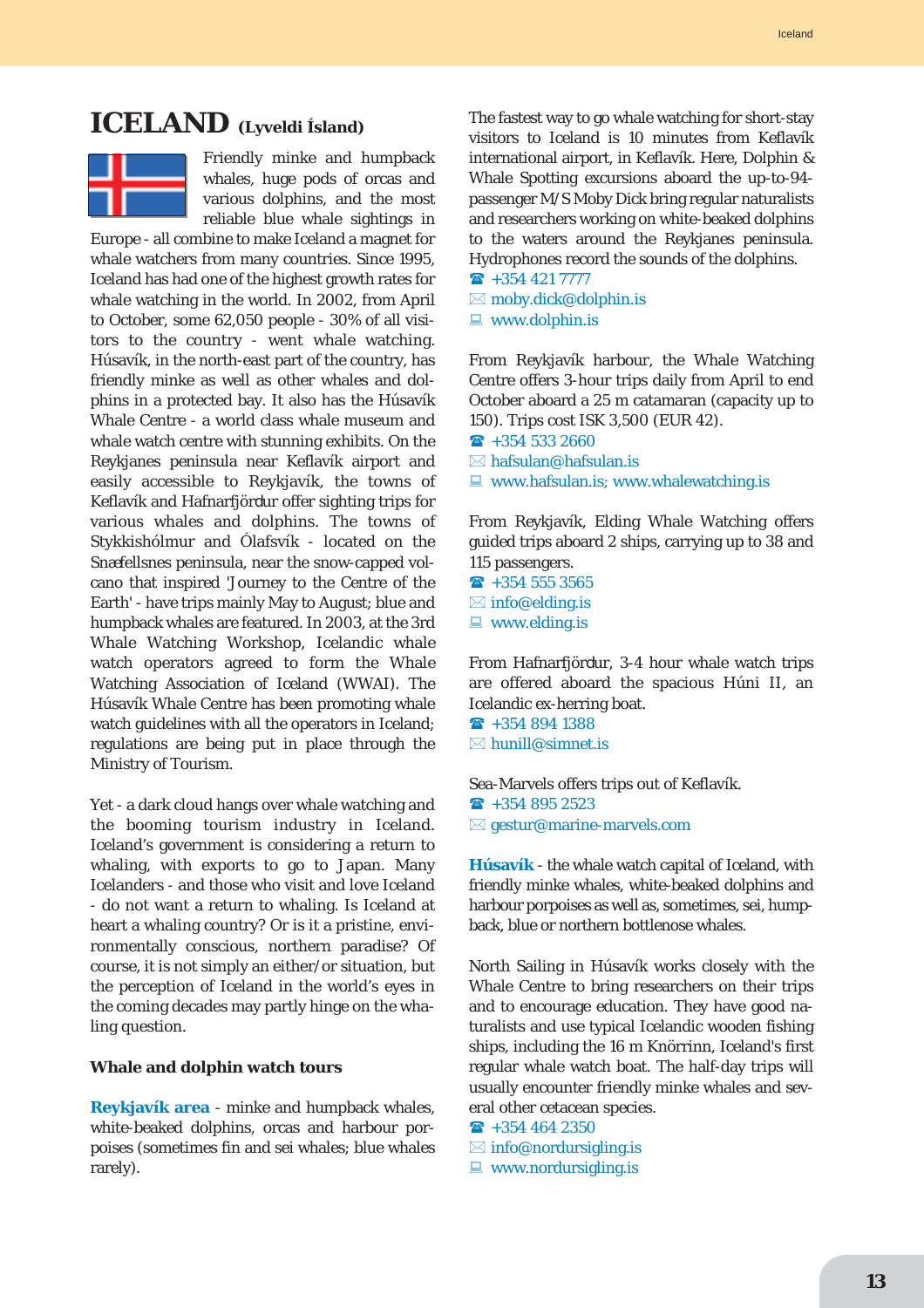# **ICELAND (Lyveldi Ísland)**



Friendly minke and humpback whales, huge pods of orcas and various dolphins, and the most reliable blue whale sightings in

Europe - all combine to make Iceland a magnet for whale watchers from many countries. Since 1995, Iceland has had one of the highest growth rates for whale watching in the world. In 2002, from April to October, some 62,050 people - 30% of all visitors to the country - went whale watching. Húsavík, in the north-east part of the country, has friendly minke as well as other whales and dolphins in a protected bay. It also has the Húsavík Whale Centre - a world class whale museum and whale watch centre with stunning exhibits. On the Reykjanes peninsula near Keflavík airport and easily accessible to Reykjavík, the towns of Keflavík and Hafnarfjördur offer sighting trips for various whales and dolphins. The towns of Stykkishólmur and Ólafsvík - located on the Snæfellsnes peninsula, near the snow-capped volcano that inspired 'Journey to the Centre of the Earth' - have trips mainly May to August; blue and humpback whales are featured. In 2003, at the 3rd Whale Watching Workshop, Icelandic whale watch operators agreed to form the Whale Watching Association of Iceland (WWAI). The Húsavík Whale Centre has been promoting whale watch guidelines with all the operators in Iceland; regulations are being put in place through the Ministry of Tourism.

Yet - a dark cloud hangs over whale watching and the booming tourism industry in Iceland. Iceland's government is considering a return to whaling, with exports to go to Japan. Many Icelanders - and those who visit and love Iceland - do not want a return to whaling. Is Iceland at heart a whaling country? Or is it a pristine, environmentally conscious, northern paradise? Of course, it is not simply an either/or situation, but the perception of Iceland in the world's eyes in the coming decades may partly hinge on the whaling question.

#### **Whale and dolphin watch tours**

**Reykjavík area** - minke and humpback whales, white-beaked dolphins, orcas and harbour porpoises (sometimes fin and sei whales; blue whales rarely).

The fastest way to go whale watching for short-stay visitors to Iceland is 10 minutes from Keflavík international airport, in Keflavík. Here, Dolphin & Whale Spotting excursions aboard the up-to-94 passenger M/S Moby Dick bring regular naturalists and researchers working on white-beaked dolphins to the waters around the Reykjanes peninsula. Hydrophones record the sounds of the dolphins.

- $\rightarrow$  +354 421 7777
- $\boxtimes$  moby.dick@dolphin.is
- $\blacksquare$  www.dolphin.is

From Reykjavík harbour, the Whale Watching Centre offers 3-hour trips daily from April to end October aboard a 25 m catamaran (capacity up to 150). Trips cost ISK 3,500 (EUR 42).

- $\hat{ }$  +354 533 2660
- $\boxtimes$  hafsulan@hafsulan.is
- $\Box$  www.hafsulan.is; www.whalewatching.is

From Reykjavík, Elding Whale Watching offers guided trips aboard 2 ships, carrying up to 38 and 115 passengers.

- $\textbf{R}$  +354 555 3565
- $\boxtimes$  info@elding.is
- $\blacksquare$  www.elding.is

From Hafnarfjördur, 3-4 hour whale watch trips are offered aboard the spacious Húni II, an Icelandic ex-herring boat.

- $\rightarrow$  +354 894 1388
- $\boxtimes$  hunill@simnet is

Sea-Marvels offers trips out of Keflavík.  $\hat{ }$  +354 895 2523  $\boxtimes$  gestur@marine-marvels.com

**Húsavík** - the whale watch capital of Iceland, with friendly minke whales, white-beaked dolphins and harbour porpoises as well as, sometimes, sei, humpback, blue or northern bottlenose whales.

North Sailing in Húsavík works closely with the Whale Centre to bring researchers on their trips and to encourage education. They have good naturalists and use typical Icelandic wooden fishing ships, including the 16 m Knörrinn, Iceland's first regular whale watch boat. The half-day trips will usually encounter friendly minke whales and several other cetacean species.

- $\rightarrow$  +354 464 2350
- $\boxtimes$  info@nordursigling.is
- $\Box$  www.nordursigling.is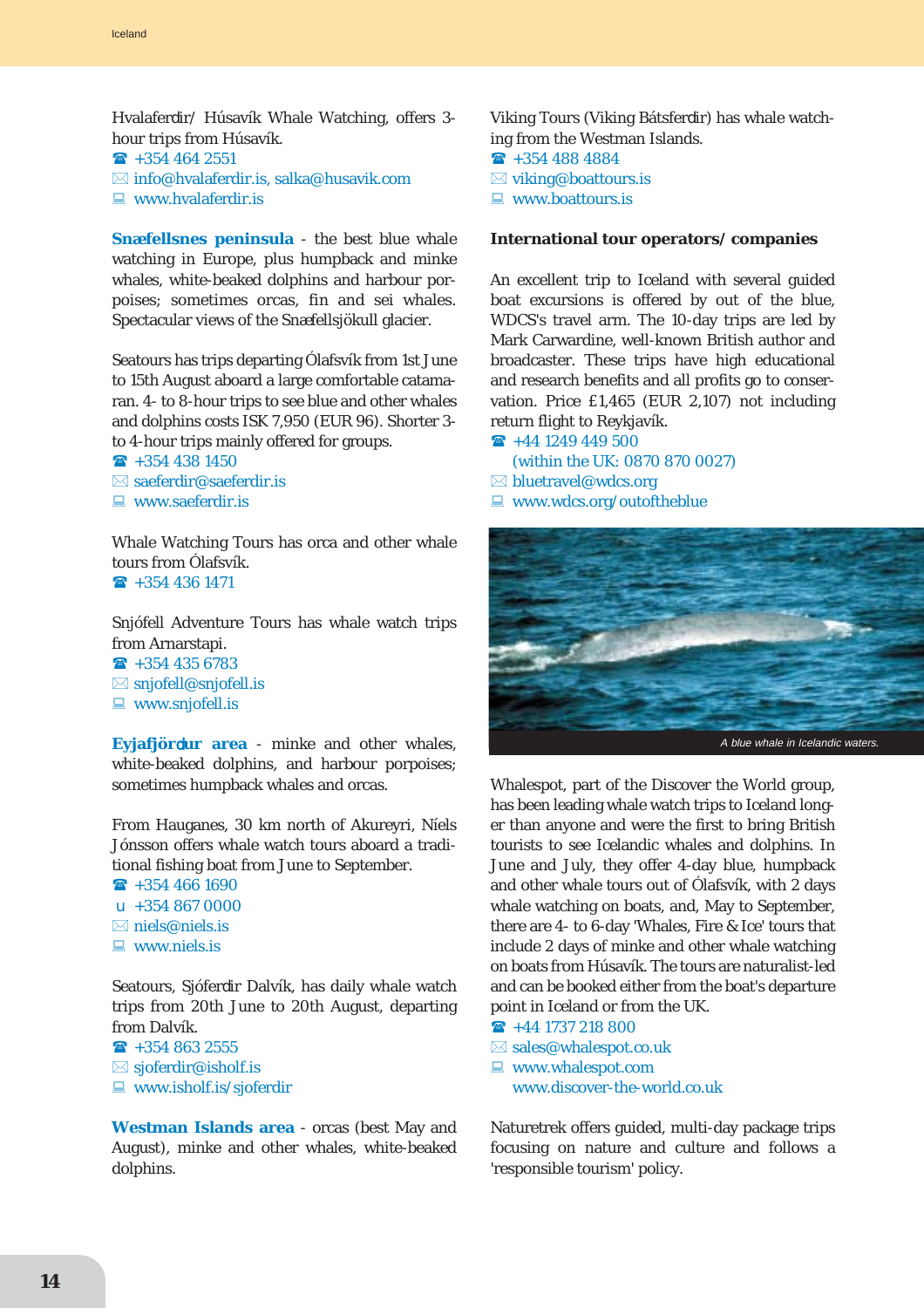Hvalaferdir/ Húsavík Whale Watching, offers 3 hour trips from Húsavík.

- $\hat{ }$  +354 464 2551
- $\boxtimes$  info@hvalaferdir.is, salka@husavik.com
- $\Box$  www.hvalaferdir.is

**Snæfellsnes peninsula** - the best blue whale watching in Europe, plus humpback and minke whales, white-beaked dolphins and harbour porpoises; sometimes orcas, fin and sei whales. Spectacular views of the Snæfellsjökull glacier.

Seatours has trips departing Ólafsvík from 1st June to 15th August aboard a large comfortable catamaran. 4- to 8-hour trips to see blue and other whales and dolphins costs ISK 7,950 (EUR 96). Shorter 3 to 4-hour trips mainly offered for groups.

- $\hat{ }$  +354 438 1450  $\boxtimes$  saeferdir $\textcircled{a}$ saeferdir.is
- 
- $\blacksquare$  www.saeferdir.is

Whale Watching Tours has orca and other whale tours from Ólafsvík.

 $\hat{ }$  +354 436 1471

Snjófell Adventure Tours has whale watch trips from Arnarstapi.

 $\textbf{R}$  +354 435 6783  $\boxtimes$  snjofell@snjofell.is

 $\blacksquare$  www.snjofell.is

**Eyjafjör**d**ur area** - minke and other whales, white-beaked dolphins, and harbour porpoises; sometimes humpback whales and orcas.

From Hauganes, 30 km north of Akureyri, Níels Jónsson offers whale watch tours aboard a traditional fishing boat from June to September.

 $\hat{ }$  +354 466 1690  $\mu$  +354 867 0000  $\boxtimes$  niels@niels.is

 $\Box$  www.niels.is

Seatours, Sjóferdir Dalvík, has daily whale watch trips from 20th June to 20th August, departing from Dalvík.

 $\rightarrow 3548632555$  $\boxtimes$  sjoferdir@isholf.is  $\Box$  www.isholf.is/sjoferdir

**Westman Islands area** - orcas (best May and August), minke and other whales, white-beaked dolphins.

Viking Tours (Viking Bátsferdir) has whale watching from the Westman Islands.  $\textbf{a}$  +354 488 4884  $\boxtimes$  viking@boattours.is  $\Box$  www.boattours.is

#### **International tour operators/ companies**

An excellent trip to Iceland with several guided boat excursions is offered by out of the blue, WDCS's travel arm. The 10-day trips are led by Mark Carwardine, well-known British author and broadcaster. These trips have high educational and research benefits and all profits go to conservation. Price £1,465 (EUR 2,107) not including return flight to Reykjavík.

 $\rightarrow$  +44 1249 449 500 (within the UK: 0870 870 0027)  $\boxtimes$  bluetravel@wdcs.org

 $\blacksquare$  www.wdcs.org/outoftheblue



Whalespot, part of the Discover the World group, has been leading whale watch trips to Iceland longer than anyone and were the first to bring British tourists to see Icelandic whales and dolphins. In June and July, they offer 4-day blue, humpback and other whale tours out of Ólafsvík, with 2 days whale watching on boats, and, May to September, there are 4- to 6-day 'Whales, Fire & Ice' tours that include 2 days of minke and other whale watching on boats from Húsavík. The tours are naturalist-led and can be booked either from the boat's departure point in Iceland or from the UK.

 $\rightarrow$  +44 1737 218 800  $\boxtimes$  sales@whalespot.co.uk  $\Box$  www.whalespot.com www.discover-the-world.co.uk

Naturetrek offers guided, multi-day package trips focusing on nature and culture and follows a 'responsible tourism' policy.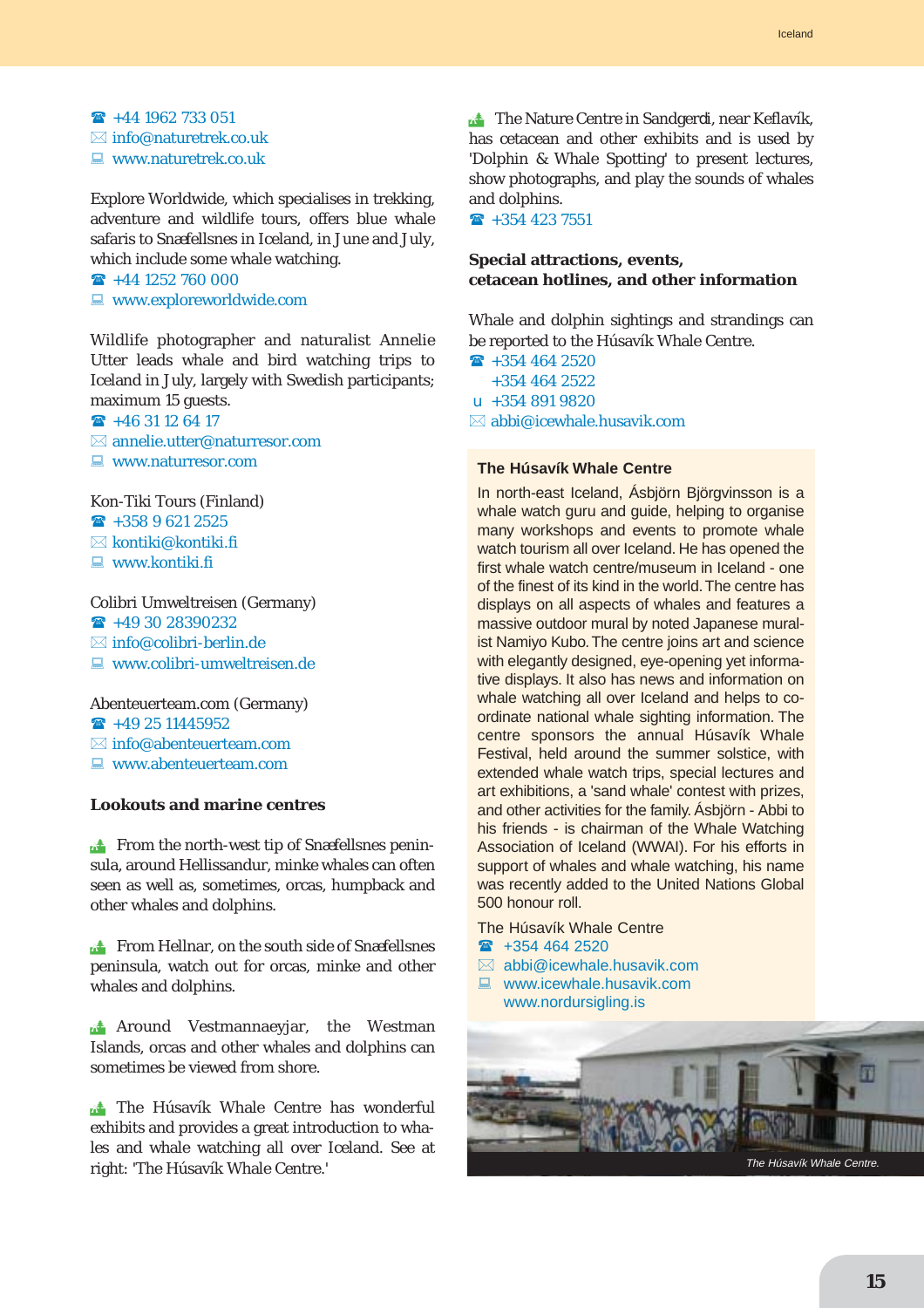$\rightarrow$  +44 1962 733 051  $\boxtimes$  info@naturetrek.co.uk  $\Box$  www.naturetrek.co.uk

Explore Worldwide, which specialises in trekking, adventure and wildlife tours, offers blue whale safaris to Snæfellsnes in Iceland, in June and July, which include some whale watching.

 $\rightarrow$  +44 1252 760 000

 $\blacksquare$  www.exploreworldwide.com

Wildlife photographer and naturalist Annelie Utter leads whale and bird watching trips to Iceland in July, largely with Swedish participants; maximum 15 guests.

 $\hat{ }$  +46 31 12 64 17  $\boxtimes$  annelie.utter@naturresor.com

 $\Box$  www.naturresor.com

#### Kon-Tiki Tours (Finland)

 $\rightarrow$  +358 9 621 2525  $\boxtimes$  kontiki@kontiki.fi

 $\blacksquare$  www.kontiki.fi

### Colibri Umweltreisen (Germany)

 $\rightarrow$  +49 30 28390232

 $\boxtimes$  info@colibri-berlin.de

 $\Box$  www.colibri-umweltreisen.de

#### Abenteuerteam.com (Germany)

 $\rightarrow$  +49 25 11445952

- $\boxtimes$  info@abenteuerteam.com
- $\Box$  www.abenteuerteam.com

#### **Lookouts and marine centres**

**Example 15 From the north-west tip of Snæfellsnes penin**sula, around Hellissandur, minke whales can often seen as well as, sometimes, orcas, humpback and other whales and dolphins.

**EXECUTE:** From Hellnar, on the south side of Snæfellsnes peninsula, watch out for orcas, minke and other whales and dolphins.

**A** Around Vestmannaeyjar, the Westman Islands, orcas and other whales and dolphins can sometimes be viewed from shore.

The Húsavík Whale Centre has wonderful exhibits and provides a great introduction to whales and whale watching all over Iceland. See at right: 'The Húsavík Whale Centre.'

The Nature Centre in Sandgerdi, near Keflavík, has cetacean and other exhibits and is used by 'Dolphin & Whale Spotting' to present lectures, show photographs, and play the sounds of whales and dolphins.

 $\hat{ }$  +354 423 7551

### **Special attractions, events, cetacean hotlines, and other information**

Whale and dolphin sightings and strandings can be reported to the Húsavík Whale Centre.

 $\rightarrow$  +354 464 2520 +354 464 2522  $\mu$  +354 891 9820  $\boxtimes$  abbi@icewhale.husavik.com

### **The Húsavík Whale Centre**

In north-east Iceland, Ásbjörn Björgvinsson is a whale watch guru and guide, helping to organise many workshops and events to promote whale watch tourism all over Iceland. He has opened the first whale watch centre/museum in Iceland - one of the finest of its kind in the world.The centre has displays on all aspects of whales and features a massive outdoor mural by noted Japanese muralist Namiyo Kubo. The centre joins art and science with elegantly designed, eye-opening yet informative displays. It also has news and information on whale watching all over Iceland and helps to coordinate national whale sighting information. The centre sponsors the annual Húsavík Whale Festival, held around the summer solstice, with extended whale watch trips, special lectures and art exhibitions, a 'sand whale' contest with prizes, and other activities for the family. Ásbjörn - Abbi to his friends - is chairman of the Whale Watching Association of Iceland (WWAI). For his efforts in support of whales and whale watching, his name was recently added to the United Nations Global 500 honour roll.

- The Húsavík Whale Centre
- $\rightarrow$  +354 464 2520
- $\boxtimes$  abbi@icewhale husavik.com
- $\Box$  www.icewhale.husavik.com www.nordursigling.is

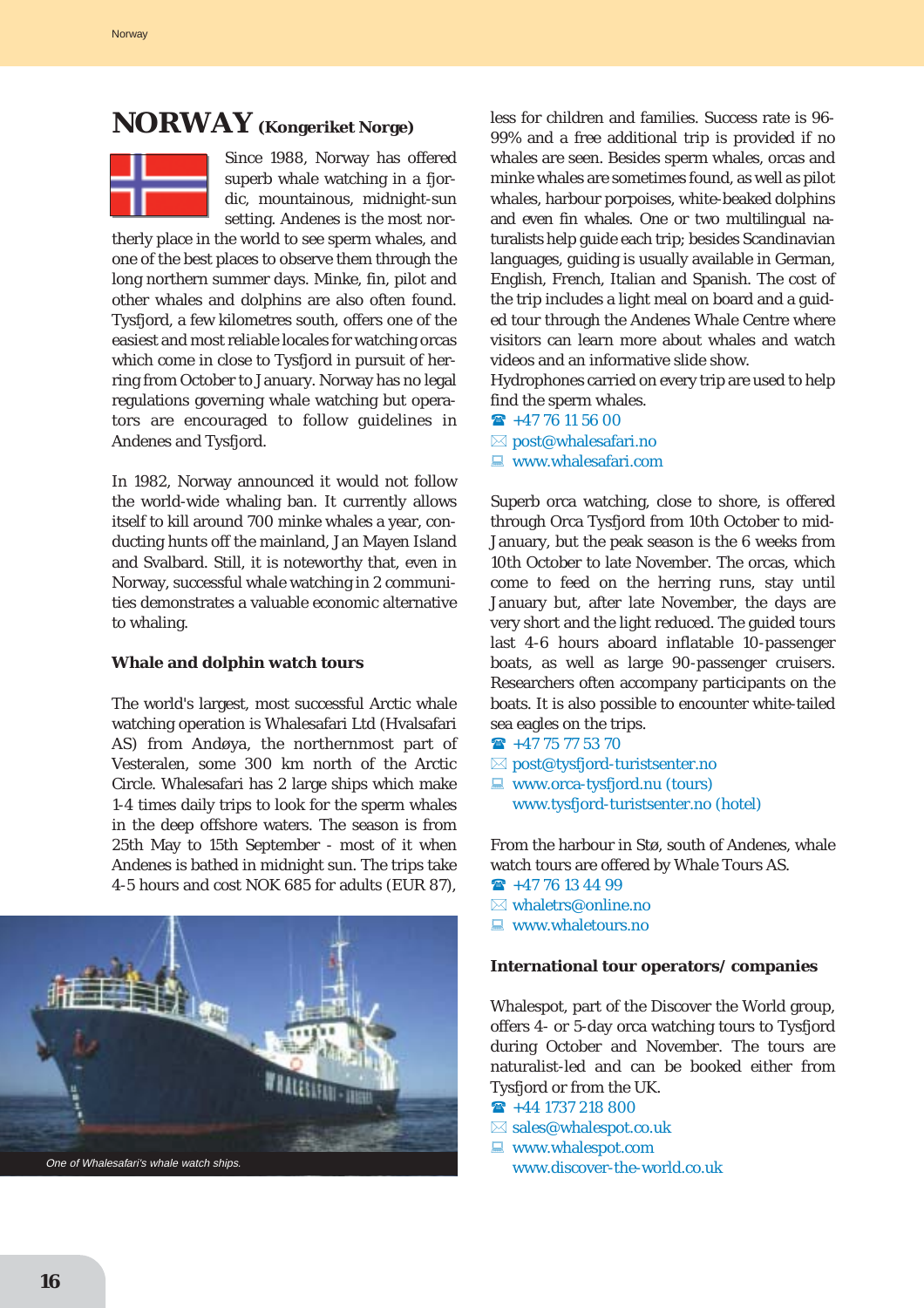# **NORWAY (Kongeriket Norge)**



Since 1988, Norway has offered superb whale watching in a fjordic, mountainous, midnight-sun setting. Andenes is the most nor-

therly place in the world to see sperm whales, and one of the best places to observe them through the long northern summer days. Minke, fin, pilot and other whales and dolphins are also often found. Tysfjord, a few kilometres south, offers one of the easiest and most reliable locales for watching orcas which come in close to Tysfjord in pursuit of herring from October to January. Norway has no legal regulations governing whale watching but operators are encouraged to follow guidelines in Andenes and Tysfjord.

In 1982, Norway announced it would not follow the world-wide whaling ban. It currently allows itself to kill around 700 minke whales a year, conducting hunts off the mainland, Jan Mayen Island and Svalbard. Still, it is noteworthy that, even in Norway, successful whale watching in 2 communities demonstrates a valuable economic alternative to whaling.

#### **Whale and dolphin watch tours**

The world's largest, most successful Arctic whale watching operation is Whalesafari Ltd (Hvalsafari AS) from Andøya, the northernmost part of Vesteralen, some 300 km north of the Arctic Circle. Whalesafari has 2 large ships which make 1-4 times daily trips to look for the sperm whales in the deep offshore waters. The season is from 25th May to 15th September - most of it when Andenes is bathed in midnight sun. The trips take 4-5 hours and cost NOK 685 for adults (EUR 87),



less for children and families. Success rate is 96- 99% and a free additional trip is provided if no whales are seen. Besides sperm whales, orcas and minke whales are sometimes found, as well as pilot whales, harbour porpoises, white-beaked dolphins and even fin whales. One or two multilingual naturalists help guide each trip; besides Scandinavian languages, guiding is usually available in German, English, French, Italian and Spanish. The cost of the trip includes a light meal on board and a guided tour through the Andenes Whale Centre where visitors can learn more about whales and watch videos and an informative slide show.

Hydrophones carried on every trip are used to help find the sperm whales.

- $\mathbf{\widehat{F}}$  +47 76 11 56 00
- $\boxtimes$  post@whalesafari.no
- $\blacksquare$  www.whalesafari.com

Superb orca watching, close to shore, is offered through Orca Tysfjord from 10th October to mid-January, but the peak season is the 6 weeks from 10th October to late November. The orcas, which come to feed on the herring runs, stay until January but, after late November, the days are very short and the light reduced. The guided tours last 4-6 hours aboard inflatable 10-passenger boats, as well as large 90-passenger cruisers. Researchers often accompany participants on the boats. It is also possible to encounter white-tailed sea eagles on the trips.

- $\rightarrow$  +47 75 77 53 70
- $\boxtimes$  post@tysfjord-turistsenter.no
- $\Box$  www.orca-tysfjord.nu (tours) www.tysfjord-turistsenter.no (hotel)

From the harbour in Stø, south of Andenes, whale watch tours are offered by Whale Tours AS.

- $\hat{ }$  +47 76 13 44 99
- $\boxtimes$  whaletrs@online.no
- $\Box$  www.whaletours.no

#### **International tour operators/ companies**

Whalespot, part of the Discover the World group, offers 4- or 5-day orca watching tours to Tysfjord during October and November. The tours are naturalist-led and can be booked either from Tysfjord or from the UK.

- $\textbf{R}$  +44 1737 218 800
- $\boxtimes$  sales@whalespot.co.uk
- $\Box$  www.whalespot.com
	- www.discover-the-world.co.uk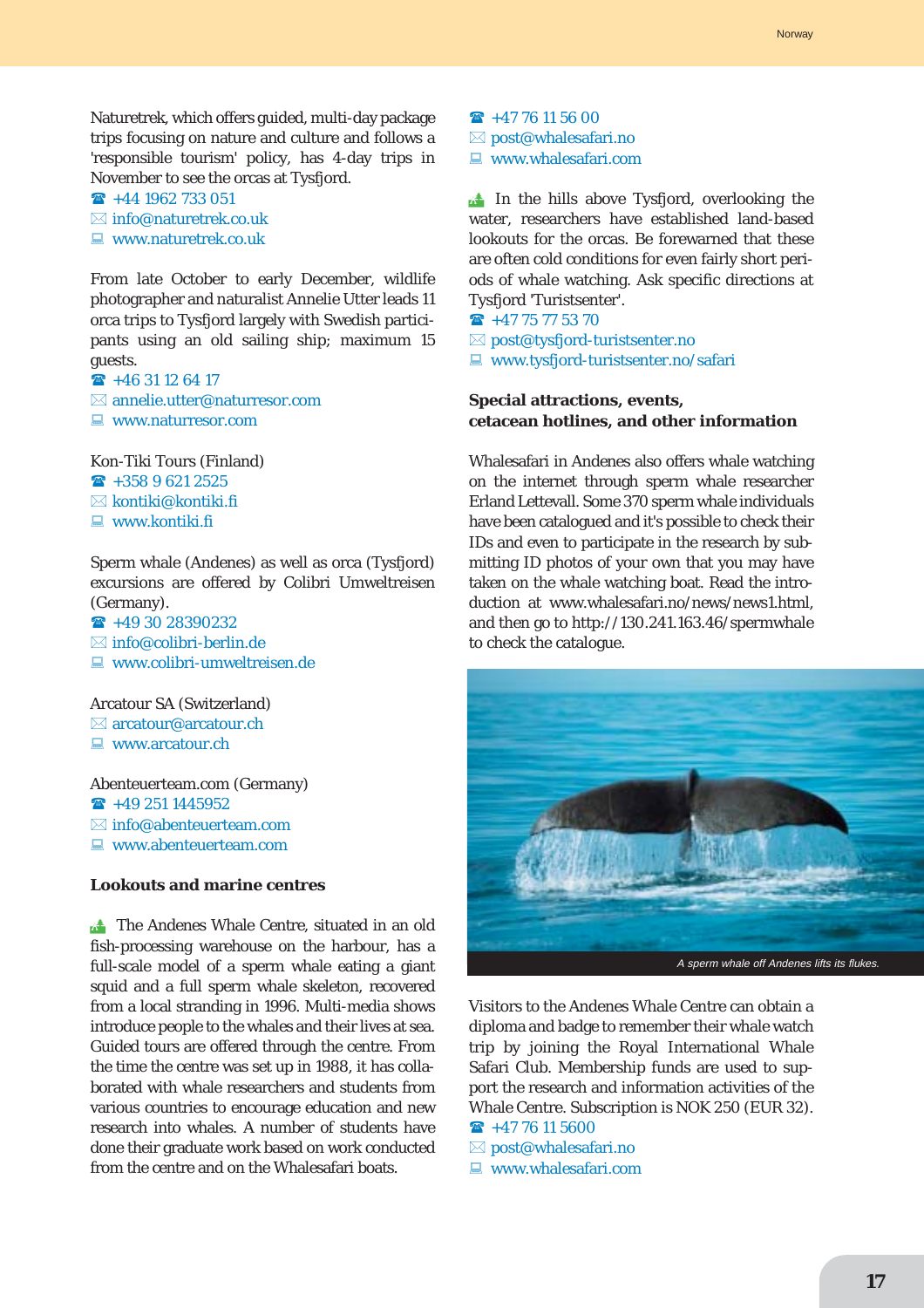Naturetrek, which offers guided, multi-day package trips focusing on nature and culture and follows a 'responsible tourism' policy, has 4-day trips in November to see the orcas at Tysfjord.

 $\rightarrow$  +44 1962 733 051  $\boxtimes$  info@naturetrek.co.uk  $\Box$  www.naturetrek.co.uk

From late October to early December, wildlife photographer and naturalist Annelie Utter leads 11 orca trips to Tysfjord largely with Swedish participants using an old sailing ship; maximum 15 guests.

 $\rightarrow$  +46 31 12 64 17  $\boxtimes$  annelie.utter@naturresor.com  $\Box$  www.naturresor.com

Kon-Tiki Tours (Finland)  $\hat{ }$  +358 9 621 2525

 $\boxtimes$  kontiki@kontiki.fi

 $\Box$  www.kontiki.fi

Sperm whale (Andenes) as well as orca (Tysfjord) excursions are offered by Colibri Umweltreisen (Germany).

 $\rightarrow$  +49 30 28390232  $\boxtimes$  info@colibri-berlin.de  $\blacksquare$  www.colibri-umweltreisen.de

Arcatour SA (Switzerland)  $\boxtimes$  arcatour@arcatour.ch  $\Box$  www.arcatour.ch

Abenteuerteam.com (Germany)  $\rightarrow$  +49 251 1445952  $\boxtimes$  info@abenteuerteam.com  $\Box$  www.abenteuerteam.com

#### **Lookouts and marine centres**

**the Andenes Whale Centre, situated in an old** fish-processing warehouse on the harbour, has a full-scale model of a sperm whale eating a giant squid and a full sperm whale skeleton, recovered from a local stranding in 1996. Multi-media shows introduce people to the whales and their lives at sea. Guided tours are offered through the centre. From the time the centre was set up in 1988, it has collaborated with whale researchers and students from various countries to encourage education and new research into whales. A number of students have done their graduate work based on work conducted from the centre and on the Whalesafari boats.

 $\rightarrow$  +47 76 11 56 00  $\boxtimes$  post@whalesafari.no  $\blacksquare$  www.whalesafari.com

**In the hills above Tysfjord, overlooking the** water, researchers have established land-based lookouts for the orcas. Be forewarned that these are often cold conditions for even fairly short periods of whale watching. Ask specific directions at Tysfjord 'Turistsenter'.

 $\rightarrow$  +47 75 77 53 70  $\boxtimes$  post@tysfjord-turistsenter.no ■ www.tysfjord-turistsenter.no/safari

### **Special attractions, events, cetacean hotlines, and other information**

Whalesafari in Andenes also offers whale watching on the internet through sperm whale researcher Erland Lettevall. Some 370 sperm whale individuals have been catalogued and it's possible to check their IDs and even to participate in the research by submitting ID photos of your own that you may have taken on the whale watching boat. Read the introduction at www.whalesafari.no/news/news1.html, and then go to http://130.241.163.46/spermwhale to check the catalogue.



Visitors to the Andenes Whale Centre can obtain a diploma and badge to remember their whale watch trip by joining the Royal International Whale Safari Club. Membership funds are used to support the research and information activities of the Whale Centre. Subscription is NOK 250 (EUR 32).

# $\bullet$  +47 76 11 5600

- $\boxtimes$  post@whalesafari.no
- $\Box$  www.whalesafari.com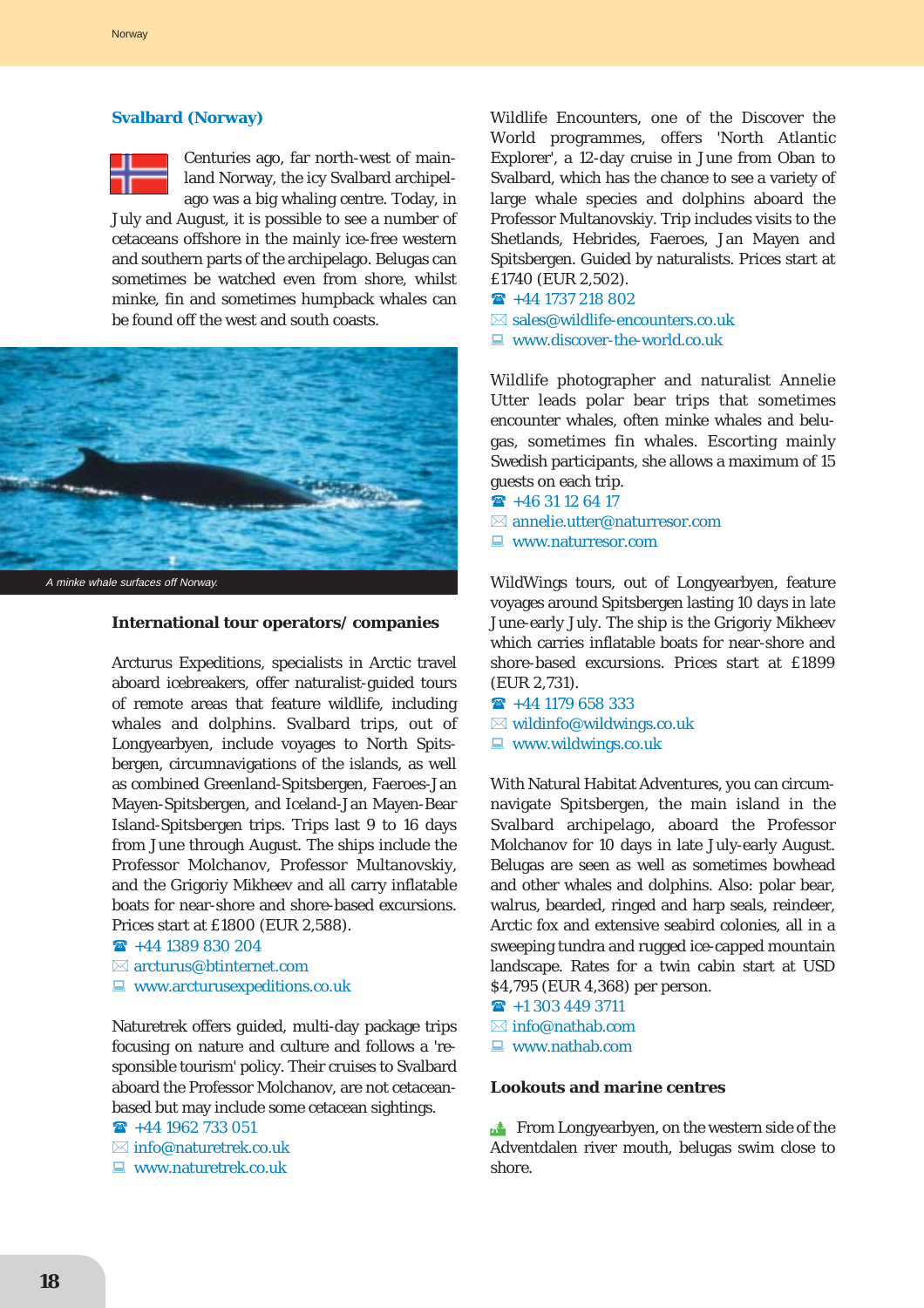### **Svalbard (Norway)**



Centuries ago, far north-west of mainland Norway, the icy Svalbard archipelago was a big whaling centre. Today, in

July and August, it is possible to see a number of cetaceans offshore in the mainly ice-free western and southern parts of the archipelago. Belugas can sometimes be watched even from shore, whilst minke, fin and sometimes humpback whales can be found off the west and south coasts.



### **International tour operators/ companies**

Arcturus Expeditions, specialists in Arctic travel aboard icebreakers, offer naturalist-guided tours of remote areas that feature wildlife, including whales and dolphins. Svalbard trips, out of Longyearbyen, include voyages to North Spitsbergen, circumnavigations of the islands, as well as combined Greenland-Spitsbergen, Faeroes-Jan Mayen-Spitsbergen, and Iceland-Jan Mayen-Bear Island-Spitsbergen trips. Trips last 9 to 16 days from June through August. The ships include the Professor Molchanov, Professor Multanovskiy, and the Grigoriy Mikheev and all carry inflatable boats for near-shore and shore-based excursions. Prices start at £1800 (EUR 2,588).

```
\hat{ } +44 1389 830 204
\boxtimes arcturus@btinternet.com
```
 $\Box$  www.arcturus expeditions.co.uk

Naturetrek offers guided, multi-day package trips focusing on nature and culture and follows a 'responsible tourism' policy. Their cruises to Svalbard aboard the Professor Molchanov, are not cetaceanbased but may include some cetacean sightings.

 $\rightarrow$  +44 1962 733 051

- $\boxtimes$  info@naturetrek.co.uk
- $\Box$  www.naturetrek.co.uk

Wildlife Encounters, one of the Discover the World programmes, offers 'North Atlantic Explorer', a 12-day cruise in June from Oban to Svalbard, which has the chance to see a variety of large whale species and dolphins aboard the Professor Multanovskiy. Trip includes visits to the Shetlands, Hebrides, Faeroes, Jan Mayen and Spitsbergen. Guided by naturalists. Prices start at £1740 (EUR 2,502).

- $\rightarrow$  +44 1737 218 802
- $\boxtimes$  sales@wildlife-encounters co.uk
- $\Box$  www.discover-the-world.co.uk

Wildlife photographer and naturalist Annelie Utter leads polar bear trips that sometimes encounter whales, often minke whales and belugas, sometimes fin whales. Escorting mainly Swedish participants, she allows a maximum of 15 guests on each trip.

- $\rightarrow$  +46 31 12 64 17
- $\boxtimes$  annelie.utter@naturresor.com
- $\Box$  www.naturresor.com

WildWings tours, out of Longyearbyen, feature voyages around Spitsbergen lasting 10 days in late June-early July. The ship is the Grigoriy Mikheev which carries inflatable boats for near-shore and shore-based excursions. Prices start at £1899 (EUR 2,731).

- $\rightarrow$  +44 1179 658 333  $\boxtimes$  wildinfo@wildwings.co.uk
- $\Box$  www.wildwings.co.uk

With Natural Habitat Adventures, you can circumnavigate Spitsbergen, the main island in the Svalbard archipelago, aboard the Professor Molchanov for 10 days in late July-early August. Belugas are seen as well as sometimes bowhead and other whales and dolphins. Also: polar bear, walrus, bearded, ringed and harp seals, reindeer, Arctic fox and extensive seabird colonies, all in a sweeping tundra and rugged ice-capped mountain landscape. Rates for a twin cabin start at USD \$4,795 (EUR 4,368) per person.

 $\hat{ }$  +1 303 449 3711  $\boxtimes$  info@nathab.com  $\Box$  www.nathab.com

#### **Lookouts and marine centres**

**EXECUTE:** From Longyearbyen, on the western side of the Adventdalen river mouth, belugas swim close to shore.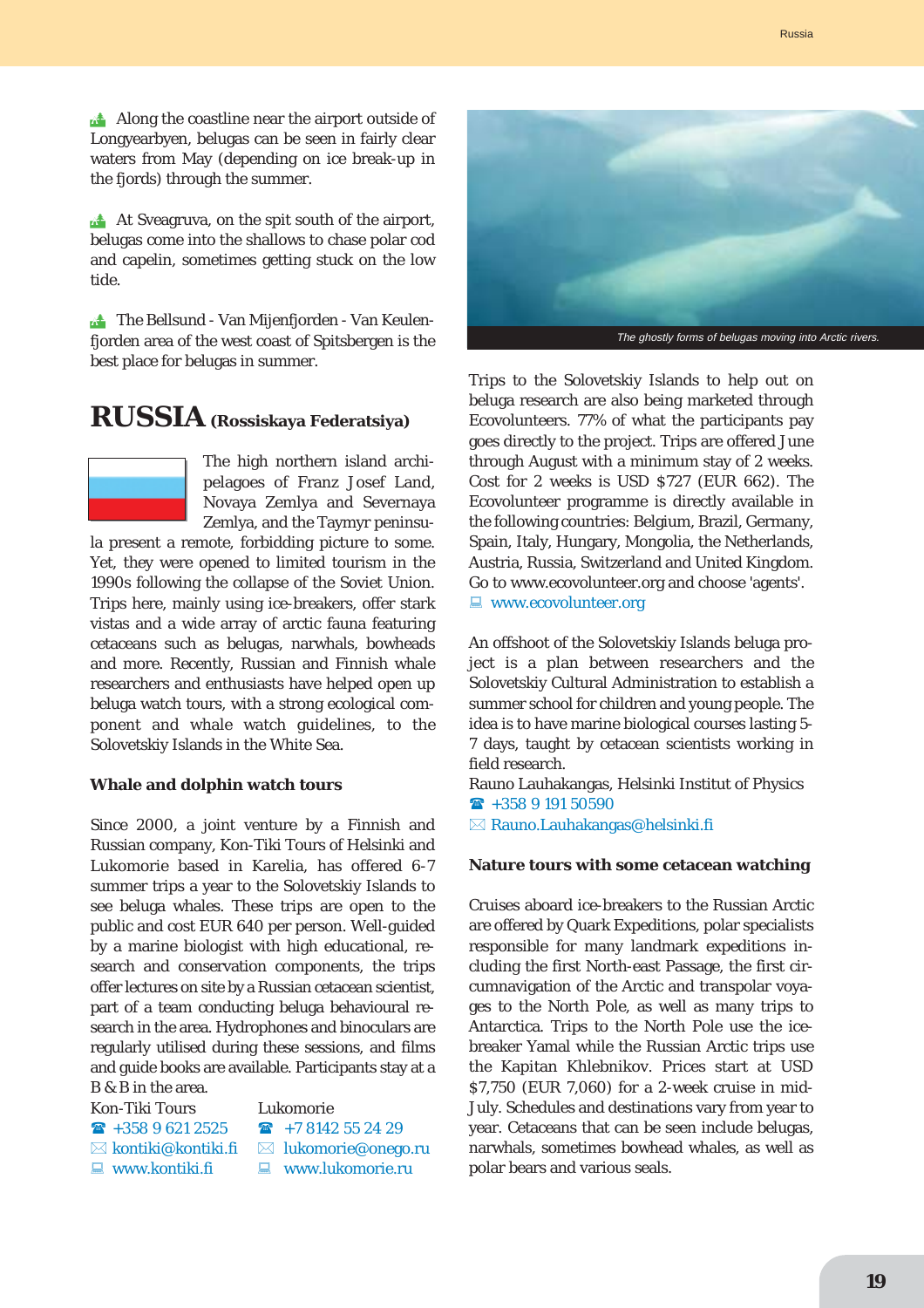**At Sveagruva, on the spit south of the airport,** belugas come into the shallows to chase polar cod and capelin, sometimes getting stuck on the low tide.

**14 The Bellsund - Van Mijenfjorden - Van Keulen**fjorden area of the west coast of Spitsbergen is the best place for belugas in summer.

# **RUSSIA (Rossiskaya Federatsiya)**



The high northern island archipelagoes of Franz Josef Land, Novaya Zemlya and Severnaya Zemlya, and the Taymyr peninsu-

la present a remote, forbidding picture to some. Yet, they were opened to limited tourism in the 1990s following the collapse of the Soviet Union. Trips here, mainly using ice-breakers, offer stark vistas and a wide array of arctic fauna featuring cetaceans such as belugas, narwhals, bowheads and more. Recently, Russian and Finnish whale researchers and enthusiasts have helped open up beluga watch tours, with a strong ecological component and whale watch guidelines, to the Solovetskiy Islands in the White Sea.

#### **Whale and dolphin watch tours**

Since 2000, a joint venture by a Finnish and Russian company, Kon-Tiki Tours of Helsinki and Lukomorie based in Karelia, has offered 6-7 summer trips a year to the Solovetskiy Islands to see beluga whales. These trips are open to the public and cost EUR 640 per person. Well-guided by a marine biologist with high educational, research and conservation components, the trips offer lectures on site by a Russian cetacean scientist, part of a team conducting beluga behavioural research in the area. Hydrophones and binoculars are regularly utilised during these sessions, and films and guide books are available. Participants stay at a B & B in the area.

Kon-Tiki Tours Lukomorie

 $\overline{2}$  +358 9 621 2525  $\overline{2}$  +7 8142 55 24 29  $\boxtimes$  kontiki@kontiki.fi  $\boxtimes$  lukomorie@onego.ru

- 
- $\Box$  www.kontiki.fi  $\Box$  www.lukomorie.ru



Trips to the Solovetskiy Islands to help out on beluga research are also being marketed through Ecovolunteers. 77% of what the participants pay goes directly to the project. Trips are offered June through August with a minimum stay of 2 weeks. Cost for 2 weeks is USD \$727 (EUR 662). The Ecovolunteer programme is directly available in the following countries: Belgium, Brazil, Germany, Spain, Italy, Hungary, Mongolia, the Netherlands, Austria, Russia, Switzerland and United Kingdom. Go to www.ecovolunteer.org and choose 'agents'. **E** www.ecovolunteer.org

An offshoot of the Solovetskiy Islands beluga project is a plan between researchers and the Solovetskiy Cultural Administration to establish a summer school for children and young people. The idea is to have marine biological courses lasting 5- 7 days, taught by cetacean scientists working in field research.

Rauno Lauhakangas, Helsinki Institut of Physics  $\mathbf{\widehat{m}}$  +358 9 191 50590

 $\boxtimes$  Rauno.Lauhakangas@helsinki.fi

#### **Nature tours with some cetacean watching**

Cruises aboard ice-breakers to the Russian Arctic are offered by Quark Expeditions, polar specialists responsible for many landmark expeditions including the first North-east Passage, the first circumnavigation of the Arctic and transpolar voyages to the North Pole, as well as many trips to Antarctica. Trips to the North Pole use the icebreaker Yamal while the Russian Arctic trips use the Kapitan Khlebnikov. Prices start at USD \$7,750 (EUR 7,060) for a 2-week cruise in mid-July. Schedules and destinations vary from year to year. Cetaceans that can be seen include belugas, narwhals, sometimes bowhead whales, as well as polar bears and various seals.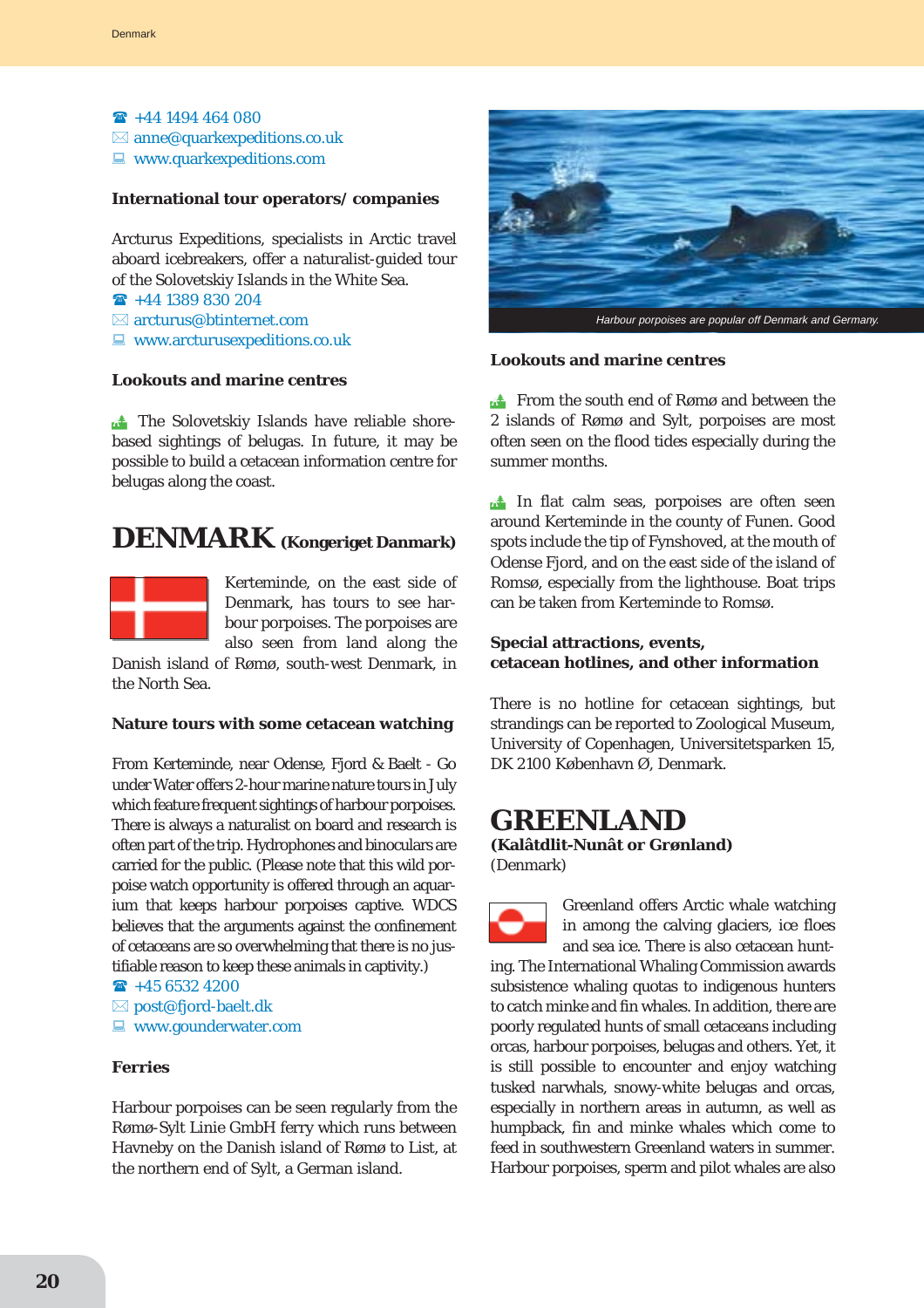$\hat{ }$  +44 1494 464 080  $\boxtimes$  anne@quarkexpeditions.co.uk  $\blacksquare$  www.quarkexpeditions.com

#### **International tour operators/ companies**

Arcturus Expeditions, specialists in Arctic travel aboard icebreakers, offer a naturalist-guided tour of the Solovetskiy Islands in the White Sea.

- $\rightarrow$  +44 1389 830 204
- $\boxtimes$  arcturus@btinternet.com
- $\Box$  www.arcturus expeditions.co.uk

#### **Lookouts and marine centres**

The Solovetskiy Islands have reliable shorebased sightings of belugas. In future, it may be possible to build a cetacean information centre for belugas along the coast.

# **DENMARK (Kongeriget Danmark)**



Kerteminde, on the east side of Denmark, has tours to see harbour porpoises. The porpoises are also seen from land along the

Danish island of Rømø, south-west Denmark, in the North Sea.

#### **Nature tours with some cetacean watching**

From Kerteminde, near Odense, Fjord & Baelt - Go under Water offers 2-hour marine nature tours in July which feature frequent sightings of harbour porpoises. There is always a naturalist on board and research is often part of the trip. Hydrophones and binoculars are carried for the public. (Please note that this wild porpoise watch opportunity is offered through an aquarium that keeps harbour porpoises captive. WDCS believes that the arguments against the confinement of cetaceans are so overwhelming that there is no justifiable reason to keep these animals in captivity.)

 $\rightarrow$  +45 6532 4200

- $\boxtimes$  post@fjord-baelt.dk
- $\blacksquare$  www.gounderwater.com

# **Ferries**

Harbour porpoises can be seen regularly from the Rømø-Sylt Linie GmbH ferry which runs between Havneby on the Danish island of Rømø to List, at the northern end of Sylt, a German island.



#### **Lookouts and marine centres**

**Extra From the south end of Rømø and between the** 2 islands of Rømø and Sylt, porpoises are most often seen on the flood tides especially during the summer months.

 $\triangle$  In flat calm seas, porpoises are often seen around Kerteminde in the county of Funen. Good spots include the tip of Fynshoved, at the mouth of Odense Fjord, and on the east side of the island of Romsø, especially from the lighthouse. Boat trips can be taken from Kerteminde to Romsø.

### **Special attractions, events, cetacean hotlines, and other information**

There is no hotline for cetacean sightings, but strandings can be reported to Zoological Museum, University of Copenhagen, Universitetsparken 15, DK 2100 København Ø, Denmark.

# **GREENLAND**

**(Kalâtdlit-Nunât or Grønland)** (Denmark)

Greenland offers Arctic whale watching in among the calving glaciers, ice floes and sea ice. There is also cetacean hunting. The International Whaling Commission awards subsistence whaling quotas to indigenous hunters to catch minke and fin whales. In addition, there are poorly regulated hunts of small cetaceans including orcas, harbour porpoises, belugas and others. Yet, it is still possible to encounter and enjoy watching tusked narwhals, snowy-white belugas and orcas, especially in northern areas in autumn, as well as humpback, fin and minke whales which come to feed in southwestern Greenland waters in summer. Harbour porpoises, sperm and pilot whales are also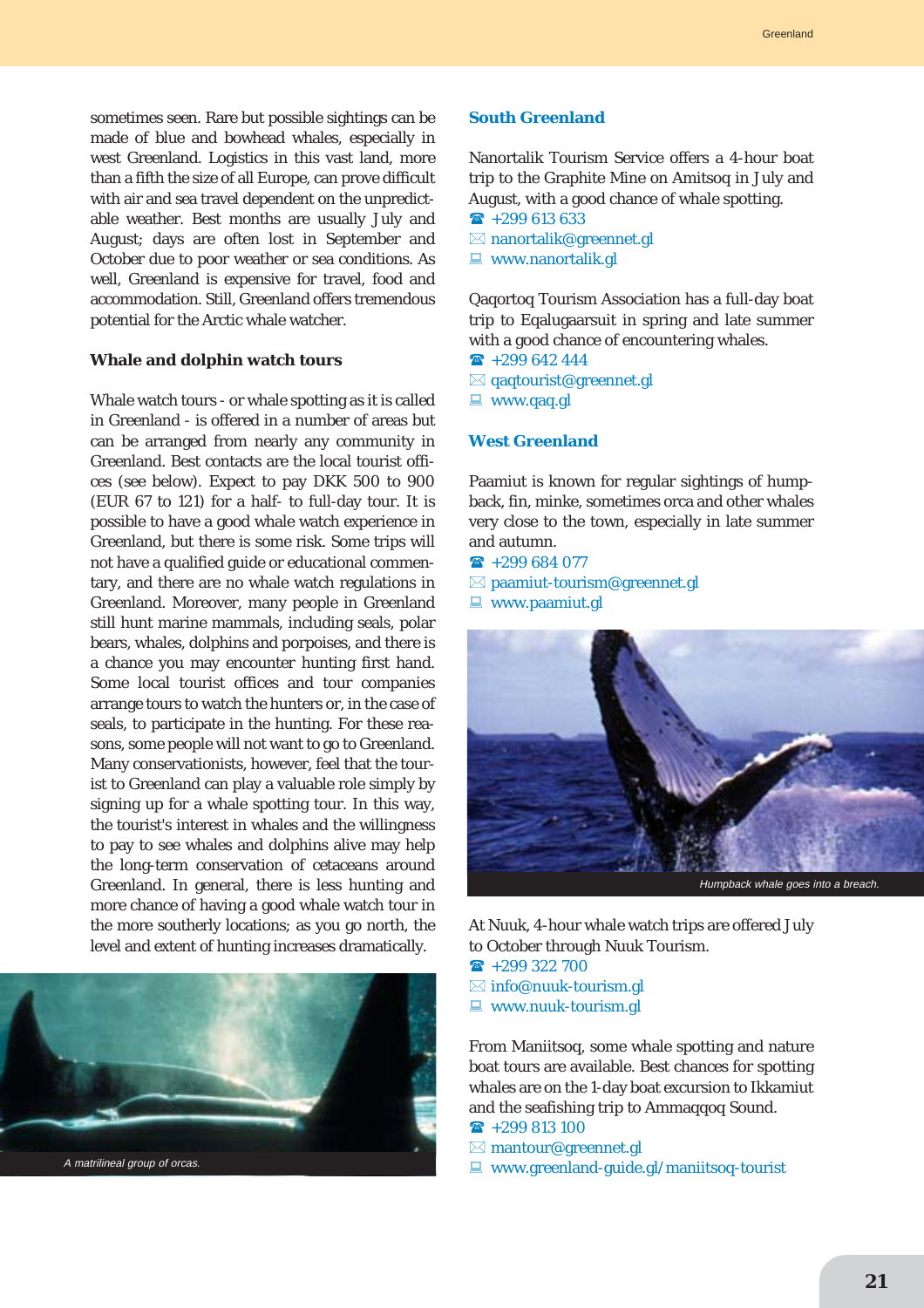sometimes seen. Rare but possible sightings can be made of blue and bowhead whales, especially in west Greenland. Logistics in this vast land, more than a fifth the size of all Europe, can prove difficult with air and sea travel dependent on the unpredictable weather. Best months are usually July and August; days are often lost in September and October due to poor weather or sea conditions. As well, Greenland is expensive for travel, food and accommodation. Still, Greenland offers tremendous potential for the Arctic whale watcher.

#### **Whale and dolphin watch tours**

Whale watch tours - or whale spotting as it is called in Greenland - is offered in a number of areas but can be arranged from nearly any community in Greenland. Best contacts are the local tourist offices (see below). Expect to pay DKK 500 to 900 (EUR 67 to 121) for a half- to full-day tour. It is possible to have a good whale watch experience in Greenland, but there is some risk. Some trips will not have a qualified guide or educational commentary, and there are no whale watch regulations in Greenland. Moreover, many people in Greenland still hunt marine mammals, including seals, polar bears, whales, dolphins and porpoises, and there is a chance you may encounter hunting first hand. Some local tourist offices and tour companies arrange tours to watch the hunters or, in the case of seals, to participate in the hunting. For these reasons, some people will not want to go to Greenland. Many conservationists, however, feel that the tourist to Greenland can play a valuable role simply by signing up for a whale spotting tour. In this way, the tourist's interest in whales and the willingness to pay to see whales and dolphins alive may help the long-term conservation of cetaceans around Greenland. In general, there is less hunting and more chance of having a good whale watch tour in the more southerly locations; as you go north, the level and extent of hunting increases dramatically.



#### **South Greenland**

Nanortalik Tourism Service offers a 4-hour boat trip to the Graphite Mine on Amitsoq in July and August, with a good chance of whale spotting.

- $\hat{ }$  +299 613 633
- $\boxtimes$  nanortalik@greennet.gl
- $\Box$  www.nanortalik.gl

Qaqortoq Tourism Association has a full-day boat trip to Eqalugaarsuit in spring and late summer with a good chance of encountering whales.

- $\bullet$  +299 642 444
- $\boxtimes$  qaqtourist@greennet.gl
- $\blacksquare$  www.qaq.gl

#### **West Greenland**

Paamiut is known for regular sightings of humpback, fin, minke, sometimes orca and other whales very close to the town, especially in late summer and autumn.

 $\hat{ }$  +299 684 077

 $\boxtimes$  paamiut-tourism@greennet.gl  $\Box$  www.paamiut.gl



At Nuuk, 4-hour whale watch trips are offered July to October through Nuuk Tourism.

- $\textbf{R}$  +299 322 700
- $\boxtimes$  info@nuuk-tourism.gl
- 
- $\Box$  www.nuuk-tourism.gl

From Maniitsoq, some whale spotting and nature boat tours are available. Best chances for spotting whales are on the 1-day boat excursion to Ikkamiut and the seafishing trip to Ammaqqoq Sound.

- $\textbf{R}$  +299 813 100
- $\boxtimes$  mantour@greennet.gl
- $\Box$  www.greenland-guide.gl/maniitsoq-tourist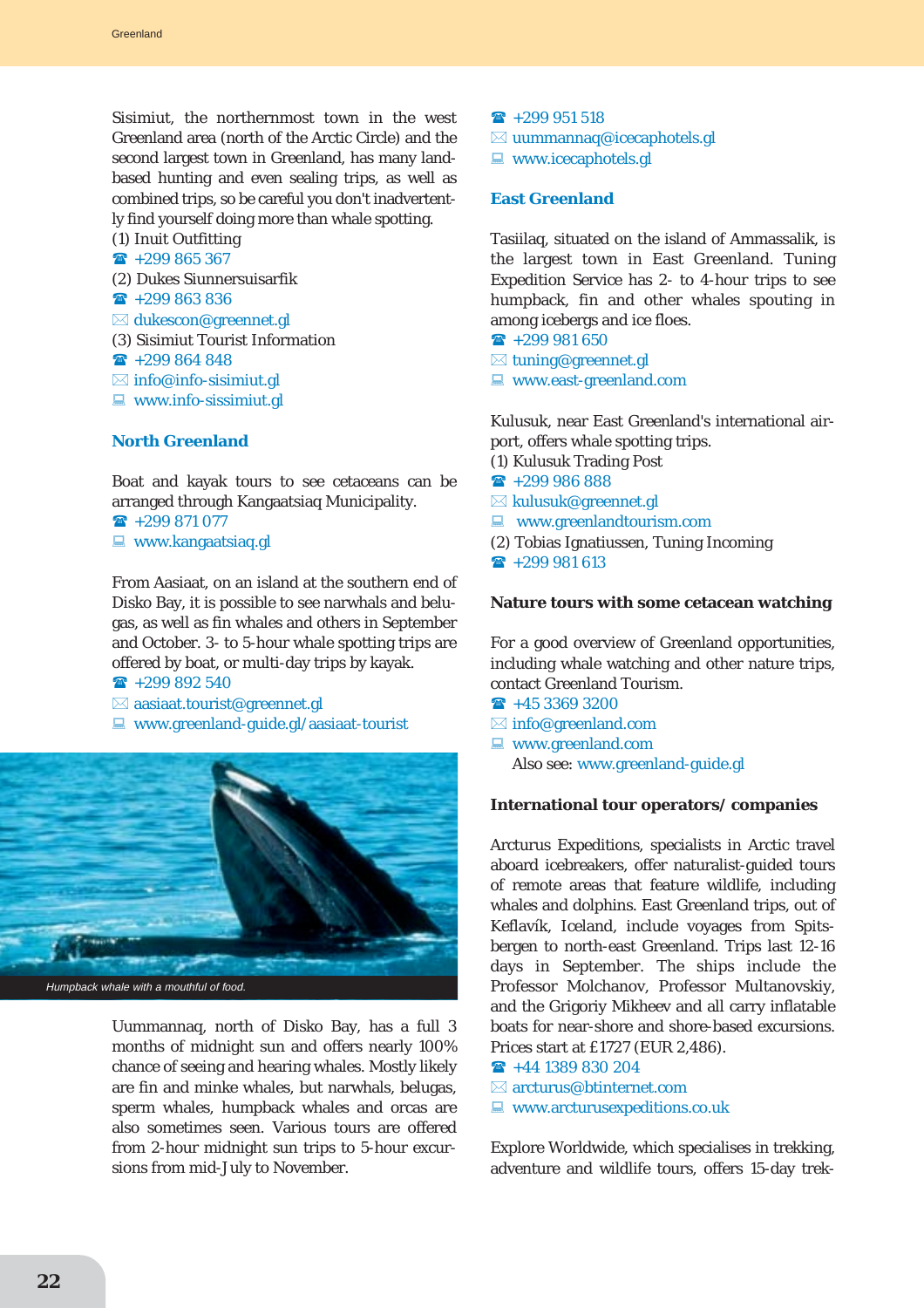Sisimiut, the northernmost town in the west Greenland area (north of the Arctic Circle) and the second largest town in Greenland, has many landbased hunting and even sealing trips, as well as combined trips, so be careful you don't inadvertently find yourself doing more than whale spotting.

(1) Inuit Outfitting  $\textbf{R}$  +299 865 367

(2) Dukes Siunnersuisarfik

- $\textbf{R}$  +299 863 836
- $\boxtimes$  dukescon@greennet.gl
- (3) Sisimiut Tourist Information
- $\textbf{R}$  +299 864 848
- $\boxtimes$  info@info-sisimiut.gl
- $\Box$  www.info-sissimiut.gl

#### **North Greenland**

Boat and kayak tours to see cetaceans can be arranged through Kangaatsiaq Municipality.

 $\mathbf{R}$  +299 871 077

 $\Box$  www.kangaatsiaq.gl

From Aasiaat, on an island at the southern end of Disko Bay, it is possible to see narwhals and belugas, as well as fin whales and others in September and October. 3- to 5-hour whale spotting trips are offered by boat, or multi-day trips by kayak.  $\rightarrow$  +299 892 540

- $\boxtimes$  aasiaat.tourist@greennet.gl
- $\Box$  www.greenland-guide.gl/aasiaat-tourist



Uummannaq, north of Disko Bay, has a full 3 months of midnight sun and offers nearly 100% chance of seeing and hearing whales. Mostly likely are fin and minke whales, but narwhals, belugas, sperm whales, humpback whales and orcas are also sometimes seen. Various tours are offered from 2-hour midnight sun trips to 5-hour excursions from mid-July to November.

- $\textbf{R}$  +299 951 518
- $\boxtimes$  uummannaq@icecaphotels.gl
- $\Box$  www.icecaphotels.gl

# **East Greenland**

Tasiilaq, situated on the island of Ammassalik, is the largest town in East Greenland. Tuning Expedition Service has 2- to 4-hour trips to see humpback, fin and other whales spouting in among icebergs and ice floes.

- $\textbf{R}$  +299 981 650
- $\boxtimes$  tuning@greennet.gl
- $\blacksquare$  www.east-greenland.com

Kulusuk, near East Greenland's international airport, offers whale spotting trips.

- (1) Kulusuk Trading Post
- $\hat{ }$  +299 986 888
- $\boxtimes$  kulusuk@greennet.gl
- $\blacksquare$  www.greenlandtourism.com
- (2) Tobias Ignatiussen, Tuning Incoming
- $\textbf{R}$  +299 981 613

### **Nature tours with some cetacean watching**

For a good overview of Greenland opportunities, including whale watching and other nature trips, contact Greenland Tourism.

- $\hat{ }$  +45 3369 3200
- $\boxtimes$  info@greenland.com
- $\Box$  www.greenland.com Also see: www.greenland-guide.gl

#### **International tour operators/ companies**

Arcturus Expeditions, specialists in Arctic travel aboard icebreakers, offer naturalist-guided tours of remote areas that feature wildlife, including whales and dolphins. East Greenland trips, out of Keflavík, Iceland, include voyages from Spitsbergen to north-east Greenland. Trips last 12-16 days in September. The ships include the Professor Molchanov, Professor Multanovskiy, and the Grigoriy Mikheev and all carry inflatable boats for near-shore and shore-based excursions. Prices start at £1727 (EUR 2,486).

- $\rightarrow$  +44 1389 830 204
- $\boxtimes$  arcturus@btinternet.com
- $\blacksquare$  www.arcturusexpeditions.co.uk

Explore Worldwide, which specialises in trekking, adventure and wildlife tours, offers 15-day trek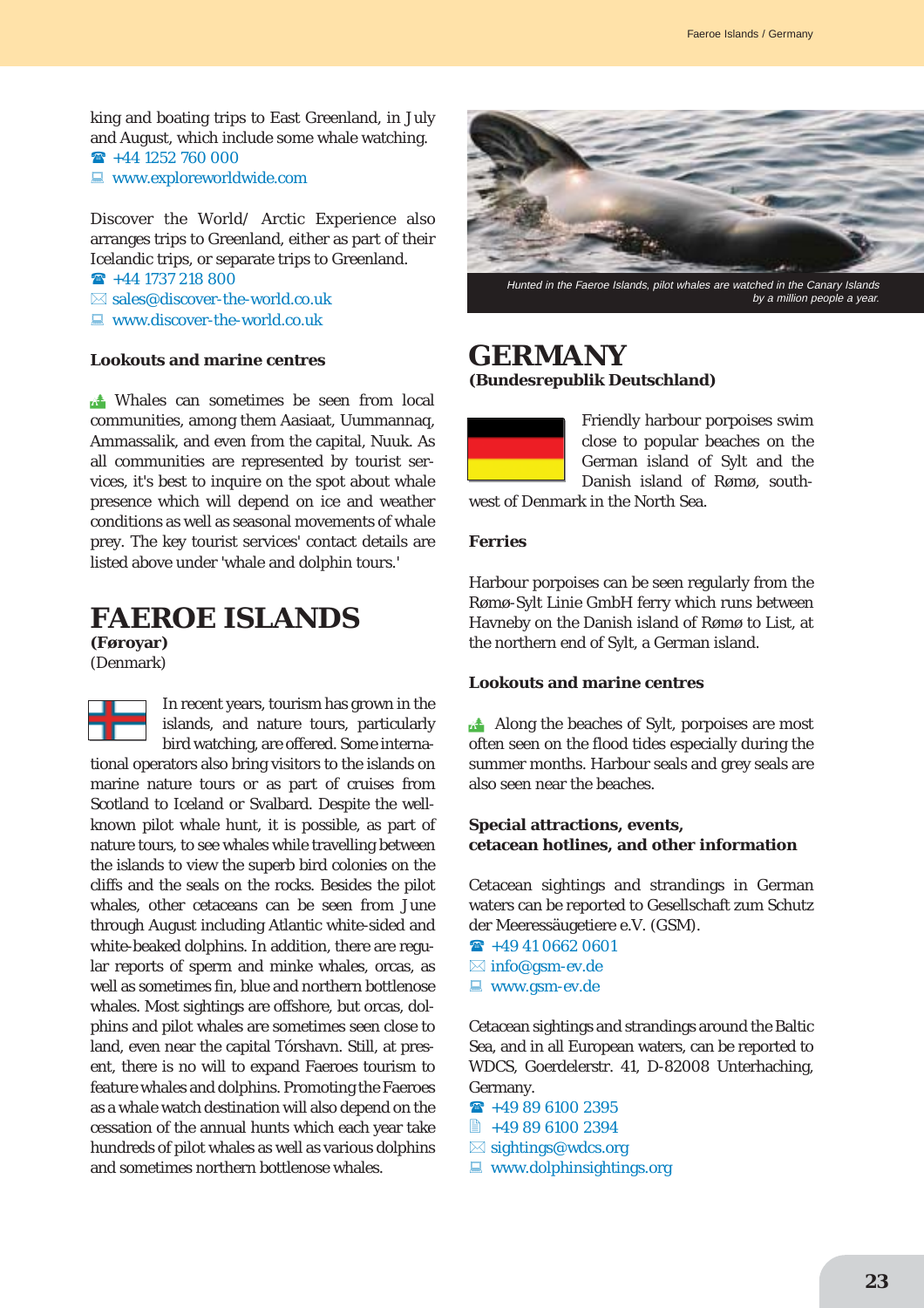king and boating trips to East Greenland, in July and August, which include some whale watching.

 $\mathbf{R}$  +44 1252 760 000

 $\Box$  www.exploreworldwide.com

Discover the World/ Arctic Experience also arranges trips to Greenland, either as part of their Icelandic trips, or separate trips to Greenland.

- $\rightarrow$  +44 1737 218 800
- $\boxtimes$  sales@discover-the-world.co.uk
- $\Box$  www.discover-the-world.co.uk

# **Lookouts and marine centres**

**A** Whales can sometimes be seen from local communities, among them Aasiaat, Uummannaq, Ammassalik, and even from the capital, Nuuk. As all communities are represented by tourist services, it's best to inquire on the spot about whale presence which will depend on ice and weather conditions as well as seasonal movements of whale prey. The key tourist services' contact details are listed above under 'whale and dolphin tours.'

# **FAEROE ISLANDS**

**(Føroyar)** (Denmark)

In recent years, tourism has grown in the islands, and nature tours, particularly T bird watching, are offered. Some international operators also bring visitors to the islands on marine nature tours or as part of cruises from Scotland to Iceland or Svalbard. Despite the wellknown pilot whale hunt, it is possible, as part of nature tours, to see whales while travelling between the islands to view the superb bird colonies on the cliffs and the seals on the rocks. Besides the pilot whales, other cetaceans can be seen from June through August including Atlantic white-sided and white-beaked dolphins. In addition, there are regular reports of sperm and minke whales, orcas, as well as sometimes fin, blue and northern bottlenose whales. Most sightings are offshore, but orcas, dolphins and pilot whales are sometimes seen close to land, even near the capital Tórshavn. Still, at present, there is no will to expand Faeroes tourism to feature whales and dolphins. Promoting the Faeroes as a whale watch destination will also depend on the cessation of the annual hunts which each year take hundreds of pilot whales as well as various dolphins and sometimes northern bottlenose whales.



Hunted in the Faeroe Islands, pilot whales are watched in the Canary Islands by a million people a year.

# **GERMANY (Bundesrepublik Deutschland)**



Friendly harbour porpoises swim close to popular beaches on the German island of Sylt and the Danish island of Rømø, south-

west of Denmark in the North Sea.

#### **Ferries**

Harbour porpoises can be seen regularly from the Rømø-Sylt Linie GmbH ferry which runs between Havneby on the Danish island of Rømø to List, at the northern end of Sylt, a German island.

#### **Lookouts and marine centres**

Along the beaches of Sylt, porpoises are most often seen on the flood tides especially during the summer months. Harbour seals and grey seals are also seen near the beaches.

# **Special attractions, events, cetacean hotlines, and other information**

Cetacean sightings and strandings in German waters can be reported to Gesellschaft zum Schutz der Meeressäugetiere e.V. (GSM).

- $\mathbf{\widehat{R}}$  +49 41 0662 0601
- $\boxtimes$  info@gsm-ev.de
- $\blacksquare$  www.gsm-ev.de

Cetacean sightings and strandings around the Baltic Sea, and in all European waters, can be reported to WDCS, Goerdelerstr. 41, D-82008 Unterhaching, Germany.

- $\rightarrow$  +49 89 6100 2395
- +49 89 6100 2394
- $\boxtimes$  sightings@wdcs.org
- $\Box$  www.dolphinsightings.org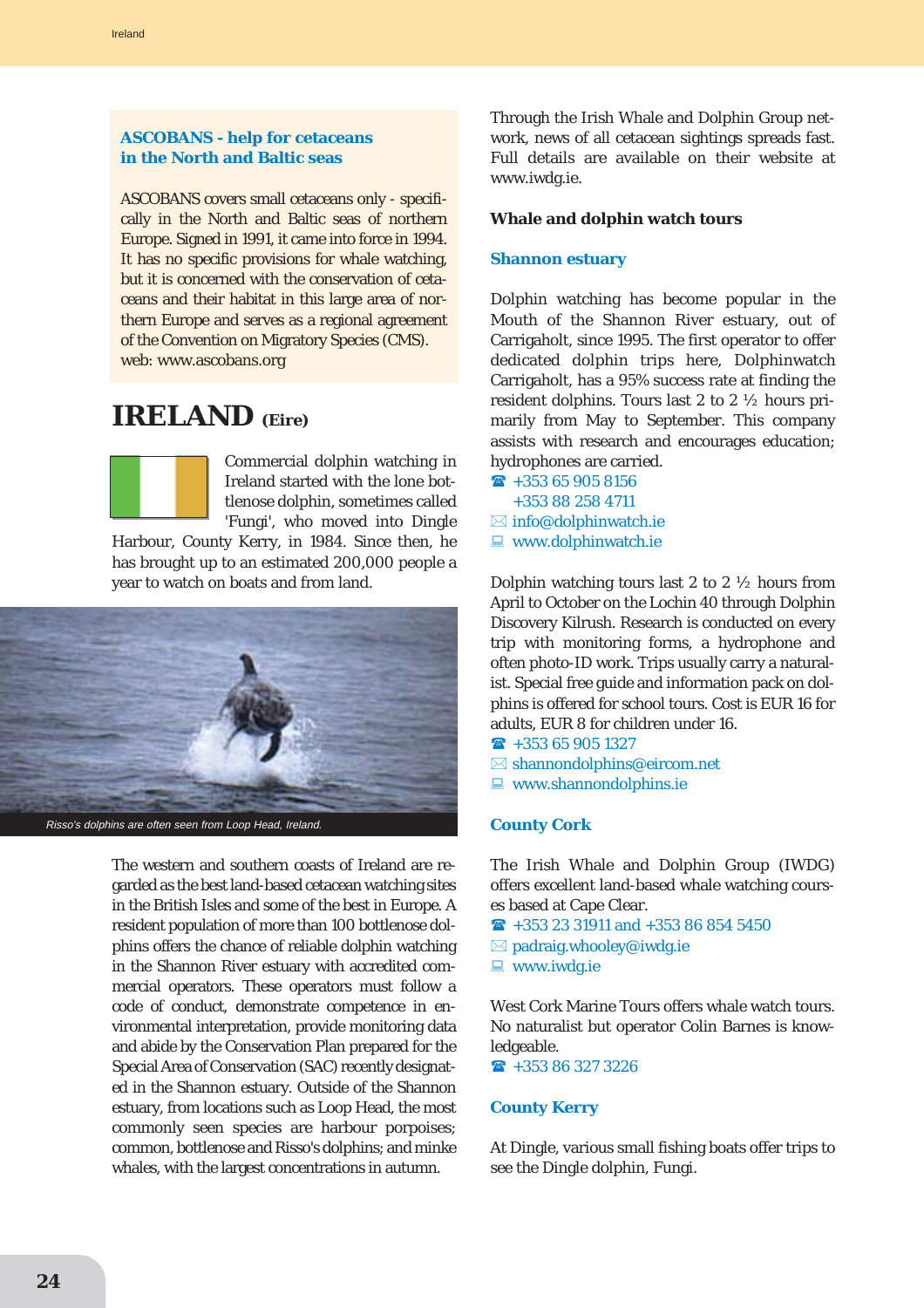# **ASCOBANS - help for cetaceans in the North and Baltic seas**

ASCOBANS covers small cetaceans only - specifically in the North and Baltic seas of northern Europe. Signed in 1991, it came into force in 1994. It has no specific provisions for whale watching, but it is concerned with the conservation of cetaceans and their habitat in this large area of northern Europe and serves as a regional agreement of the Convention on Migratory Species (CMS). web: www.ascobans.org

# **IRELAND (Eire)**



Commercial dolphin watching in Ireland started with the lone bottlenose dolphin, sometimes called 'Fungi', who moved into Dingle

Harbour, County Kerry, in 1984. Since then, he has brought up to an estimated 200,000 people a year to watch on boats and from land.



Risso's dolphins are often seen from Loop Head, Ireland.

The western and southern coasts of Ireland are regarded as the best land-based cetacean watching sites in the British Isles and some of the best in Europe. A resident population of more than 100 bottlenose dolphins offers the chance of reliable dolphin watching in the Shannon River estuary with accredited commercial operators. These operators must follow a code of conduct, demonstrate competence in environmental interpretation, provide monitoring data and abide by the Conservation Plan prepared for the Special Area of Conservation (SAC) recently designated in the Shannon estuary. Outside of the Shannon estuary, from locations such as Loop Head, the most commonly seen species are harbour porpoises; common, bottlenose and Risso's dolphins; and minke whales, with the largest concentrations in autumn.

Through the Irish Whale and Dolphin Group network, news of all cetacean sightings spreads fast. Full details are available on their website at www.iwdg.ie.

#### **Whale and dolphin watch tours**

#### **Shannon estuary**

Dolphin watching has become popular in the Mouth of the Shannon River estuary, out of Carrigaholt, since 1995. The first operator to offer dedicated dolphin trips here, Dolphinwatch Carrigaholt, has a 95% success rate at finding the resident dolphins. Tours last 2 to 2 ½ hours primarily from May to September. This company assists with research and encourages education; hydrophones are carried.

- $\rightarrow$  +353 65 905 8156 +353 88 258 4711
- $\boxtimes$  info@dolphinwatch.ie
- $\blacksquare$  www.dolphinwatch.ie

Dolphin watching tours last 2 to 2 ½ hours from April to October on the Lochin 40 through Dolphin Discovery Kilrush. Research is conducted on every trip with monitoring forms, a hydrophone and often photo-ID work. Trips usually carry a naturalist. Special free guide and information pack on dolphins is offered for school tours. Cost is EUR 16 for adults, EUR 8 for children under 16.

- $\hat{R}$  +353 65 905 1327
- $\boxtimes$  shannondolphins@eircom.net
- $\blacksquare$  www.shannondolphins.ie

### **County Cork**

The Irish Whale and Dolphin Group (IWDG) offers excellent land-based whale watching courses based at Cape Clear.

- $\rightarrow$  +353 23 31911 and +353 86 854 5450
- $\boxtimes$  padraig.whooley@iwdg.ie
- $\blacksquare$  www.iwdg.ie

West Cork Marine Tours offers whale watch tours. No naturalist but operator Colin Barnes is knowledgeable.

 $\rightarrow$  +353 86 327 3226

#### **County Kerry**

At Dingle, various small fishing boats offer trips to see the Dingle dolphin, Fungi.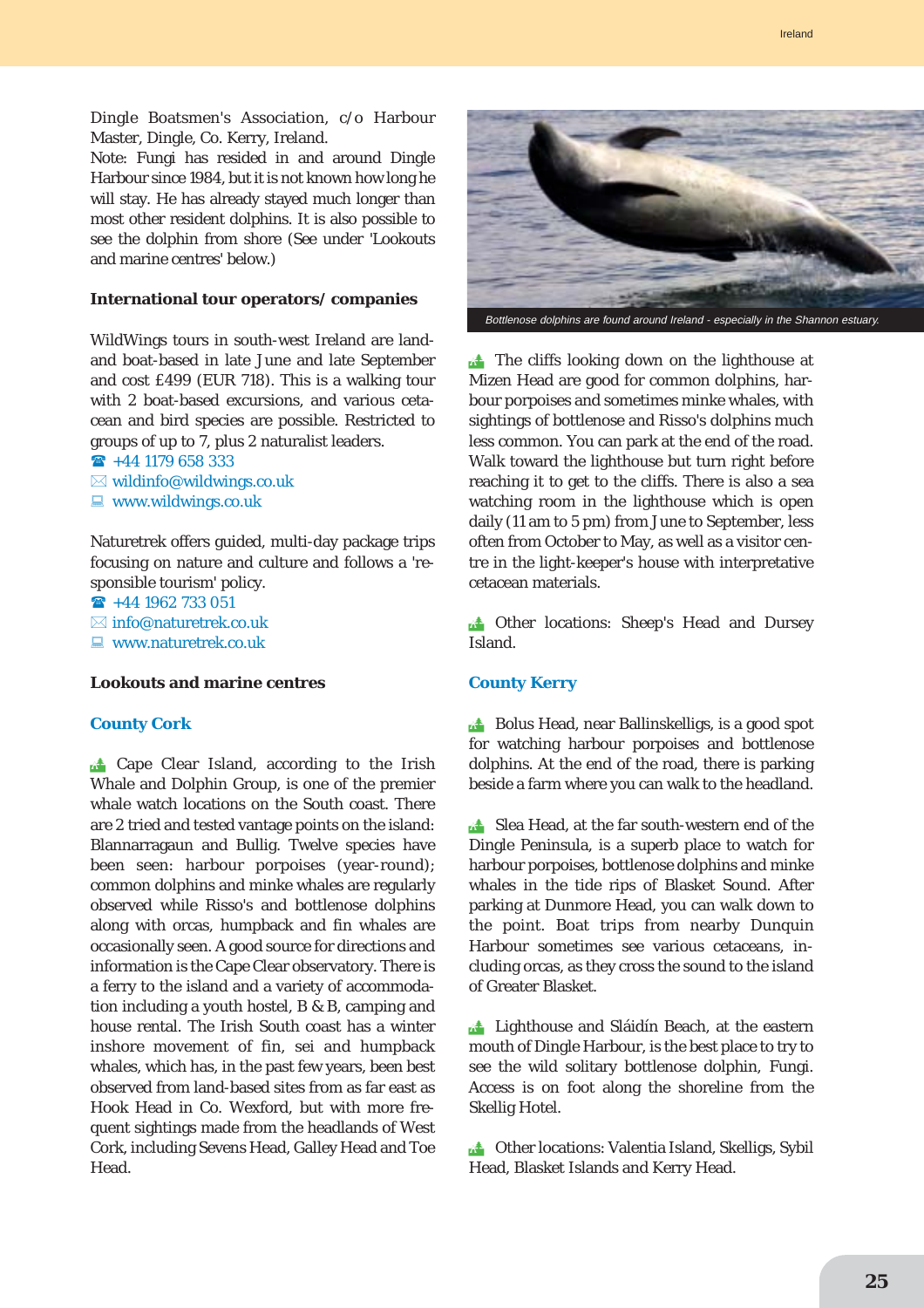Dingle Boatsmen's Association, c/o Harbour Master, Dingle, Co. Kerry, Ireland.

Note: Fungi has resided in and around Dingle Harbour since 1984, but it is not known how long he will stay. He has already stayed much longer than most other resident dolphins. It is also possible to see the dolphin from shore (See under 'Lookouts and marine centres' below.)

#### **International tour operators/ companies**

WildWings tours in south-west Ireland are landand boat-based in late June and late September and cost £499 (EUR 718). This is a walking tour with 2 boat-based excursions, and various cetacean and bird species are possible. Restricted to groups of up to 7, plus 2 naturalist leaders.

 $\bullet$  +44 1179 658 333  $\boxtimes$  wildinfo@wildwings.co.uk  $\Box$  www.wildwings.co.uk

Naturetrek offers guided, multi-day package trips focusing on nature and culture and follows a 'responsible tourism' policy.

 $\rightarrow$  +44 1962 733 051  $\boxtimes$  info@naturetrek.co.uk

 $\Box$  www.naturetrek.co.uk

#### **Lookouts and marine centres**

#### **County Cork**

**Extrace Clear Island, according to the Irish** Whale and Dolphin Group, is one of the premier whale watch locations on the South coast. There are 2 tried and tested vantage points on the island: Blannarragaun and Bullig. Twelve species have been seen: harbour porpoises (year-round); common dolphins and minke whales are regularly observed while Risso's and bottlenose dolphins along with orcas, humpback and fin whales are occasionally seen. A good source for directions and information is the Cape Clear observatory. There is a ferry to the island and a variety of accommodation including a youth hostel, B & B, camping and house rental. The Irish South coast has a winter inshore movement of fin, sei and humpback whales, which has, in the past few years, been best observed from land-based sites from as far east as Hook Head in Co. Wexford, but with more frequent sightings made from the headlands of West Cork, including Sevens Head, Galley Head and Toe Head.



**the cliffs looking down on the lighthouse at** Mizen Head are good for common dolphins, harbour porpoises and sometimes minke whales, with sightings of bottlenose and Risso's dolphins much less common. You can park at the end of the road. Walk toward the lighthouse but turn right before reaching it to get to the cliffs. There is also a sea watching room in the lighthouse which is open daily (11 am to 5 pm) from June to September, less often from October to May, as well as a visitor centre in the light-keeper's house with interpretative cetacean materials.

**. Other locations: Sheep's Head and Dursey** Island.

#### **County Kerry**

**Bolus Head, near Ballinskelligs, is a good spot** for watching harbour porpoises and bottlenose dolphins. At the end of the road, there is parking beside a farm where you can walk to the headland.

Slea Head, at the far south-western end of the Dingle Peninsula, is a superb place to watch for harbour porpoises, bottlenose dolphins and minke whales in the tide rips of Blasket Sound. After parking at Dunmore Head, you can walk down to the point. Boat trips from nearby Dunquin Harbour sometimes see various cetaceans, including orcas, as they cross the sound to the island of Greater Blasket.

**External External Sláidín Beach, at the eastern** mouth of Dingle Harbour, is the best place to try to see the wild solitary bottlenose dolphin, Fungi. Access is on foot along the shoreline from the Skellig Hotel.

**14** Other locations: Valentia Island, Skelligs, Sybil Head, Blasket Islands and Kerry Head.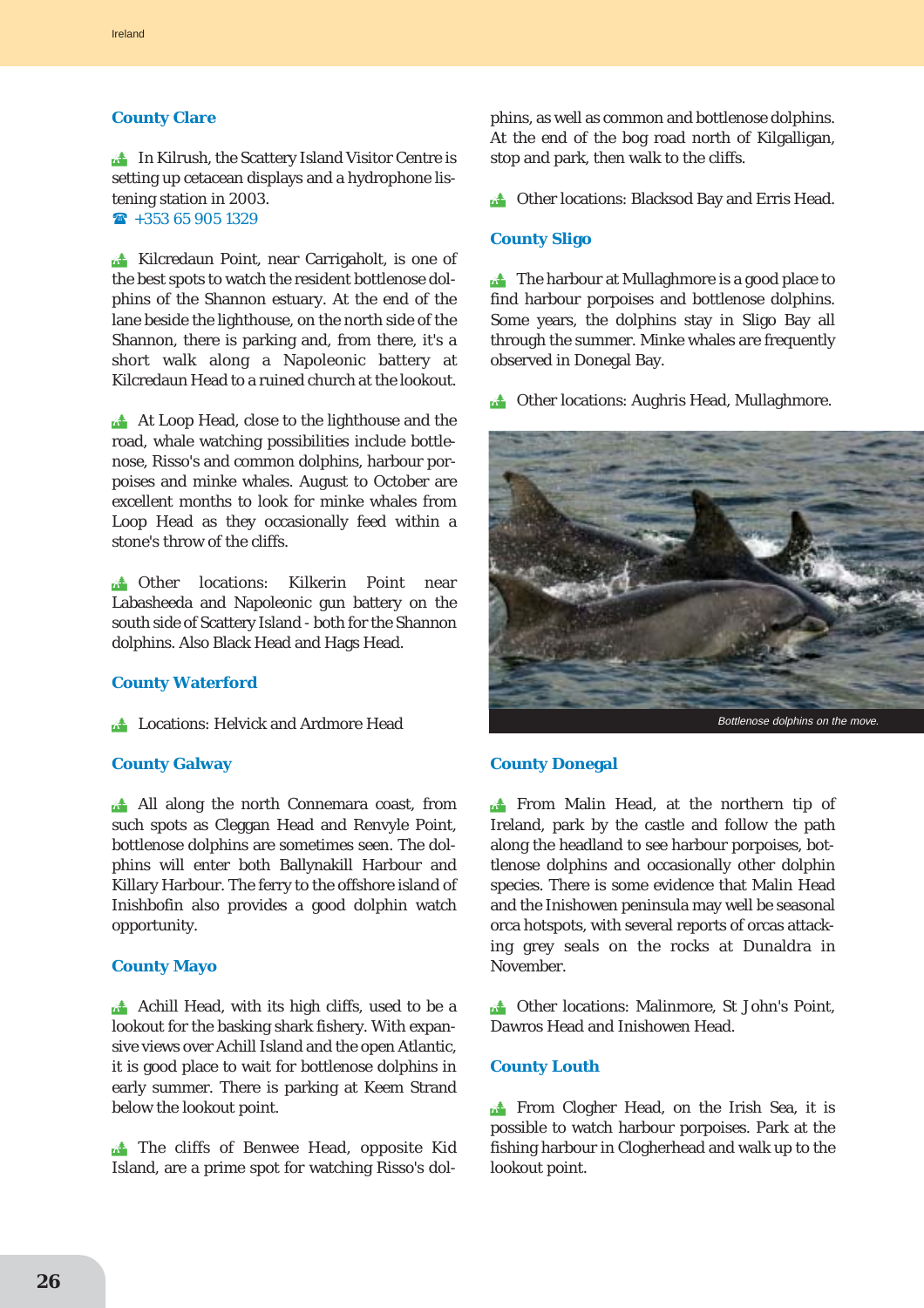#### **County Clare**

**In Kilrush, the Scattery Island Visitor Centre is** setting up cetacean displays and a hydrophone listening station in 2003.

 $\hat{ }$  +353 65 905 1329

! Kilcredaun Point, near Carrigaholt, is one of the best spots to watch the resident bottlenose dolphins of the Shannon estuary. At the end of the lane beside the lighthouse, on the north side of the Shannon, there is parking and, from there, it's a short walk along a Napoleonic battery at Kilcredaun Head to a ruined church at the lookout.

At Loop Head, close to the lighthouse and the road, whale watching possibilities include bottlenose, Risso's and common dolphins, harbour porpoises and minke whales. August to October are excellent months to look for minke whales from Loop Head as they occasionally feed within a stone's throw of the cliffs.

**the Other locations: Kilkerin Point near** Labasheeda and Napoleonic gun battery on the south side of Scattery Island - both for the Shannon dolphins. Also Black Head and Hags Head.

#### **County Waterford**

**External Exercise: Helvick and Ardmore Head** 

#### **County Galway**

**All along the north Connemara coast, from** such spots as Cleggan Head and Renvyle Point, bottlenose dolphins are sometimes seen. The dolphins will enter both Ballynakill Harbour and Killary Harbour. The ferry to the offshore island of Inishbofin also provides a good dolphin watch opportunity.

#### **County Mayo**

**Achill Head, with its high cliffs, used to be a** lookout for the basking shark fishery. With expansive views over Achill Island and the open Atlantic, it is good place to wait for bottlenose dolphins in early summer. There is parking at Keem Strand below the lookout point.

**the cliffs of Benwee Head, opposite Kid** Island, are a prime spot for watching Risso's dolphins, as well as common and bottlenose dolphins. At the end of the bog road north of Kilgalligan, stop and park, then walk to the cliffs.

**. Other locations: Blacksod Bay and Erris Head.** 

#### **County Sligo**

 $\triangle$  The harbour at Mullaghmore is a good place to find harbour porpoises and bottlenose dolphins. Some years, the dolphins stay in Sligo Bay all through the summer. Minke whales are frequently observed in Donegal Bay.

**14 Other locations: Aughris Head, Mullaghmore.** 



#### **County Donegal**

**Extra From Malin Head, at the northern tip of** Ireland, park by the castle and follow the path along the headland to see harbour porpoises, bottlenose dolphins and occasionally other dolphin species. There is some evidence that Malin Head and the Inishowen peninsula may well be seasonal orca hotspots, with several reports of orcas attacking grey seals on the rocks at Dunaldra in November.

**1.4** Other locations: Malinmore, St John's Point, Dawros Head and Inishowen Head.

#### **County Louth**

**Extra From Clogher Head, on the Irish Sea, it is** possible to watch harbour porpoises. Park at the fishing harbour in Clogherhead and walk up to the lookout point.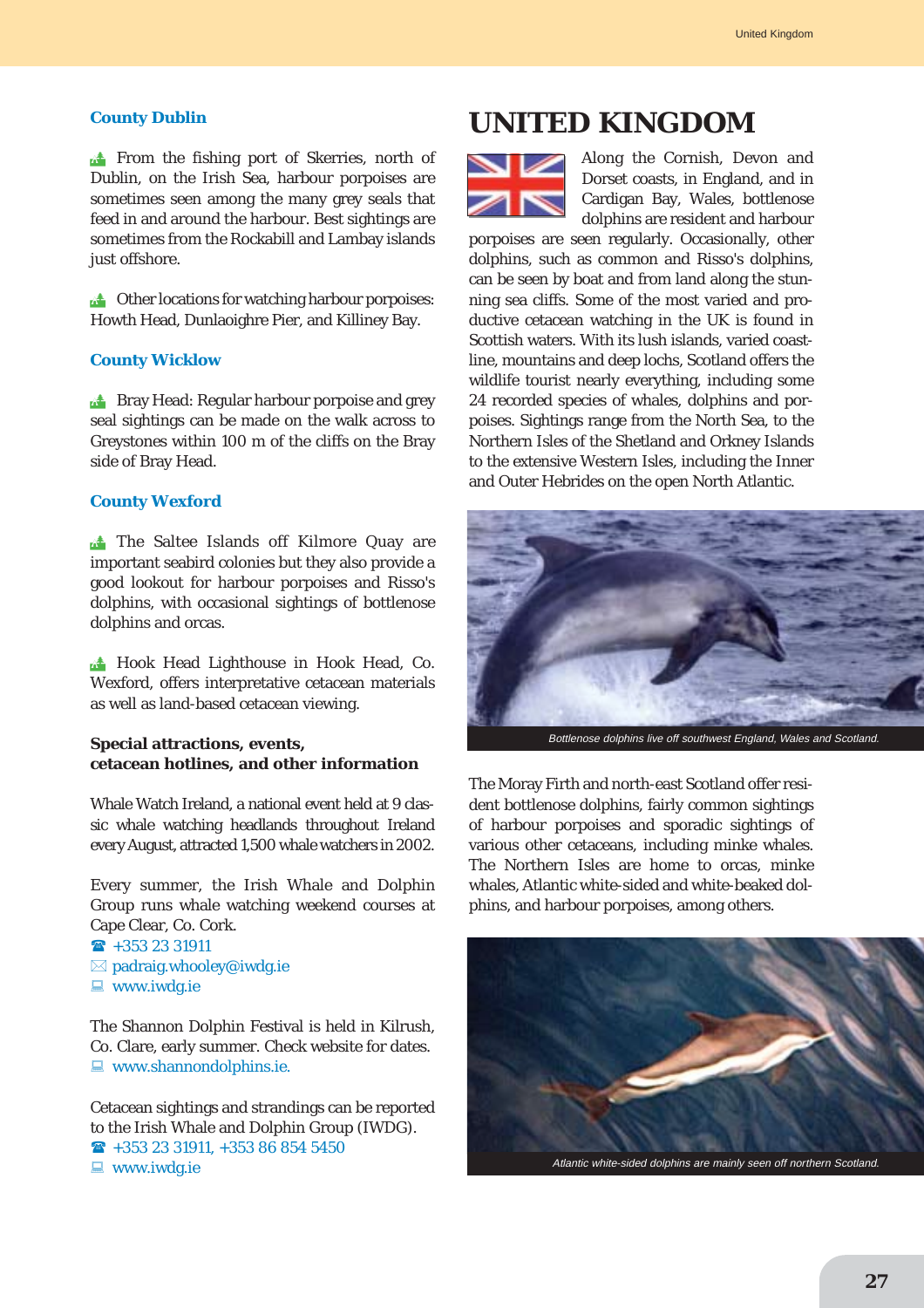#### **County Dublin**

**Ext** From the fishing port of Skerries, north of Dublin, on the Irish Sea, harbour porpoises are sometimes seen among the many grey seals that feed in and around the harbour. Best sightings are sometimes from the Rockabill and Lambay islands just offshore.

 $\triangle$  Other locations for watching harbour porpoises: Howth Head, Dunlaoighre Pier, and Killiney Bay.

#### **County Wicklow**

**Example 18 Bray Head: Regular harbour porpoise and grey** seal sightings can be made on the walk across to Greystones within 100 m of the cliffs on the Bray side of Bray Head.

#### **County Wexford**

The Saltee Islands off Kilmore Quay are important seabird colonies but they also provide a good lookout for harbour porpoises and Risso's dolphins, with occasional sightings of bottlenose dolphins and orcas.

**14 Hook Head Lighthouse in Hook Head, Co.** Wexford, offers interpretative cetacean materials as well as land-based cetacean viewing.

### **Special attractions, events, cetacean hotlines, and other information**

Whale Watch Ireland, a national event held at 9 classic whale watching headlands throughout Ireland every August, attracted 1,500 whale watchers in 2002.

Every summer, the Irish Whale and Dolphin Group runs whale watching weekend courses at Cape Clear, Co. Cork.

- $\hat{ }$  +353 23 31911  $\boxtimes$  padraig.whooley@iwdg.ie
- $\Box$  www.iwdg.ie

The Shannon Dolphin Festival is held in Kilrush, Co. Clare, early summer. Check website for dates.  $\blacksquare$  www.shannondolphins.ie.

Cetacean sightings and strandings can be reported to the Irish Whale and Dolphin Group (IWDG).  $\hat{ }$  +353 23 31911, +353 86 854 5450  $\Box$  www.iwdg.ie

# **UNITED KINGDOM**



Along the Cornish, Devon and Dorset coasts, in England, and in Cardigan Bay, Wales, bottlenose dolphins are resident and harbour

porpoises are seen regularly. Occasionally, other dolphins, such as common and Risso's dolphins, can be seen by boat and from land along the stunning sea cliffs. Some of the most varied and productive cetacean watching in the UK is found in Scottish waters. With its lush islands, varied coastline, mountains and deep lochs, Scotland offers the wildlife tourist nearly everything, including some 24 recorded species of whales, dolphins and porpoises. Sightings range from the North Sea, to the Northern Isles of the Shetland and Orkney Islands to the extensive Western Isles, including the Inner and Outer Hebrides on the open North Atlantic.



Bottlenose dolphins live off southwest England, Wales and Scotland.

The Moray Firth and north-east Scotland offer resident bottlenose dolphins, fairly common sightings of harbour porpoises and sporadic sightings of various other cetaceans, including minke whales. The Northern Isles are home to orcas, minke whales, Atlantic white-sided and white-beaked dolphins, and harbour porpoises, among others.

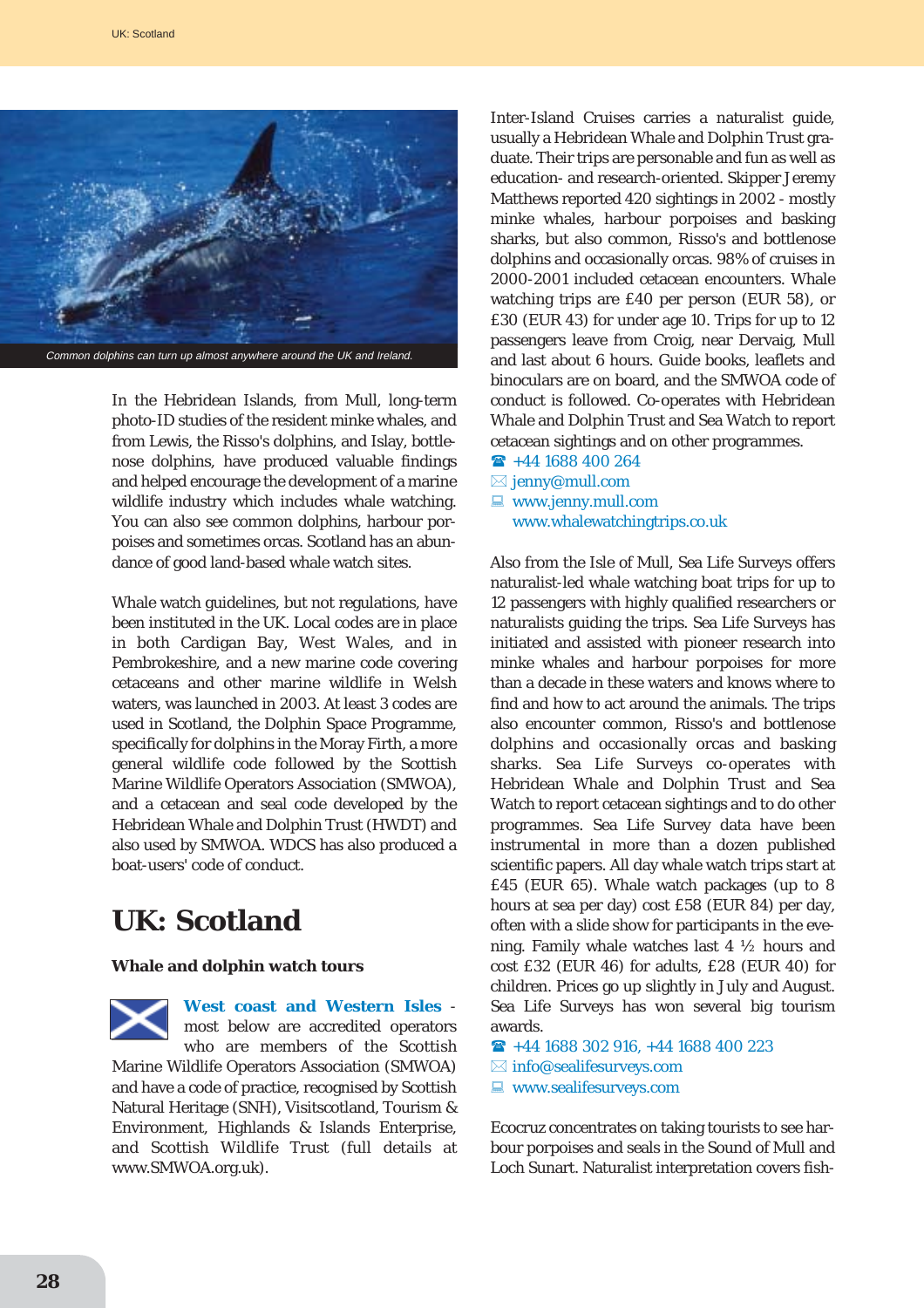

In the Hebridean Islands, from Mull, long-term photo-ID studies of the resident minke whales, and from Lewis, the Risso's dolphins, and Islay, bottlenose dolphins, have produced valuable findings and helped encourage the development of a marine wildlife industry which includes whale watching. You can also see common dolphins, harbour porpoises and sometimes orcas. Scotland has an abundance of good land-based whale watch sites.

Whale watch guidelines, but not regulations, have been instituted in the UK. Local codes are in place in both Cardigan Bay, West Wales, and in Pembrokeshire, and a new marine code covering cetaceans and other marine wildlife in Welsh waters, was launched in 2003. At least 3 codes are used in Scotland, the Dolphin Space Programme, specifically for dolphins in the Moray Firth, a more general wildlife code followed by the Scottish Marine Wildlife Operators Association (SMWOA), and a cetacean and seal code developed by the Hebridean Whale and Dolphin Trust (HWDT) and also used by SMWOA. WDCS has also produced a boat-users' code of conduct.

# **UK: Scotland**

#### **Whale and dolphin watch tours**

**West coast and Western Isles** most below are accredited operators who are members of the Scottish

Marine Wildlife Operators Association (SMWOA) and have a code of practice, recognised by Scottish Natural Heritage (SNH), Visitscotland, Tourism & Environment, Highlands & Islands Enterprise, and Scottish Wildlife Trust (full details at www.SMWOA.org.uk).

Inter-Island Cruises carries a naturalist guide, usually a Hebridean Whale and Dolphin Trust graduate. Their trips are personable and fun as well as education- and research-oriented. Skipper Jeremy Matthews reported 420 sightings in 2002 - mostly minke whales, harbour porpoises and basking sharks, but also common, Risso's and bottlenose dolphins and occasionally orcas. 98% of cruises in 2000-2001 included cetacean encounters. Whale watching trips are £40 per person (EUR 58), or £30 (EUR 43) for under age 10. Trips for up to 12 passengers leave from Croig, near Dervaig, Mull and last about 6 hours. Guide books, leaflets and binoculars are on board, and the SMWOA code of conduct is followed. Co-operates with Hebridean Whale and Dolphin Trust and Sea Watch to report cetacean sightings and on other programmes.

- $\textbf{R}$  +44 1688 400 264
- $\boxtimes$  jenny@mull.com
- $\blacksquare$  www.jenny.mull.com www.whalewatchingtrips.co.uk

Also from the Isle of Mull, Sea Life Surveys offers naturalist-led whale watching boat trips for up to 12 passengers with highly qualified researchers or naturalists guiding the trips. Sea Life Surveys has initiated and assisted with pioneer research into minke whales and harbour porpoises for more than a decade in these waters and knows where to find and how to act around the animals. The trips also encounter common, Risso's and bottlenose dolphins and occasionally orcas and basking sharks. Sea Life Surveys co-operates with Hebridean Whale and Dolphin Trust and Sea Watch to report cetacean sightings and to do other programmes. Sea Life Survey data have been instrumental in more than a dozen published scientific papers. All day whale watch trips start at £45 (EUR 65). Whale watch packages (up to 8 hours at sea per day) cost £58 (EUR 84) per day, often with a slide show for participants in the evening. Family whale watches last 4 ½ hours and cost £32 (EUR 46) for adults, £28 (EUR 40) for children. Prices go up slightly in July and August. Sea Life Surveys has won several big tourism awards.

 $\rightarrow$  +44 1688 302 916, +44 1688 400 223

- $\boxtimes$  info@sealifesurveys.com
- $\blacksquare$  www.sealifesurveys.com

Ecocruz concentrates on taking tourists to see harbour porpoises and seals in the Sound of Mull and Loch Sunart. Naturalist interpretation covers fish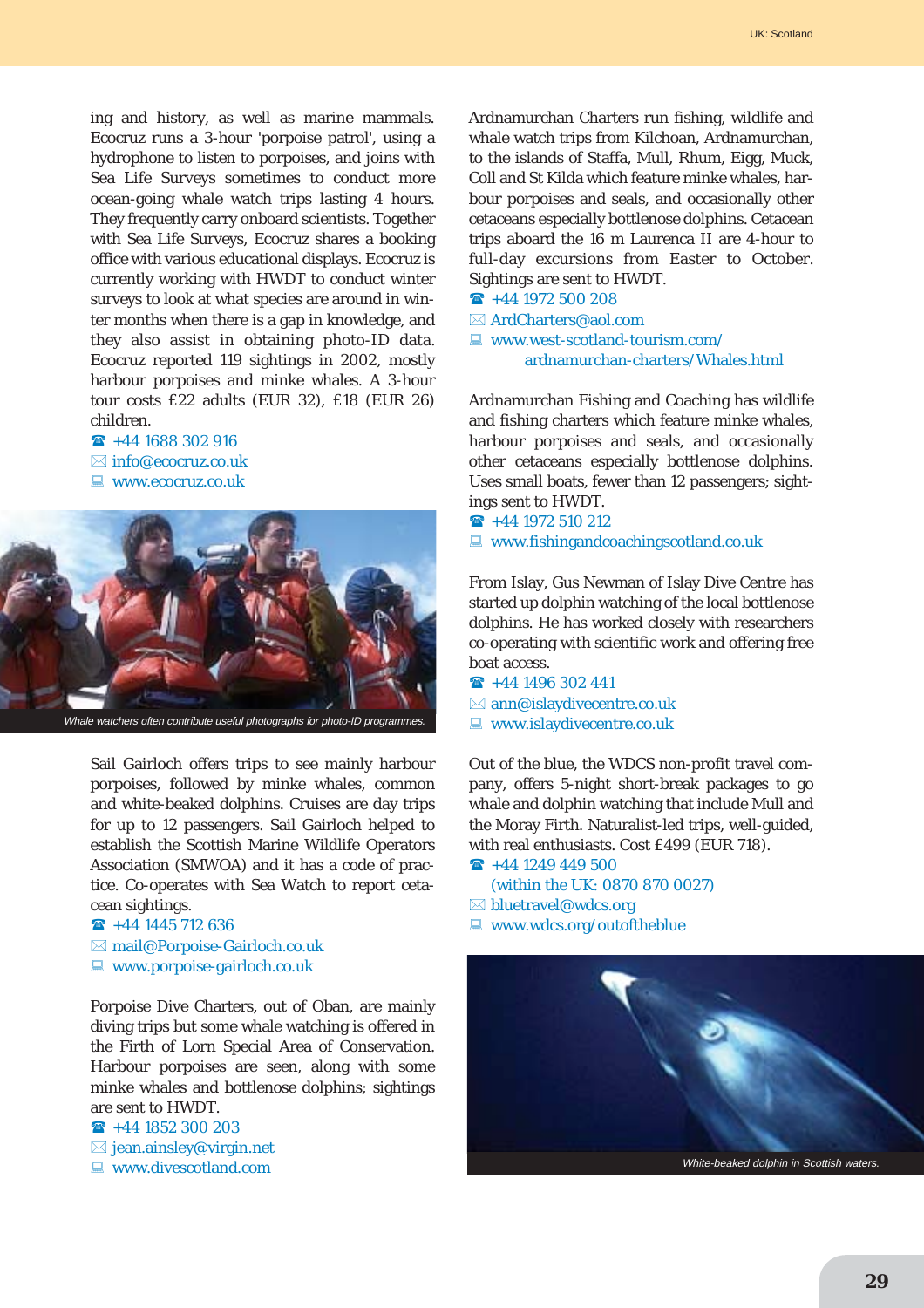ing and history, as well as marine mammals. Ecocruz runs a 3-hour 'porpoise patrol', using a hydrophone to listen to porpoises, and joins with Sea Life Surveys sometimes to conduct more ocean-going whale watch trips lasting 4 hours. They frequently carry onboard scientists. Together with Sea Life Surveys, Ecocruz shares a booking office with various educational displays. Ecocruz is currently working with HWDT to conduct winter surveys to look at what species are around in winter months when there is a gap in knowledge, and they also assist in obtaining photo-ID data. Ecocruz reported 119 sightings in 2002, mostly harbour porpoises and minke whales. A 3-hour tour costs £22 adults (EUR 32), £18 (EUR 26) children.

- $\rightarrow$  +44 1688 302 916
- $\boxtimes$  info@ecocruz.co.uk
- **E** www.ecocruz.co.uk



Sail Gairloch offers trips to see mainly harbour porpoises, followed by minke whales, common and white-beaked dolphins. Cruises are day trips for up to 12 passengers. Sail Gairloch helped to establish the Scottish Marine Wildlife Operators Association (SMWOA) and it has a code of practice. Co-operates with Sea Watch to report cetacean sightings.

 $\textbf{R}$  +44 1445 712 636  $\boxtimes$  mail@Porpoise-Gairloch.co.uk  $\Box$  www.porpoise-gairloch.co.uk

Porpoise Dive Charters, out of Oban, are mainly diving trips but some whale watching is offered in the Firth of Lorn Special Area of Conservation. Harbour porpoises are seen, along with some minke whales and bottlenose dolphins; sightings are sent to HWDT.

 $\textbf{R}$  +44 1852 300 203  $\boxtimes$  jean.ainsley@virgin.net

 $\blacksquare$  www.divescotland.com

Ardnamurchan Charters run fishing, wildlife and whale watch trips from Kilchoan, Ardnamurchan, to the islands of Staffa, Mull, Rhum, Eigg, Muck, Coll and St Kilda which feature minke whales, harbour porpoises and seals, and occasionally other cetaceans especially bottlenose dolphins. Cetacean trips aboard the 16 m Laurenca II are 4-hour to full-day excursions from Easter to October. Sightings are sent to HWDT.

- $\textbf{R}$  +44 1972 500 208
- $\boxtimes$  ArdCharters@aol.com
- $\Box$  www.west-scotland-tourism.com/ ardnamurchan-charters/Whales.html

Ardnamurchan Fishing and Coaching has wildlife and fishing charters which feature minke whales, harbour porpoises and seals, and occasionally other cetaceans especially bottlenose dolphins. Uses small boats, fewer than 12 passengers; sightings sent to HWDT.

 $\rightarrow$  +44 1972 510 212  $\Box$  www.fishingandcoachingscotland.co.uk

From Islay, Gus Newman of Islay Dive Centre has started up dolphin watching of the local bottlenose dolphins. He has worked closely with researchers co-operating with scientific work and offering free boat access.

 $\rightarrow$  +44 1496 302 441  $\boxtimes$  ann@islaydivecentre.co.uk  $\Box$  www.islaydivecentre.co.uk

Out of the blue, the WDCS non-profit travel company, offers 5-night short-break packages to go whale and dolphin watching that include Mull and the Moray Firth. Naturalist-led trips, well-guided, with real enthusiasts. Cost £499 (EUR 718).

- $\rightarrow$  +44 1249 449 500
	- (within the UK: 0870 870 0027)
- $\boxtimes$  bluetravel@wdcs.org
- $\blacksquare$  www.wdcs.org/outoftheblue

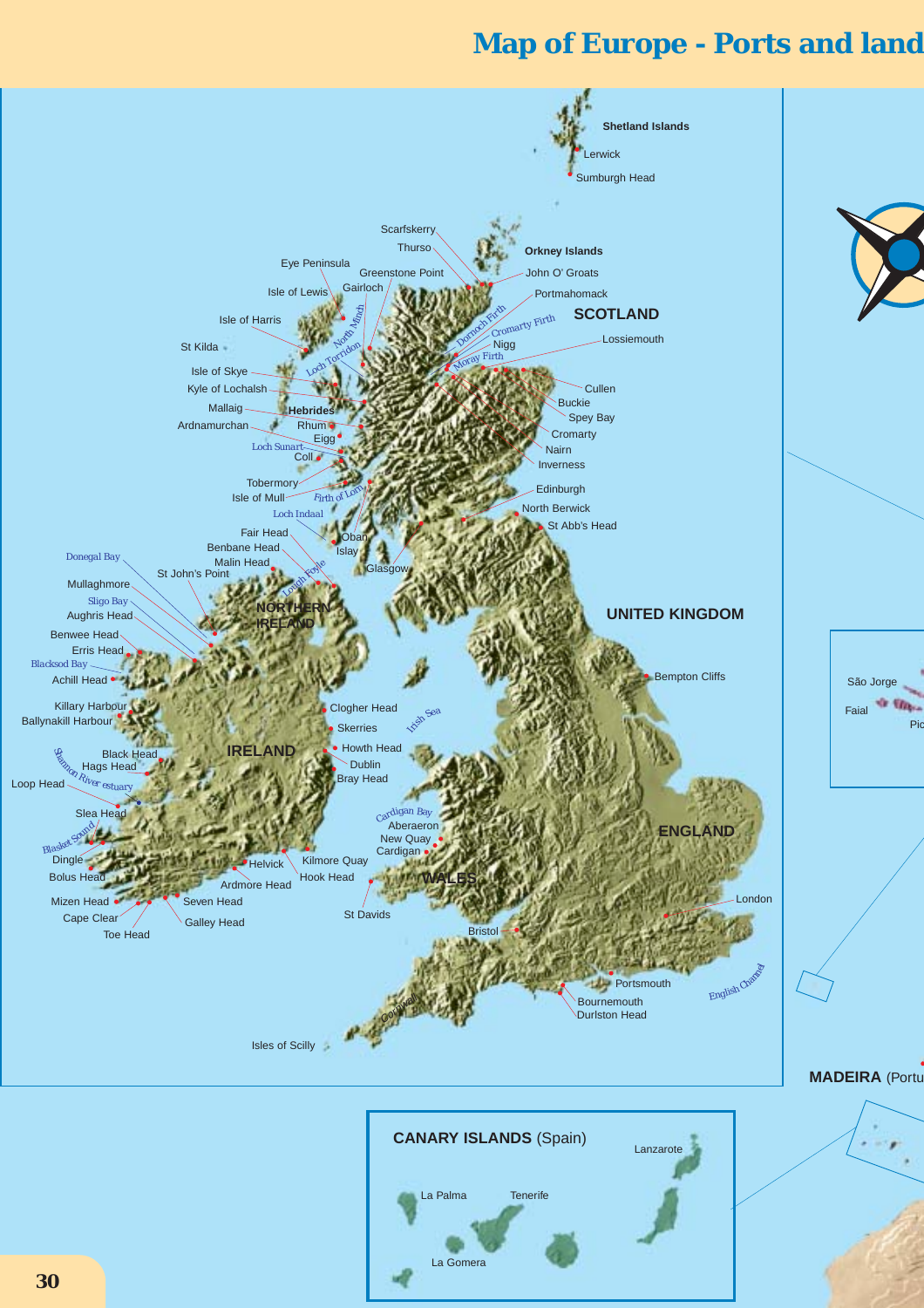# **Map of Europe - Ports and land**

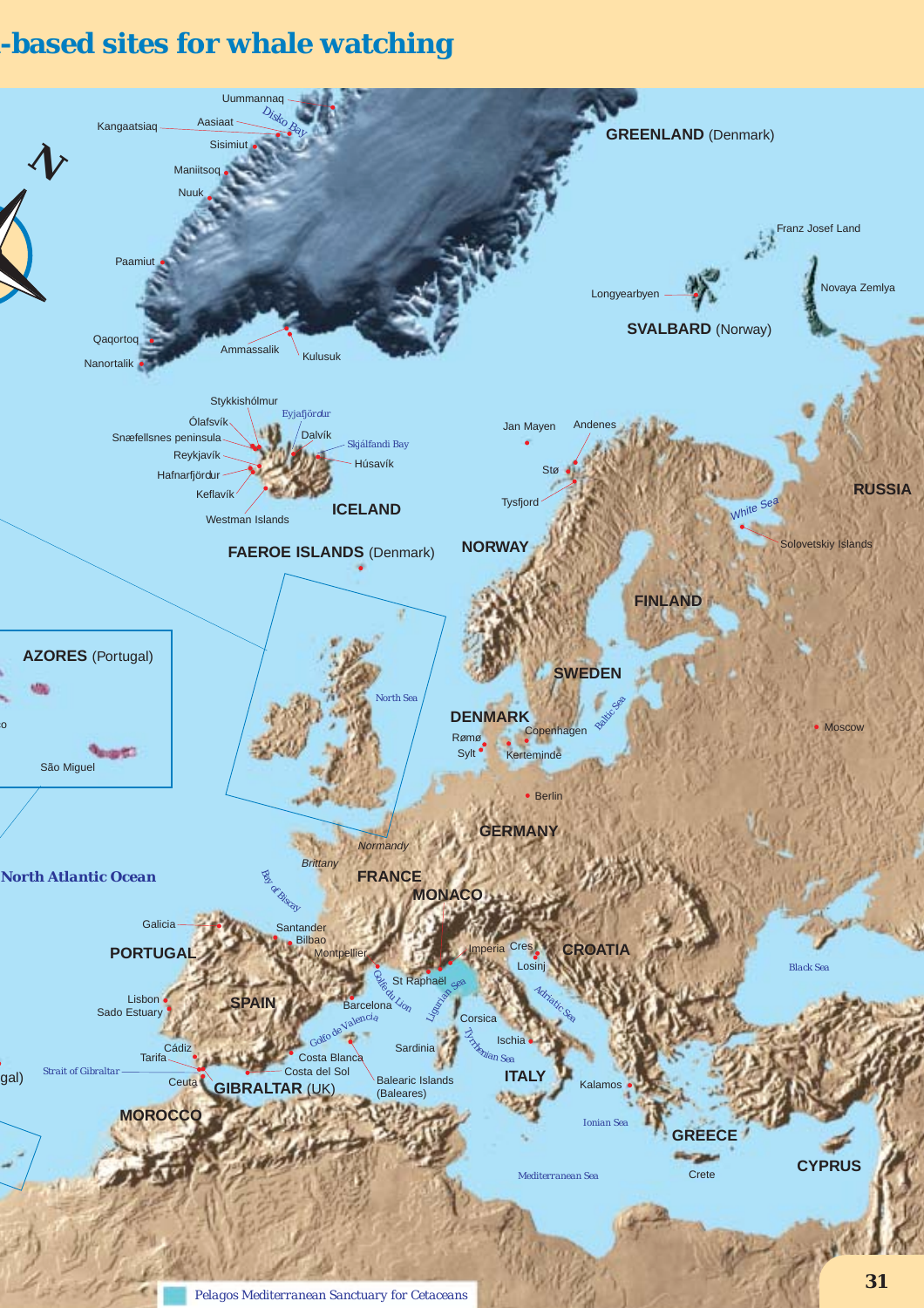# **d-based sites for whale watching**

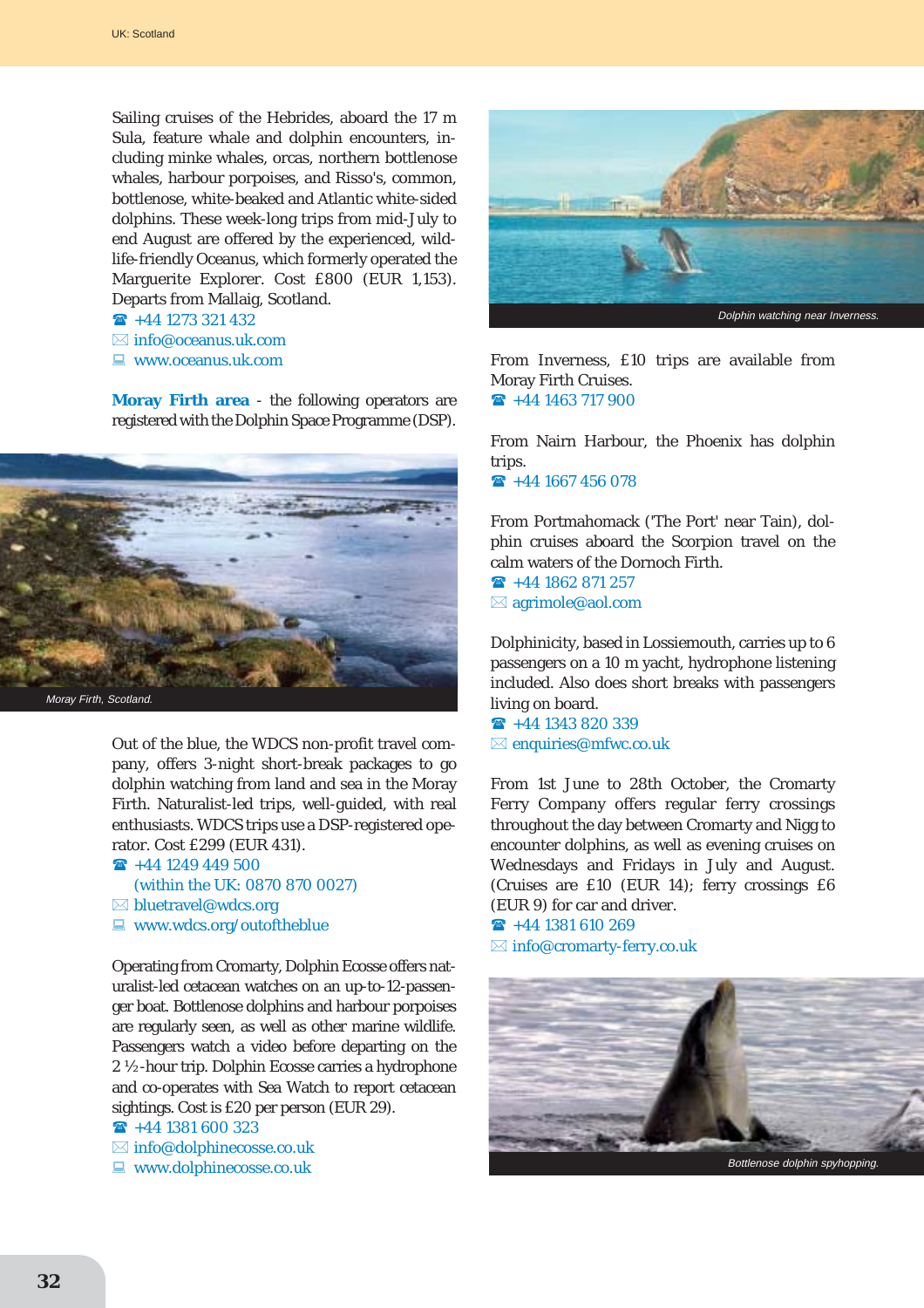Sailing cruises of the Hebrides, aboard the 17 m Sula, feature whale and dolphin encounters, including minke whales, orcas, northern bottlenose whales, harbour porpoises, and Risso's, common, bottlenose, white-beaked and Atlantic white-sided dolphins. These week-long trips from mid-July to end August are offered by the experienced, wildlife-friendly Oceanus, which formerly operated the Marguerite Explorer. Cost £800 (EUR 1,153). Departs from Mallaig, Scotland.

- $\hat{ }$  +44 1273 321 432
- $\boxtimes$  info@oceanus.uk.com
- $\blacksquare$  www.oceanus.uk.com

**Moray Firth area** - the following operators are registered with the Dolphin Space Programme (DSP).



Out of the blue, the WDCS non-profit travel company, offers 3-night short-break packages to go dolphin watching from land and sea in the Moray Firth. Naturalist-led trips, well-guided, with real enthusiasts. WDCS trips use a DSP-registered operator. Cost £299 (EUR 431).

#### $\hat{ }$  +44 1249 449 500

- (within the UK: 0870 870 0027)
- $\boxtimes$  bluetravel@wdcs.org
- $\Box$  www.wdcs.org/outoftheblue

Operating from Cromarty, Dolphin Ecosse offers naturalist-led cetacean watches on an up-to-12-passenger boat. Bottlenose dolphins and harbour porpoises are regularly seen, as well as other marine wildlife. Passengers watch a video before departing on the 2 ½-hour trip. Dolphin Ecosse carries a hydrophone and co-operates with Sea Watch to report cetacean sightings. Cost is £20 per person (EUR 29).

 $\rightarrow$  +44 1381 600 323

- $\boxtimes$  info@dolphinecosse.co.uk
- $\Box$  www.dolphinecosse.co.uk



From Inverness, £10 trips are available from Moray Firth Cruises.  $\textbf{R}$  +44 1463 717 900

From Nairn Harbour, the Phoenix has dolphin trips.  $\rightarrow$  +44 1667 456 078

From Portmahomack ('The Port' near Tain), dolphin cruises aboard the Scorpion travel on the calm waters of the Dornoch Firth.

 $\rightarrow$  +44 1862 871 257  $\boxtimes$  agrimole@aol.com

Dolphinicity, based in Lossiemouth, carries up to 6 passengers on a 10 m yacht, hydrophone listening included. Also does short breaks with passengers living on board.

 $\rightarrow$  +44 1343 820 339  $\boxtimes$  enquiries@mfwc.co.uk

From 1st June to 28th October, the Cromarty Ferry Company offers regular ferry crossings throughout the day between Cromarty and Nigg to encounter dolphins, as well as evening cruises on Wednesdays and Fridays in July and August. (Cruises are £10 (EUR 14); ferry crossings £6 (EUR 9) for car and driver.

 $\textbf{R}$  +44 1381 610 269  $\boxtimes$  info@cromarty-ferry.co.uk

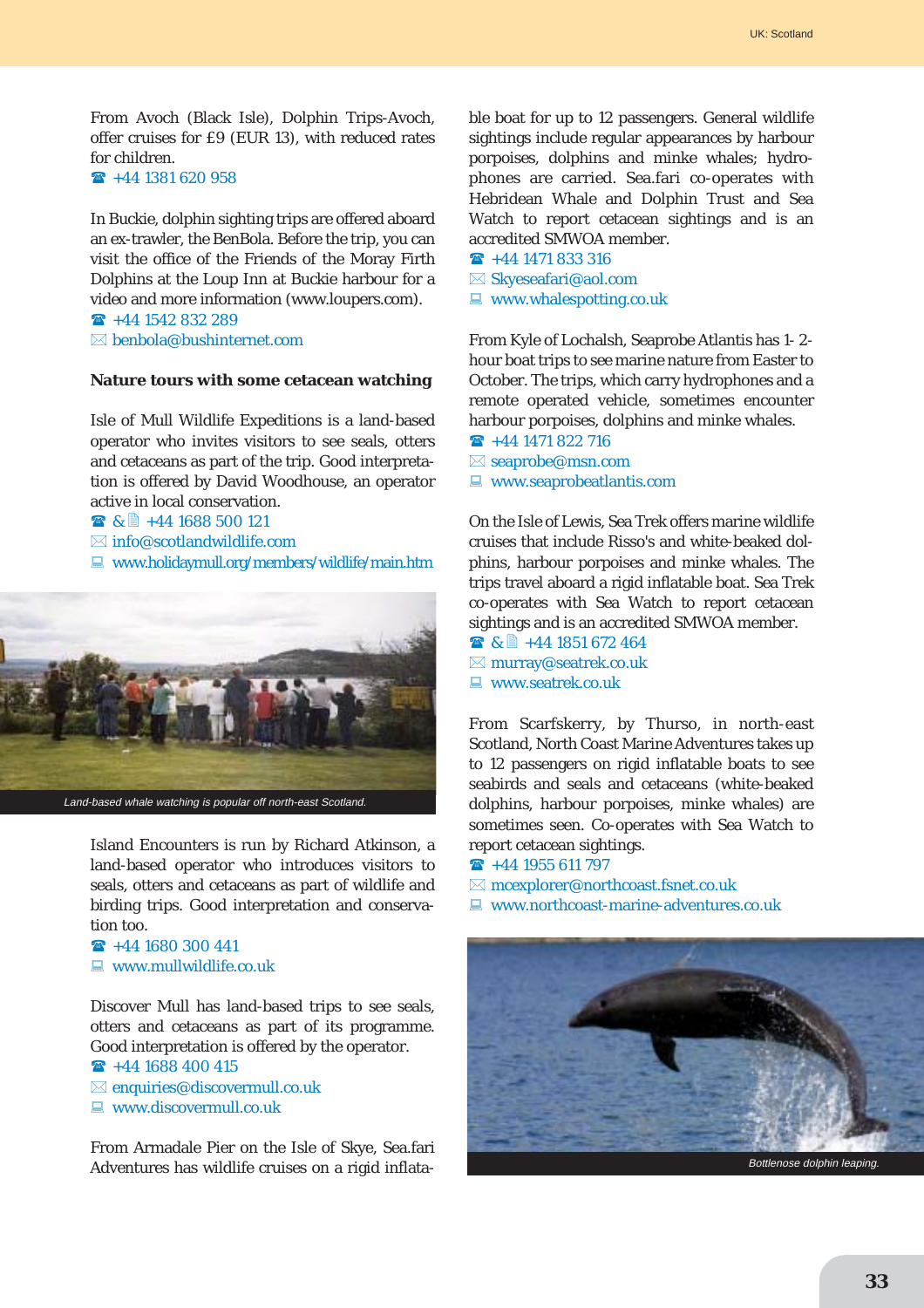From Avoch (Black Isle), Dolphin Trips-Avoch, offer cruises for £9 (EUR 13), with reduced rates for children.

 $\rightarrow$  +44 1381 620 958

In Buckie, dolphin sighting trips are offered aboard an ex-trawler, the BenBola. Before the trip, you can visit the office of the Friends of the Moray Firth Dolphins at the Loup Inn at Buckie harbour for a video and more information (www.loupers.com).  $\rightarrow$  +44 1542 832 289

 $\boxtimes$  benbola@bushinternet.com

#### **Nature tours with some cetacean watching**

Isle of Mull Wildlife Expeditions is a land-based operator who invites visitors to see seals, otters and cetaceans as part of the trip. Good interpretation is offered by David Woodhouse, an operator active in local conservation.

 $\bullet$  &  $\bullet$  +44 1688 500 121

- $\boxtimes$  info@scotlandwildlife.com
- $\Box$  www.holidaymull.org/members/wildlife/main.htm



Island Encounters is run by Richard Atkinson, a land-based operator who introduces visitors to seals, otters and cetaceans as part of wildlife and birding trips. Good interpretation and conservation too.

 $\rightarrow$  +44 1680 300 441  $\Box$  www.mullwildlife.co.uk

Discover Mull has land-based trips to see seals, otters and cetaceans as part of its programme. Good interpretation is offered by the operator.

```
\rightarrow +44 1688 400 415
\boxtimes enquiries@discovermull.co.uk
\blacksquare www.discovermull.co.uk
```
From Armadale Pier on the Isle of Skye, Sea.fari Adventures has wildlife cruises on a rigid inflatable boat for up to 12 passengers. General wildlife sightings include regular appearances by harbour porpoises, dolphins and minke whales; hydrophones are carried. Sea.fari co-operates with Hebridean Whale and Dolphin Trust and Sea Watch to report cetacean sightings and is an accredited SMWOA member.

- $\hat{R}$  +44 1471 833 316
- $\boxtimes$  Skyeseafari@aol.com
- $\Box$  www.whalespotting.co.uk

From Kyle of Lochalsh, Seaprobe Atlantis has 1- 2 hour boat trips to see marine nature from Easter to October. The trips, which carry hydrophones and a remote operated vehicle, sometimes encounter harbour porpoises, dolphins and minke whales.

- $\rightarrow$  +44 1471 822 716  $\boxtimes$  seaprobe@msn.com
- 
- $\blacksquare$  www.seaprobeatlantis.com

On the Isle of Lewis, Sea Trek offers marine wildlife cruises that include Risso's and white-beaked dolphins, harbour porpoises and minke whales. The trips travel aboard a rigid inflatable boat. Sea Trek co-operates with Sea Watch to report cetacean sightings and is an accredited SMWOA member.

■ & ■ +44 1851 672 464  $\boxtimes$  murray@seatrek.co.uk  $\Box$  www.seatrek.co.uk

From Scarfskerry, by Thurso, in north-east Scotland, North Coast Marine Adventures takes up to 12 passengers on rigid inflatable boats to see seabirds and seals and cetaceans (white-beaked dolphins, harbour porpoises, minke whales) are sometimes seen. Co-operates with Sea Watch to report cetacean sightings.

 $\rightarrow$  +44 1955 611 797

 $\boxtimes$  mcexplorer@northcoast.fsnet.co.uk

 $\Box$  www.northcoast-marine-adventures.co.uk

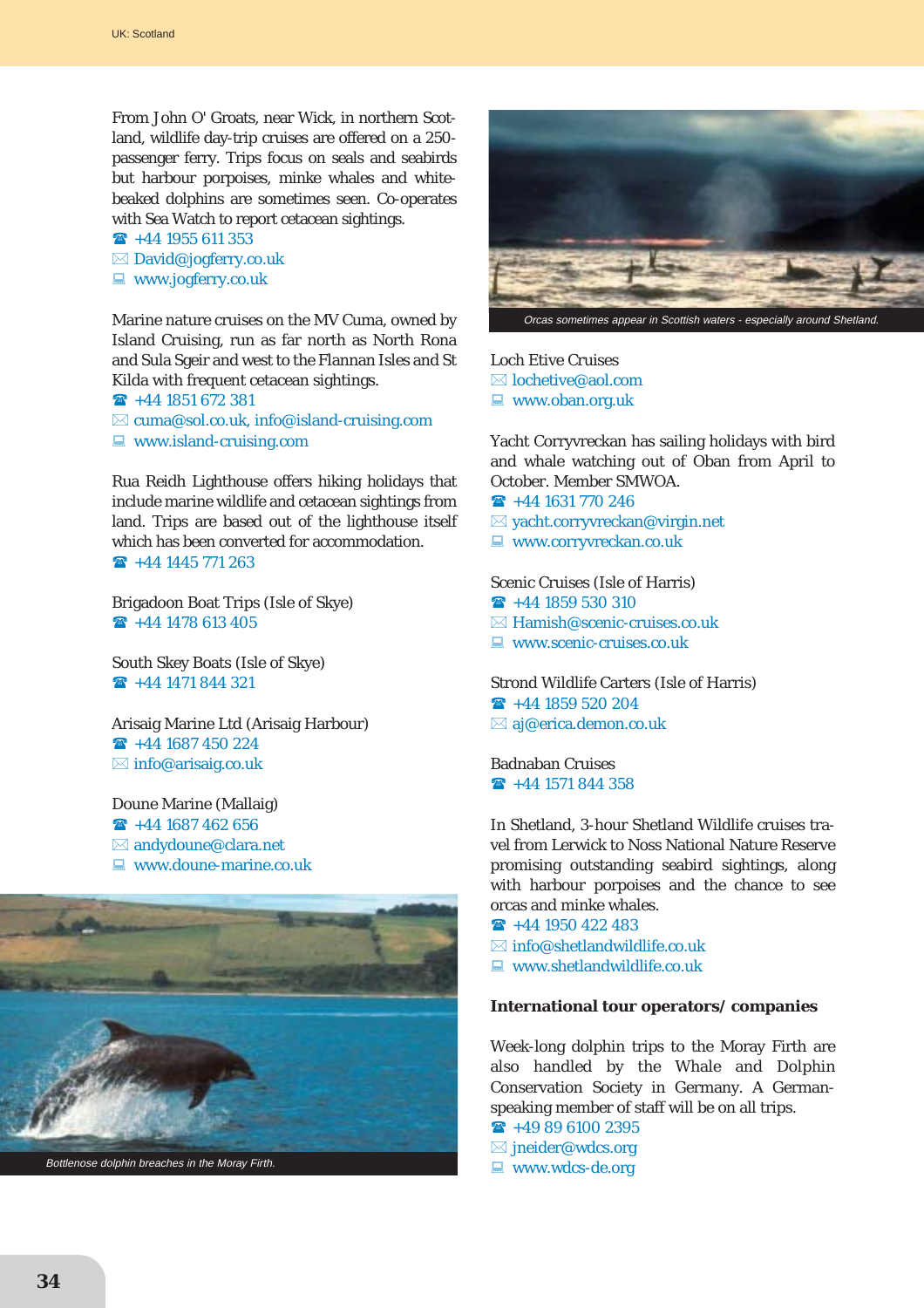From John O' Groats, near Wick, in northern Scotland, wildlife day-trip cruises are offered on a 250 passenger ferry. Trips focus on seals and seabirds but harbour porpoises, minke whales and whitebeaked dolphins are sometimes seen. Co-operates with Sea Watch to report cetacean sightings.

- $\rightarrow$  +44 1955 611 353  $\boxtimes$  David@jogferry.co.uk
- $\Box$  www.jogferry.co.uk

Marine nature cruises on the MV Cuma, owned by Island Cruising, run as far north as North Rona and Sula Sgeir and west to the Flannan Isles and St Kilda with frequent cetacean sightings.

 $\rightarrow$  +44 1851 672 381  $\boxtimes$  cuma@sol.co.uk, info@island-cruising.com  $\Box$  www.island-cruising.com

Rua Reidh Lighthouse offers hiking holidays that include marine wildlife and cetacean sightings from land. Trips are based out of the lighthouse itself which has been converted for accommodation.  $\rightarrow$  +44 1445 771 263

Brigadoon Boat Trips (Isle of Skye)  $\rightarrow$  +44 1478 613 405

South Skey Boats (Isle of Skye)  $\rightarrow$  +44 1471 844 321

Arisaig Marine Ltd (Arisaig Harbour)  $\rightarrow$  +44 1687 450 224  $\boxtimes$  info@arisaig.co.uk

Doune Marine (Mallaig)  $\rightarrow$  +44 1687 462 656  $\boxtimes$  andydoune@clara.net  $\Box$  www.doune-marine.co.uk





Loch Etive Cruises  $\boxtimes$  lochetive@aol.com  $\blacksquare$  www.oban.org.uk

Yacht Corryvreckan has sailing holidays with bird and whale watching out of Oban from April to October. Member SMWOA.

- $\rightarrow$  +44 1631 770 246
- $\boxtimes$  yacht.corryvreckan@virgin.net
- $\blacksquare$  www.corryvreckan.co.uk

Scenic Cruises (Isle of Harris)  $\rightarrow$  +44 1859 530 310  $\boxtimes$  Hamish@scenic-cruises.co.uk  $\Box$  www.scenic-cruises.co.uk

Strond Wildlife Carters (Isle of Harris)  $\rightarrow$  +44 1859 520 204  $\boxtimes$  aj@erica.demon.co.uk

Badnaban Cruises  $\rightarrow$  +44 1571 844 358

In Shetland, 3-hour Shetland Wildlife cruises travel from Lerwick to Noss National Nature Reserve promising outstanding seabird sightings, along with harbour porpoises and the chance to see orcas and minke whales.

- $\rightarrow$  +44 1950 422 483
- $\boxtimes$  info@shetlandwildlife.co.uk
- $\Box$  www.shetlandwildlife.co.uk

#### **International tour operators/ companies**

Week-long dolphin trips to the Moray Firth are also handled by the Whale and Dolphin Conservation Society in Germany. A Germanspeaking member of staff will be on all trips.

 $\rightarrow$  +49 89 6100 2395

- $\boxtimes$  jneider@wdcs.org
- $\blacksquare$  www.wdcs-de.org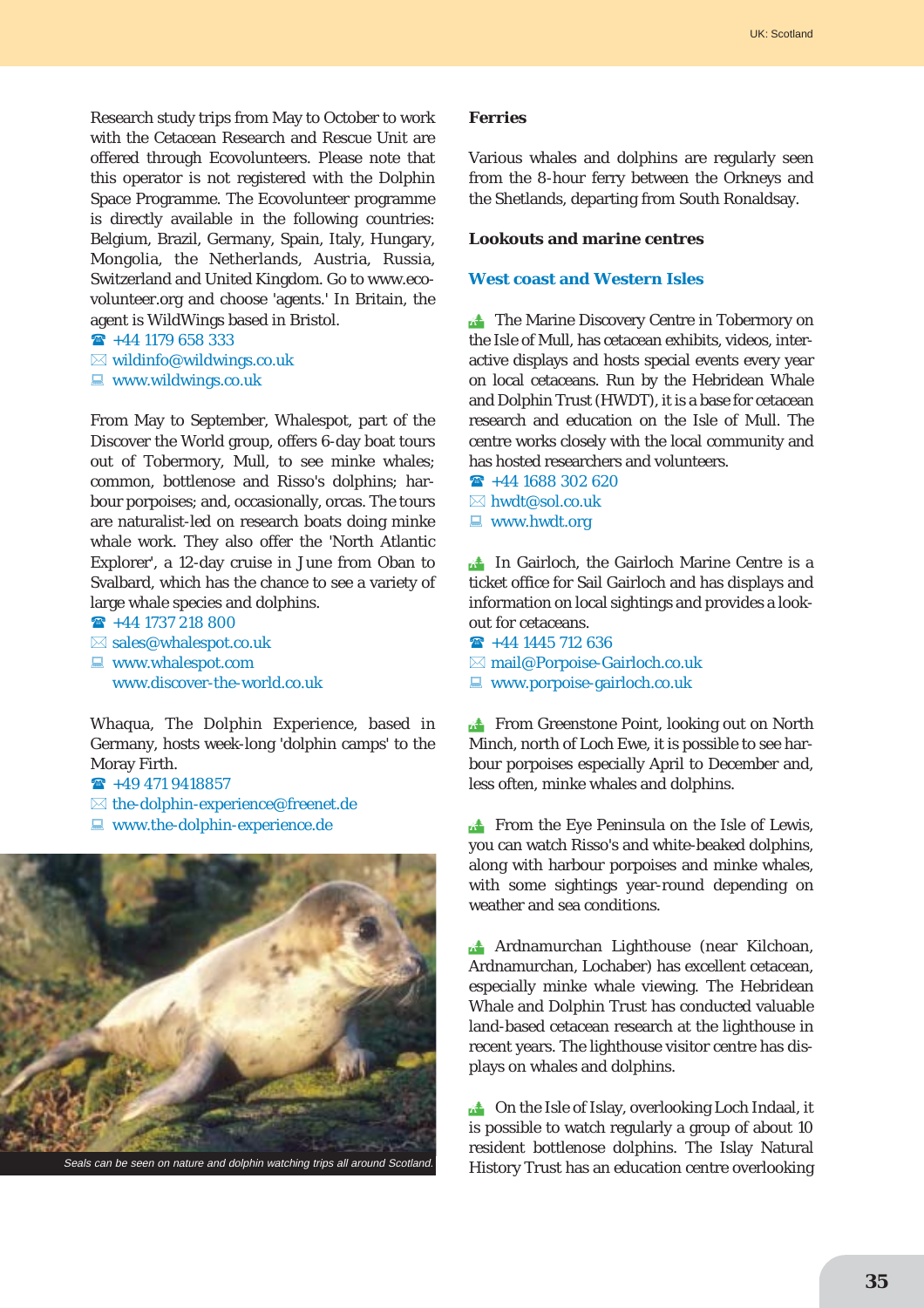Research study trips from May to October to work with the Cetacean Research and Rescue Unit are offered through Ecovolunteers. Please note that this operator is not registered with the Dolphin Space Programme. The Ecovolunteer programme is directly available in the following countries: Belgium, Brazil, Germany, Spain, Italy, Hungary, Mongolia, the Netherlands, Austria, Russia, Switzerland and United Kingdom. Go to www.ecovolunteer.org and choose 'agents.' In Britain, the agent is WildWings based in Bristol.

```
\rightarrow +44 1179 658 333
```
 $\boxtimes$  wildinfo@wildwings.co.uk

 $\Box$  www.wildwings.co.uk

From May to September, Whalespot, part of the Discover the World group, offers 6-day boat tours out of Tobermory, Mull, to see minke whales; common, bottlenose and Risso's dolphins; harbour porpoises; and, occasionally, orcas. The tours are naturalist-led on research boats doing minke whale work. They also offer the 'North Atlantic Explorer', a 12-day cruise in June from Oban to Svalbard, which has the chance to see a variety of large whale species and dolphins.

 $\rightarrow$  +44 1737 218 800  $\boxtimes$  sales@whalespot.co.uk  $\Box$  www.whalespot.com www.discover-the-world.co.uk

Whaqua, The Dolphin Experience, based in Germany, hosts week-long 'dolphin camps' to the Moray Firth.

- $\mathbf{R}$  +49 471 9418857
- $\boxtimes$  the-dolphin-experience@freenet.de
- $\blacksquare$  www.the-dolphin-experience.de



#### **Ferries**

Various whales and dolphins are regularly seen from the 8-hour ferry between the Orkneys and the Shetlands, departing from South Ronaldsay.

#### **Lookouts and marine centres**

### **West coast and Western Isles**

**The Marine Discovery Centre in Tobermory on** the Isle of Mull, has cetacean exhibits, videos, interactive displays and hosts special events every year on local cetaceans. Run by the Hebridean Whale and Dolphin Trust (HWDT), it is a base for cetacean research and education on the Isle of Mull. The centre works closely with the local community and has hosted researchers and volunteers.

 $\rightarrow$  +44 1688 302 620  $\boxtimes$  hwdt@sol.co.uk  $\blacksquare$  www.hwdt.org

**The Gairloch, the Gairloch Marine Centre is a** ticket office for Sail Gairloch and has displays and information on local sightings and provides a lookout for cetaceans.

- $\rightarrow$  +44 1445 712 636
- $\boxtimes$  mail@Porpoise-Gairloch.co.uk
- $\Box$  www.porpoise-gairloch.co.uk

**Extra From Greenstone Point, looking out on North** Minch, north of Loch Ewe, it is possible to see harbour porpoises especially April to December and, less often, minke whales and dolphins.

**EXECUTE:** From the Eye Peninsula on the Isle of Lewis, you can watch Risso's and white-beaked dolphins, along with harbour porpoises and minke whales, with some sightings year-round depending on weather and sea conditions.

! Ardnamurchan Lighthouse (near Kilchoan, Ardnamurchan, Lochaber) has excellent cetacean, especially minke whale viewing. The Hebridean Whale and Dolphin Trust has conducted valuable land-based cetacean research at the lighthouse in recent years. The lighthouse visitor centre has displays on whales and dolphins.

**the Islay**, overlooking Loch Indaal, it is possible to watch regularly a group of about 10 resident bottlenose dolphins. The Islay Natural History Trust has an education centre overlooking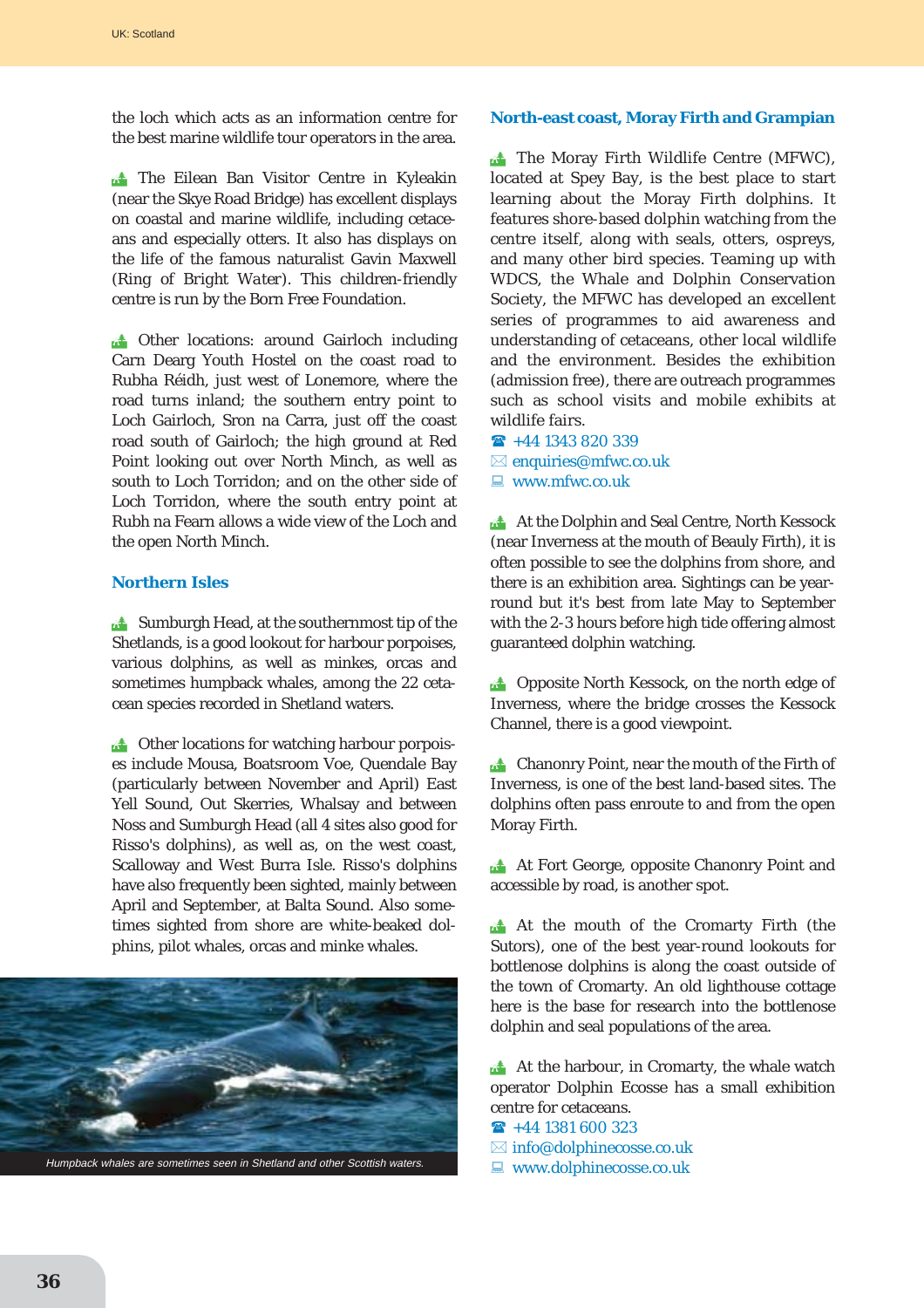the loch which acts as an information centre for the best marine wildlife tour operators in the area.

**The Eilean Ban Visitor Centre in Kyleakin** (near the Skye Road Bridge) has excellent displays on coastal and marine wildlife, including cetaceans and especially otters. It also has displays on the life of the famous naturalist Gavin Maxwell (*Ring of Bright Water*). This children-friendly centre is run by the Born Free Foundation.

**13 Other locations: around Gairloch including** Carn Dearg Youth Hostel on the coast road to Rubha Réidh, just west of Lonemore, where the road turns inland; the southern entry point to Loch Gairloch, Sron na Carra, just off the coast road south of Gairloch; the high ground at Red Point looking out over North Minch, as well as south to Loch Torridon; and on the other side of Loch Torridon, where the south entry point at Rubh na Fearn allows a wide view of the Loch and the open North Minch.

#### **Northern Isles**

 $\mathbb{R}^*$  Sumburgh Head, at the southernmost tip of the Shetlands, is a good lookout for harbour porpoises, various dolphins, as well as minkes, orcas and sometimes humpback whales, among the 22 cetacean species recorded in Shetland waters.

 $\triangle$  Other locations for watching harbour porpoises include Mousa, Boatsroom Voe, Quendale Bay (particularly between November and April) East Yell Sound, Out Skerries, Whalsay and between Noss and Sumburgh Head (all 4 sites also good for Risso's dolphins), as well as, on the west coast, Scalloway and West Burra Isle. Risso's dolphins have also frequently been sighted, mainly between April and September, at Balta Sound. Also sometimes sighted from shore are white-beaked dolphins, pilot whales, orcas and minke whales.



# **North-east coast, Moray Firth and Grampian**

**The Moray Firth Wildlife Centre (MFWC),** located at Spey Bay, is the best place to start learning about the Moray Firth dolphins. It features shore-based dolphin watching from the centre itself, along with seals, otters, ospreys, and many other bird species. Teaming up with WDCS, the Whale and Dolphin Conservation Society, the MFWC has developed an excellent series of programmes to aid awareness and understanding of cetaceans, other local wildlife and the environment. Besides the exhibition (admission free), there are outreach programmes such as school visits and mobile exhibits at wildlife fairs.

 $\rightarrow$  +44 1343 820 339  $\boxtimes$  enquiries@mfwc.co.uk

 $\Box$  www.mfwc.co.uk

**At the Dolphin and Seal Centre, North Kessock** (near Inverness at the mouth of Beauly Firth), it is often possible to see the dolphins from shore, and there is an exhibition area. Sightings can be yearround but it's best from late May to September with the 2-3 hours before high tide offering almost guaranteed dolphin watching.

**1.4** Opposite North Kessock, on the north edge of Inverness, where the bridge crosses the Kessock Channel, there is a good viewpoint.

**External Chanonry Point, near the mouth of the Firth of** Inverness, is one of the best land-based sites. The dolphins often pass enroute to and from the open Moray Firth.

**At Fort George, opposite Chanonry Point and** accessible by road, is another spot.

! At the mouth of the Cromarty Firth (the Sutors), one of the best year-round lookouts for bottlenose dolphins is along the coast outside of the town of Cromarty. An old lighthouse cottage here is the base for research into the bottlenose dolphin and seal populations of the area.

 $\triangle$  At the harbour, in Cromarty, the whale watch operator Dolphin Ecosse has a small exhibition centre for cetaceans.

- $\rightarrow$  +44 1381 600 323
- $\boxtimes$  info@dolphinecosse.co.uk
- $\Box$  www.dolphinecosse.co.uk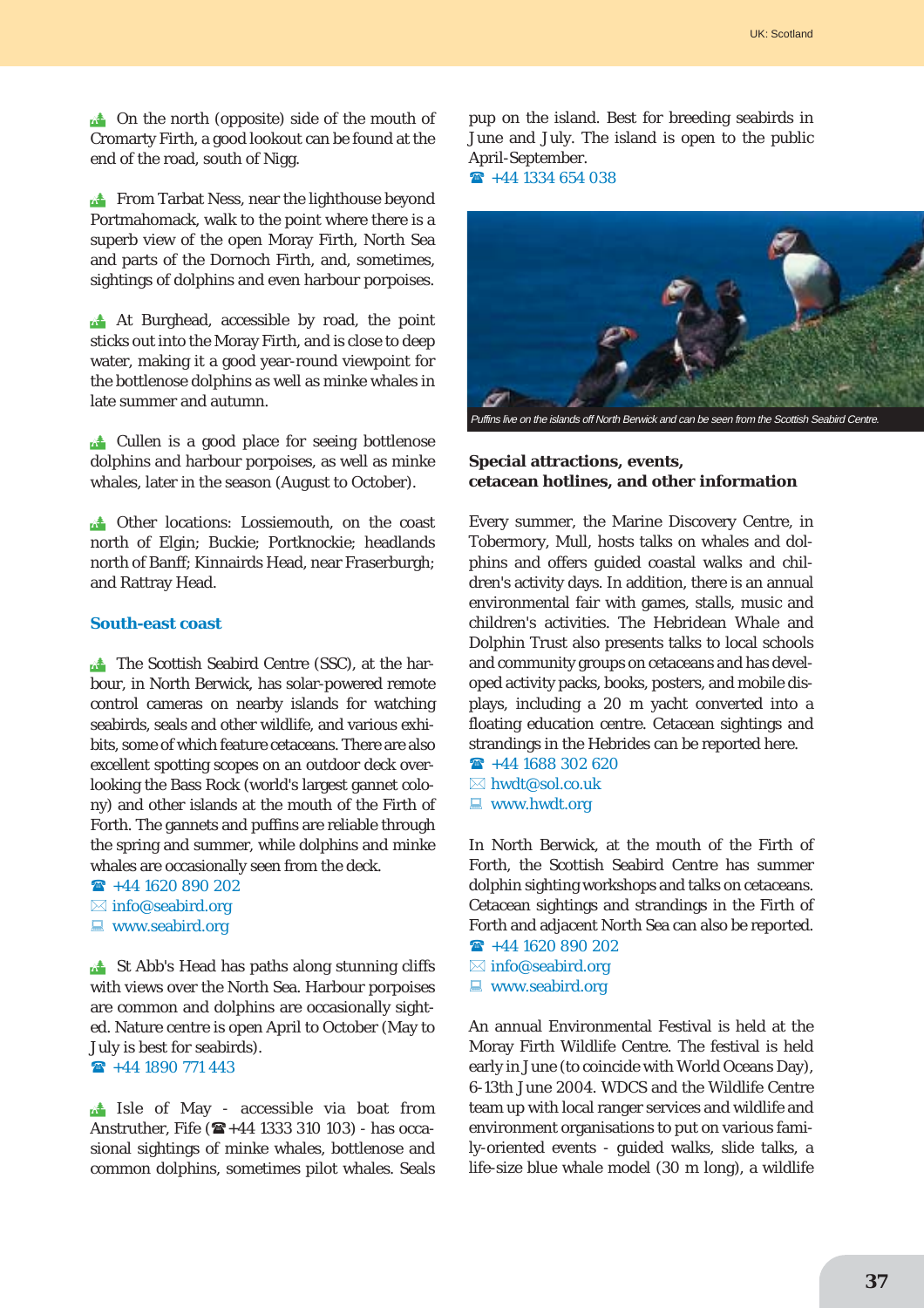**the north (opposite) side of the mouth of** Cromarty Firth, a good lookout can be found at the end of the road, south of Nigg.

**Extra From Tarbat Ness, near the lighthouse beyond** Portmahomack, walk to the point where there is a superb view of the open Moray Firth, North Sea and parts of the Dornoch Firth, and, sometimes, sightings of dolphins and even harbour porpoises.

**At Burghead, accessible by road, the point** sticks out into the Moray Firth, and is close to deep water, making it a good year-round viewpoint for the bottlenose dolphins as well as minke whales in late summer and autumn.

**Extra Cullen is a good place for seeing bottlenose** dolphins and harbour porpoises, as well as minke whales, later in the season (August to October).

 $\mathbb{R}^*$  Other locations: Lossiemouth, on the coast north of Elgin; Buckie; Portknockie; headlands north of Banff; Kinnairds Head, near Fraserburgh; and Rattray Head.

#### **South-east coast**

**The Scottish Seabird Centre (SSC), at the har**bour, in North Berwick, has solar-powered remote control cameras on nearby islands for watching seabirds, seals and other wildlife, and various exhibits, some of which feature cetaceans. There are also excellent spotting scopes on an outdoor deck overlooking the Bass Rock (world's largest gannet colony) and other islands at the mouth of the Firth of Forth. The gannets and puffins are reliable through the spring and summer, while dolphins and minke whales are occasionally seen from the deck.

 $\rightarrow$  +44 1620 890 202

 $\boxtimes$  info@seabird.org

 $\blacksquare$  www.seabird.org

**Ext** St Abb's Head has paths along stunning cliffs with views over the North Sea. Harbour porpoises are common and dolphins are occasionally sighted. Nature centre is open April to October (May to July is best for seabirds).

 $\rightarrow$  +44 1890 771 443

**13** Isle of May - accessible via boat from Anstruther, Fife  $(\mathbf{E}+44\ 1333\ 310\ 103)$  - has occasional sightings of minke whales, bottlenose and common dolphins, sometimes pilot whales. Seals pup on the island. Best for breeding seabirds in June and July. The island is open to the public April-September.

 $\textbf{R}$  +44 1334 654 038



#### **Special attractions, events, cetacean hotlines, and other information**

Every summer, the Marine Discovery Centre, in Tobermory, Mull, hosts talks on whales and dolphins and offers guided coastal walks and children's activity days. In addition, there is an annual environmental fair with games, stalls, music and children's activities. The Hebridean Whale and Dolphin Trust also presents talks to local schools and community groups on cetaceans and has developed activity packs, books, posters, and mobile displays, including a 20 m yacht converted into a floating education centre. Cetacean sightings and strandings in the Hebrides can be reported here.

- $\hat{ }$  +44 1688 302 620  $\boxtimes$  hwdt@sol.co.uk
- $\blacksquare$  www.hwdt.org

In North Berwick, at the mouth of the Firth of Forth, the Scottish Seabird Centre has summer dolphin sighting workshops and talks on cetaceans. Cetacean sightings and strandings in the Firth of Forth and adjacent North Sea can also be reported.  $\rightarrow$  +44 1620 890 202

- $\boxtimes$  info@seabird.org
- $\Box$  www.seabird.org

An annual Environmental Festival is held at the Moray Firth Wildlife Centre. The festival is held early in June (to coincide with World Oceans Day), 6-13th June 2004. WDCS and the Wildlife Centre team up with local ranger services and wildlife and environment organisations to put on various family-oriented events - guided walks, slide talks, a life-size blue whale model (30 m long), a wildlife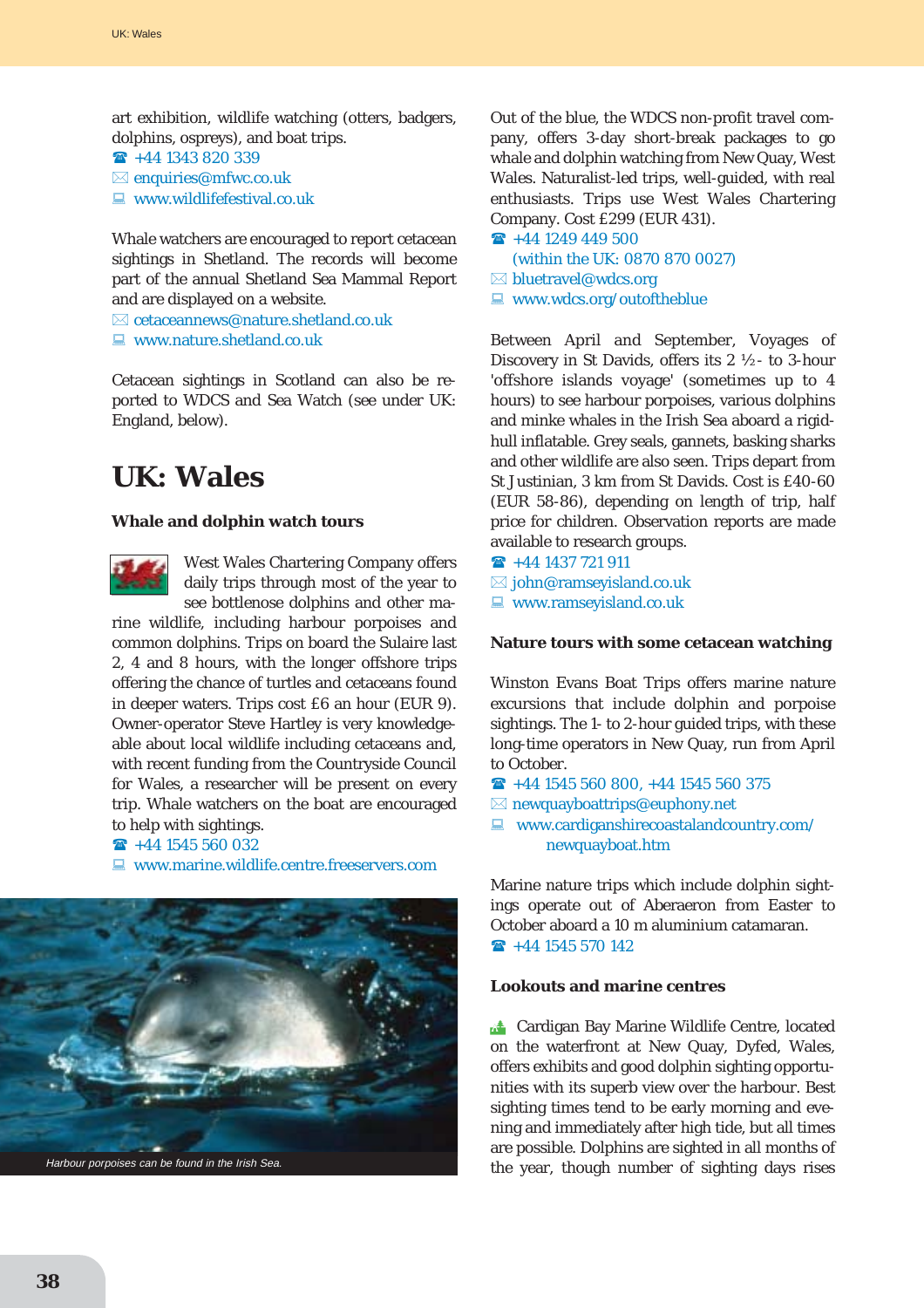art exhibition, wildlife watching (otters, badgers, dolphins, ospreys), and boat trips.

- " +44 1343 820 339
- $\boxtimes$  enquiries@mfwc.co.uk
- $\Box$  www.wildlifefestival.co.uk

Whale watchers are encouraged to report cetacean sightings in Shetland. The records will become part of the annual Shetland Sea Mammal Report and are displayed on a website.

 $\boxtimes$  cetaceannews@nature.shetland.co.uk

 $\blacksquare$  www.nature.shetland.co.uk

Cetacean sightings in Scotland can also be reported to WDCS and Sea Watch (see under UK: England, below).

# **UK: Wales**

### **Whale and dolphin watch tours**



West Wales Chartering Company offers daily trips through most of the year to see bottlenose dolphins and other ma-

rine wildlife, including harbour porpoises and common dolphins. Trips on board the Sulaire last 2, 4 and 8 hours, with the longer offshore trips offering the chance of turtles and cetaceans found in deeper waters. Trips cost £6 an hour (EUR 9). Owner-operator Steve Hartley is very knowledgeable about local wildlife including cetaceans and, with recent funding from the Countryside Council for Wales, a researcher will be present on every trip. Whale watchers on the boat are encouraged to help with sightings.

 $\rightarrow$  +44 1545 560 032

 $\Box$  www.marine.wildlife.centre.freeservers.com



Out of the blue, the WDCS non-profit travel company, offers 3-day short-break packages to go whale and dolphin watching from New Quay, West Wales. Naturalist-led trips, well-guided, with real enthusiasts. Trips use West Wales Chartering Company. Cost £299 (EUR 431).

 $\rightarrow$  +44 1249 449 500 (within the UK: 0870 870 0027)  $\boxtimes$  bluetravel@wdcs.org  $\Box$  www.wdcs.org/outoftheblue

Between April and September, Voyages of Discovery in St Davids, offers its 2 ½- to 3-hour 'offshore islands voyage' (sometimes up to 4 hours) to see harbour porpoises, various dolphins and minke whales in the Irish Sea aboard a rigidhull inflatable. Grey seals, gannets, basking sharks and other wildlife are also seen. Trips depart from St Justinian, 3 km from St Davids. Cost is £40-60 (EUR 58-86), depending on length of trip, half price for children. Observation reports are made available to research groups.

 $\hat{ }$  +44 1437 721 911

 $\boxtimes$  john@ramseyisland.co.uk

 $\blacksquare$  www.ramseyisland.co.uk

#### **Nature tours with some cetacean watching**

Winston Evans Boat Trips offers marine nature excursions that include dolphin and porpoise sightings. The 1- to 2-hour guided trips, with these long-time operators in New Quay, run from April to October.

- $\textbf{R}$  +44 1545 560 800, +44 1545 560 375
- $\boxtimes$  newquayboattrips@euphony.net
- $\Box$  www.cardiganshirecoastalandcountry.com/ newquayboat.htm

Marine nature trips which include dolphin sightings operate out of Aberaeron from Easter to October aboard a 10 m aluminium catamaran.  $\hat{ }$  +44 1545 570 142

#### **Lookouts and marine centres**

**Extra Cardigan Bay Marine Wildlife Centre, located** on the waterfront at New Quay, Dyfed, Wales, offers exhibits and good dolphin sighting opportunities with its superb view over the harbour. Best sighting times tend to be early morning and evening and immediately after high tide, but all times are possible. Dolphins are sighted in all months of the year, though number of sighting days rises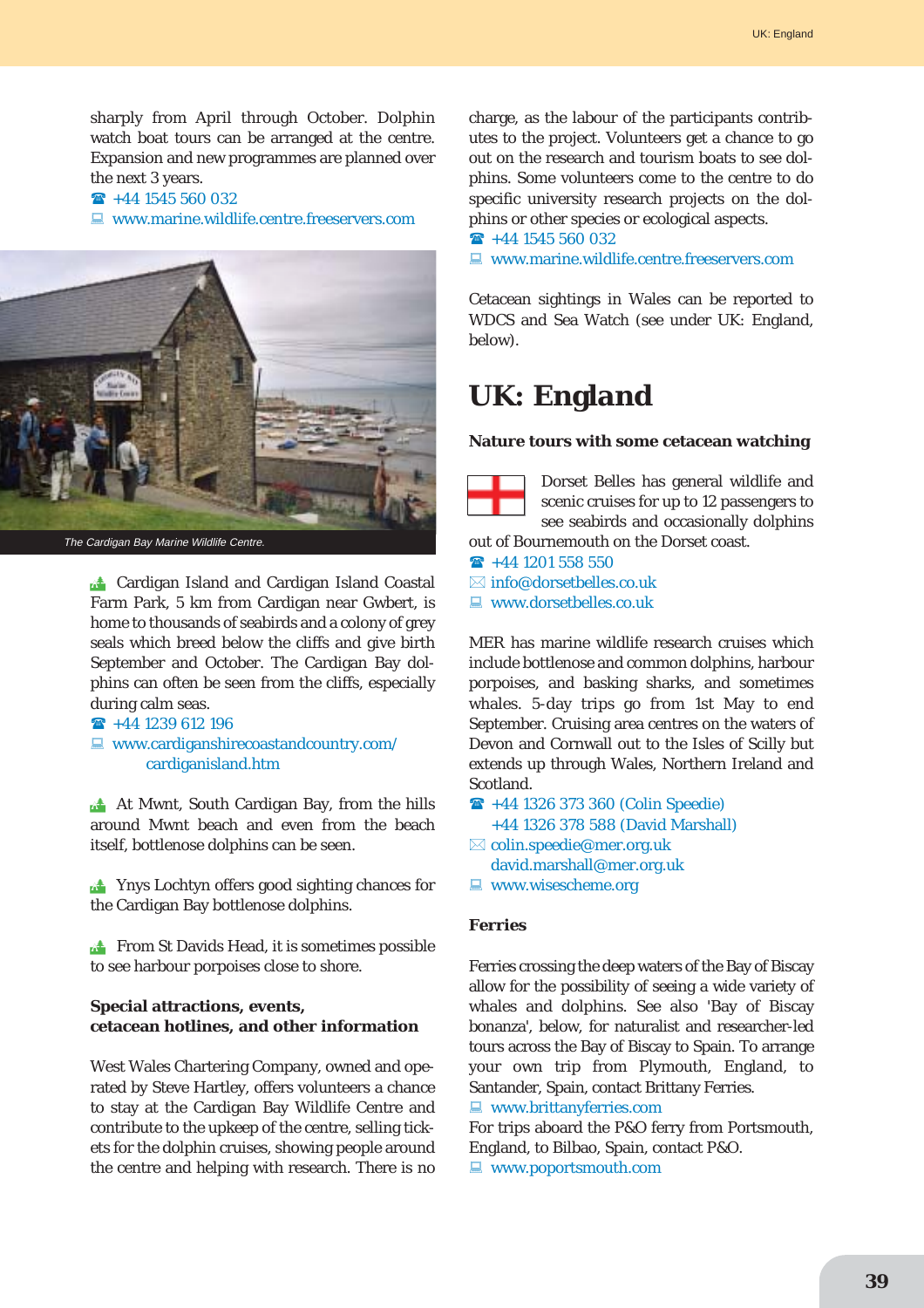sharply from April through October. Dolphin watch boat tours can be arranged at the centre. Expansion and new programmes are planned over the next 3 years.

#### $\rightarrow$  +44 1545 560 032

 $\Box$  www.marine.wildlife.centre.freeservers.com



The Cardigan Bay Marine Wildlife Centre.

**12 Cardigan Island and Cardigan Island Coastal** Farm Park, 5 km from Cardigan near Gwbert, is home to thousands of seabirds and a colony of grey seals which breed below the cliffs and give birth September and October. The Cardigan Bay dolphins can often be seen from the cliffs, especially during calm seas.

```
\rightarrow +44 1239 612 196
```
 $\blacksquare$  www.cardiganshirecoastandcountry.com/ cardiganisland.htm

**At Mwnt, South Cardigan Bay, from the hills** around Mwnt beach and even from the beach itself, bottlenose dolphins can be seen.

**The Ynys Lochtyn offers good sighting chances for** the Cardigan Bay bottlenose dolphins.

**EXECUTE:** From St Davids Head, it is sometimes possible to see harbour porpoises close to shore.

### **Special attractions, events, cetacean hotlines, and other information**

West Wales Chartering Company, owned and operated by Steve Hartley, offers volunteers a chance to stay at the Cardigan Bay Wildlife Centre and contribute to the upkeep of the centre, selling tickets for the dolphin cruises, showing people around the centre and helping with research. There is no charge, as the labour of the participants contributes to the project. Volunteers get a chance to go out on the research and tourism boats to see dolphins. Some volunteers come to the centre to do specific university research projects on the dolphins or other species or ecological aspects.

 $\rightarrow$  +44 1545 560 032

 $\Box$  www.marine.wildlife.centre.freeservers.com

Cetacean sightings in Wales can be reported to WDCS and Sea Watch (see under UK: England, below).

# **UK: England**

#### **Nature tours with some cetacean watching**



Dorset Belles has general wildlife and scenic cruises for up to 12 passengers to see seabirds and occasionally dolphins

out of Bournemouth on the Dorset coast.

 $\rightarrow$  +44 1201 558 550

 $\boxtimes$  info@dorsetbelles.co.uk

### $\blacksquare$  www.dorsetbelles.co.uk

MER has marine wildlife research cruises which include bottlenose and common dolphins, harbour porpoises, and basking sharks, and sometimes whales. 5-day trips go from 1st May to end September. Cruising area centres on the waters of Devon and Cornwall out to the Isles of Scilly but extends up through Wales, Northern Ireland and Scotland.

- $\bullet$  **+44 1326 373 360 (Colin Speedie)** +44 1326 378 588 (David Marshall)
- $\boxtimes$  colin.speedie@mer.org.uk david.marshall@mer.org.uk
- $\Box$  www.wisescheme.org

#### **Ferries**

Ferries crossing the deep waters of the Bay of Biscay allow for the possibility of seeing a wide variety of whales and dolphins. See also 'Bay of Biscay bonanza', below, for naturalist and researcher-led tours across the Bay of Biscay to Spain. To arrange your own trip from Plymouth, England, to Santander, Spain, contact Brittany Ferries.  $\Box$  www.brittanyferries.com

For trips aboard the P&O ferry from Portsmouth, England, to Bilbao, Spain, contact P&O.

 $\Box$  www.poportsmouth.com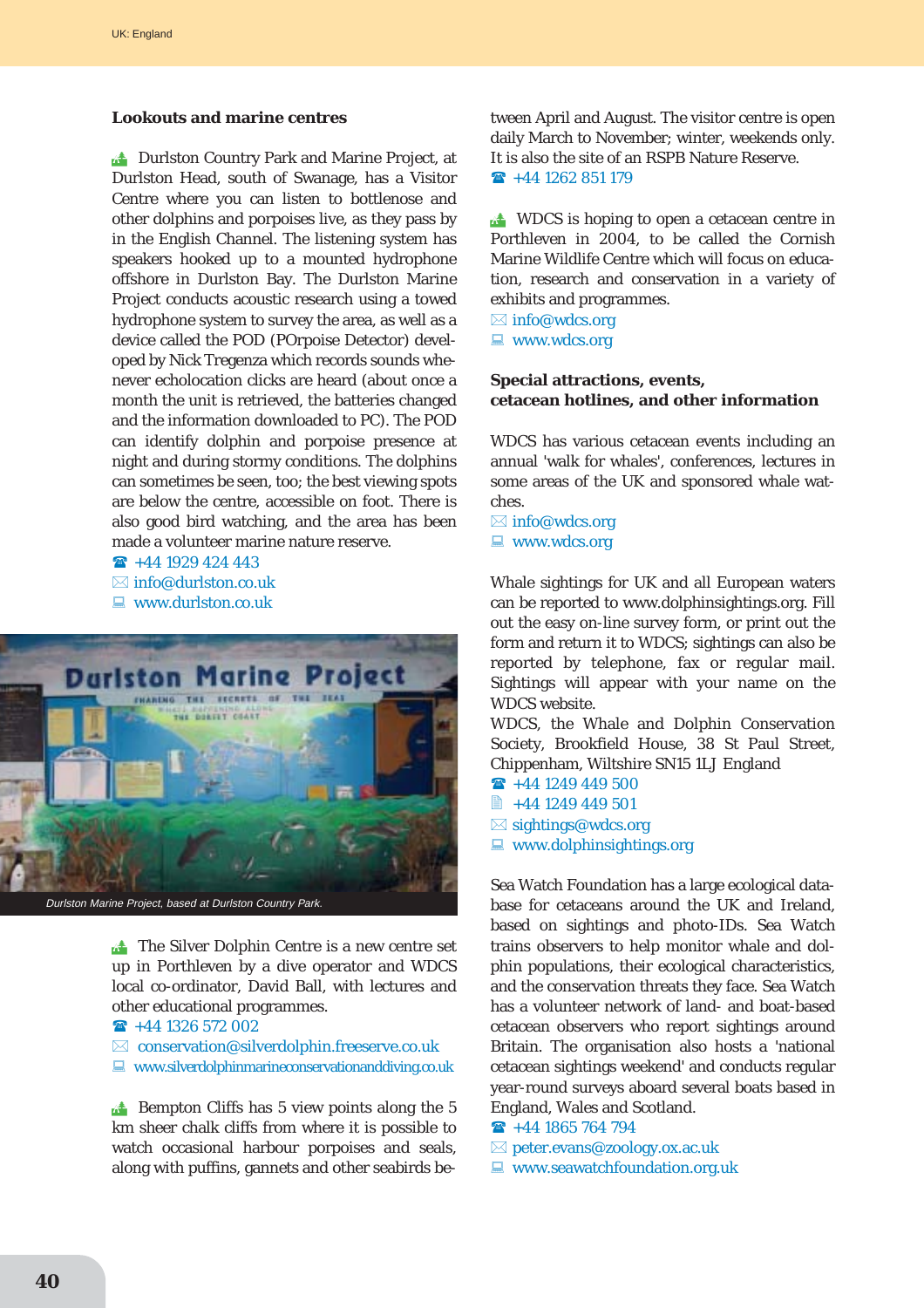#### **Lookouts and marine centres**

**14 Durlston Country Park and Marine Project, at** Durlston Head, south of Swanage, has a Visitor Centre where you can listen to bottlenose and other dolphins and porpoises live, as they pass by in the English Channel. The listening system has speakers hooked up to a mounted hydrophone offshore in Durlston Bay. The Durlston Marine Project conducts acoustic research using a towed hydrophone system to survey the area, as well as a device called the POD (POrpoise Detector) developed by Nick Tregenza which records sounds whenever echolocation clicks are heard (about once a month the unit is retrieved, the batteries changed and the information downloaded to PC). The POD can identify dolphin and porpoise presence at night and during stormy conditions. The dolphins can sometimes be seen, too; the best viewing spots are below the centre, accessible on foot. There is also good bird watching, and the area has been made a volunteer marine nature reserve.

 $\rightarrow$  +44 1929 424 443

 $\boxtimes$  info@durlston.co.uk

 $\Box$  www.durlston.co.uk



**The Silver Dolphin Centre is a new centre set** up in Porthleven by a dive operator and WDCS local co-ordinator, David Ball, with lectures and other educational programmes.

 $\rightarrow$  +44 1326 572 002

 $\boxtimes$  conservation@silverdolphin.freeserve.co.uk

 $\Box$  www.silverdolphinmarineconservationanddiving.co.uk

 $\mathbb{R}^4$  Bempton Cliffs has 5 view points along the 5 km sheer chalk cliffs from where it is possible to watch occasional harbour porpoises and seals, along with puffins, gannets and other seabirds between April and August. The visitor centre is open daily March to November; winter, weekends only. It is also the site of an RSPB Nature Reserve.  $\rightarrow$  +44 1262 851 179

**EXECUTE:** WDCS is hoping to open a cetacean centre in Porthleven in 2004, to be called the Cornish Marine Wildlife Centre which will focus on education, research and conservation in a variety of exhibits and programmes.

 $\boxtimes$  info@wdcs.org  $\blacksquare$  www.wdcs.org

# **Special attractions, events, cetacean hotlines, and other information**

WDCS has various cetacean events including an annual 'walk for whales', conferences, lectures in some areas of the UK and sponsored whale watches.

 $\boxtimes$  info@wdcs.org  $\blacksquare$  www.wdcs.org

Whale sightings for UK and all European waters can be reported to www.dolphinsightings.org. Fill out the easy on-line survey form, or print out the form and return it to WDCS; sightings can also be reported by telephone, fax or regular mail. Sightings will appear with your name on the WDCS website.

WDCS, the Whale and Dolphin Conservation Society, Brookfield House, 38 St Paul Street, Chippenham, Wiltshire SN15 1LJ England

- $\rightarrow$  +44 1249 449 500  $\approx +441249449501$
- $\boxtimes$  sightings@wdcs.org
- $\Box$  www.dolphinsightings.org

Sea Watch Foundation has a large ecological database for cetaceans around the UK and Ireland, based on sightings and photo-IDs. Sea Watch trains observers to help monitor whale and dolphin populations, their ecological characteristics, and the conservation threats they face. Sea Watch has a volunteer network of land- and boat-based cetacean observers who report sightings around Britain. The organisation also hosts a 'national cetacean sightings weekend' and conducts regular year-round surveys aboard several boats based in England, Wales and Scotland.

- $\rightarrow$  +44 1865 764 794
- $\boxtimes$  peter.evans@zoology.ox.ac.uk
- $\Box$  www.seawatchfoundation.org.uk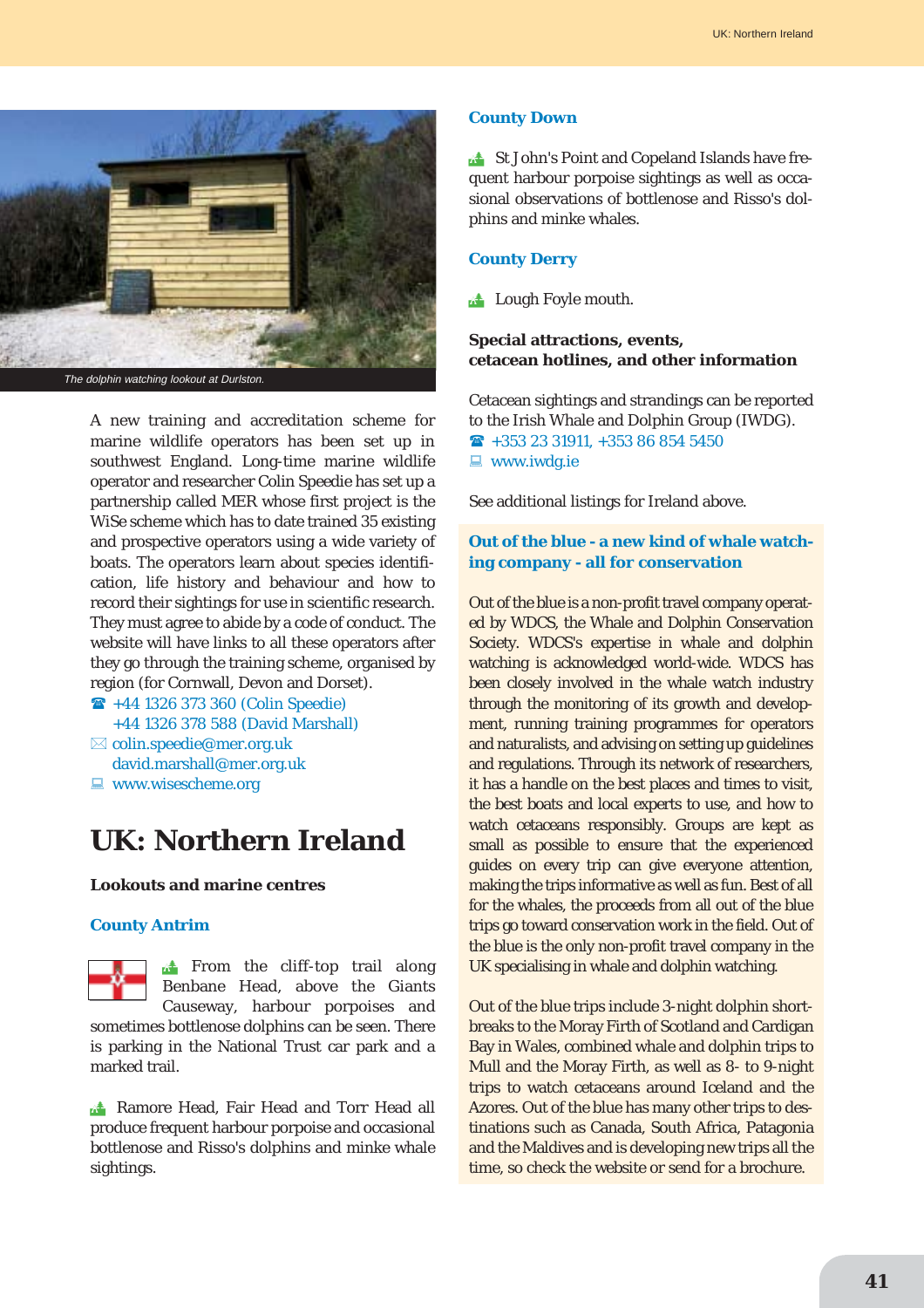

A new training and accreditation scheme for marine wildlife operators has been set up in southwest England. Long-time marine wildlife operator and researcher Colin Speedie has set up a partnership called MER whose first project is the WiSe scheme which has to date trained 35 existing and prospective operators using a wide variety of boats. The operators learn about species identification, life history and behaviour and how to record their sightings for use in scientific research. They must agree to abide by a code of conduct. The website will have links to all these operators after they go through the training scheme, organised by region (for Cornwall, Devon and Dorset).

- " +44 1326 373 360 (Colin Speedie) +44 1326 378 588 (David Marshall)
- $\boxtimes$  colin.speedie@mer.org.uk david.marshall@mer.org.uk
- $\Box$  www.wisescheme.org

# **UK: Northern Ireland**

#### **Lookouts and marine centres**

#### **County Antrim**

 $\mathbb{R}$  From the cliff-top trail along Benbane Head, above the Giants Causeway, harbour porpoises and sometimes bottlenose dolphins can be seen. There is parking in the National Trust car park and a marked trail.

**Ramore Head, Fair Head and Torr Head all** produce frequent harbour porpoise and occasional bottlenose and Risso's dolphins and minke whale sightings.

#### **County Down**

**18 St John's Point and Copeland Islands have fre**quent harbour porpoise sightings as well as occasional observations of bottlenose and Risso's dolphins and minke whales.

#### **County Derry**

**14 Lough Foyle mouth.** 

### **Special attractions, events, cetacean hotlines, and other information**

Cetacean sightings and strandings can be reported to the Irish Whale and Dolphin Group (IWDG).  $\text{ }$  +353 23 31911, +353 86 854 5450  $\blacksquare$  www.iwdg.ie

See additional listings for Ireland above.

# **Out of the blue - a new kind of whale watching company - all for conservation**

Out of the blue is a non-profit travel company operated by WDCS, the Whale and Dolphin Conservation Society. WDCS's expertise in whale and dolphin watching is acknowledged world-wide. WDCS has been closely involved in the whale watch industry through the monitoring of its growth and development, running training programmes for operators and naturalists, and advising on setting up guidelines and regulations. Through its network of researchers, it has a handle on the best places and times to visit, the best boats and local experts to use, and how to watch cetaceans responsibly. Groups are kept as small as possible to ensure that the experienced guides on every trip can give everyone attention, making the trips informative as well as fun. Best of all for the whales, the proceeds from all out of the blue trips go toward conservation work in the field. Out of the blue is the only non-profit travel company in the UK specialising in whale and dolphin watching.

Out of the blue trips include 3-night dolphin shortbreaks to the Moray Firth of Scotland and Cardigan Bay in Wales, combined whale and dolphin trips to Mull and the Moray Firth, as well as 8- to 9-night trips to watch cetaceans around Iceland and the Azores. Out of the blue has many other trips to destinations such as Canada, South Africa, Patagonia and the Maldives and is developing new trips all the time, so check the website or send for a brochure.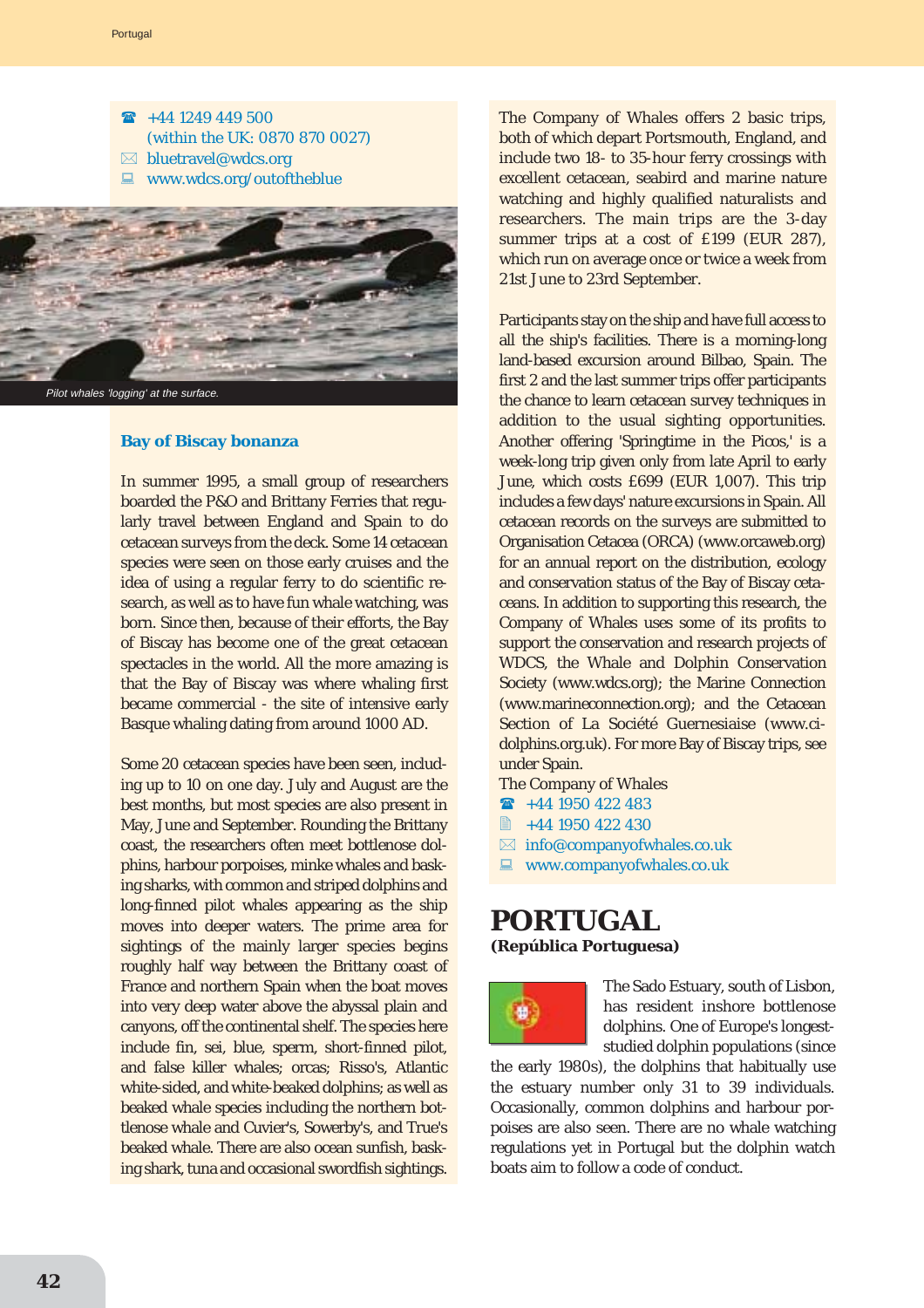- $\textbf{\textcircled{a}}$  +44 1249 449 500 (within the UK: 0870 870 0027)  $\boxtimes$  bluetravel@wdcs.org
- $\blacksquare$  www.wdcs.org/outoftheblue



Pilot whales 'logging' at the surface.

# **Bay of Biscay bonanza**

In summer 1995, a small group of researchers boarded the P&O and Brittany Ferries that regularly travel between England and Spain to do cetacean surveys from the deck. Some 14 cetacean species were seen on those early cruises and the idea of using a regular ferry to do scientific research, as well as to have fun whale watching, was born. Since then, because of their efforts, the Bay of Biscay has become one of the great cetacean spectacles in the world. All the more amazing is that the Bay of Biscay was where whaling first became commercial - the site of intensive early Basque whaling dating from around 1000 AD.

Some 20 cetacean species have been seen, including up to 10 on one day. July and August are the best months, but most species are also present in May, June and September. Rounding the Brittany coast, the researchers often meet bottlenose dolphins, harbour porpoises, minke whales and basking sharks, with common and striped dolphins and long-finned pilot whales appearing as the ship moves into deeper waters. The prime area for sightings of the mainly larger species begins roughly half way between the Brittany coast of France and northern Spain when the boat moves into very deep water above the abyssal plain and canyons, off the continental shelf. The species here include fin, sei, blue, sperm, short-finned pilot, and false killer whales; orcas; Risso's, Atlantic white-sided, and white-beaked dolphins; as well as beaked whale species including the northern bottlenose whale and Cuvier's, Sowerby's, and True's beaked whale. There are also ocean sunfish, basking shark, tuna and occasional swordfish sightings. The Company of Whales offers 2 basic trips, both of which depart Portsmouth, England, and include two 18- to 35-hour ferry crossings with excellent cetacean, seabird and marine nature watching and highly qualified naturalists and researchers. The main trips are the 3-day summer trips at a cost of £199 (EUR 287), which run on average once or twice a week from 21st June to 23rd September.

Participants stay on the ship and have full access to all the ship's facilities. There is a morning-long land-based excursion around Bilbao, Spain. The first 2 and the last summer trips offer participants the chance to learn cetacean survey techniques in addition to the usual sighting opportunities. Another offering 'Springtime in the Picos,' is a week-long trip given only from late April to early June, which costs £699 (EUR 1,007). This trip includes a few days' nature excursions in Spain. All cetacean records on the surveys are submitted to Organisation Cetacea (ORCA) (www.orcaweb.org) for an annual report on the distribution, ecology and conservation status of the Bay of Biscay cetaceans. In addition to supporting this research, the Company of Whales uses some of its profits to support the conservation and research projects of WDCS, the Whale and Dolphin Conservation Society (www.wdcs.org); the Marine Connection (www.marineconnection.org); and the Cetacean Section of La Société Guernesiaise (www.cidolphins.org.uk). For more Bay of Biscay trips, see under Spain.

- The Company of Whales
- $\rightarrow$  +44 1950 422 483
- $\approx$  +44 1950 422 430
- $\boxtimes$  info@companyofwhales.co.uk
- $\Box$  www.companyofwhales.co.uk

# **PORTUGAL**

**(República Portuguesa)**



The Sado Estuary, south of Lisbon, has resident inshore bottlenose dolphins. One of Europe's longeststudied dolphin populations (since

the early 1980s), the dolphins that habitually use the estuary number only 31 to 39 individuals. Occasionally, common dolphins and harbour porpoises are also seen. There are no whale watching regulations yet in Portugal but the dolphin watch boats aim to follow a code of conduct.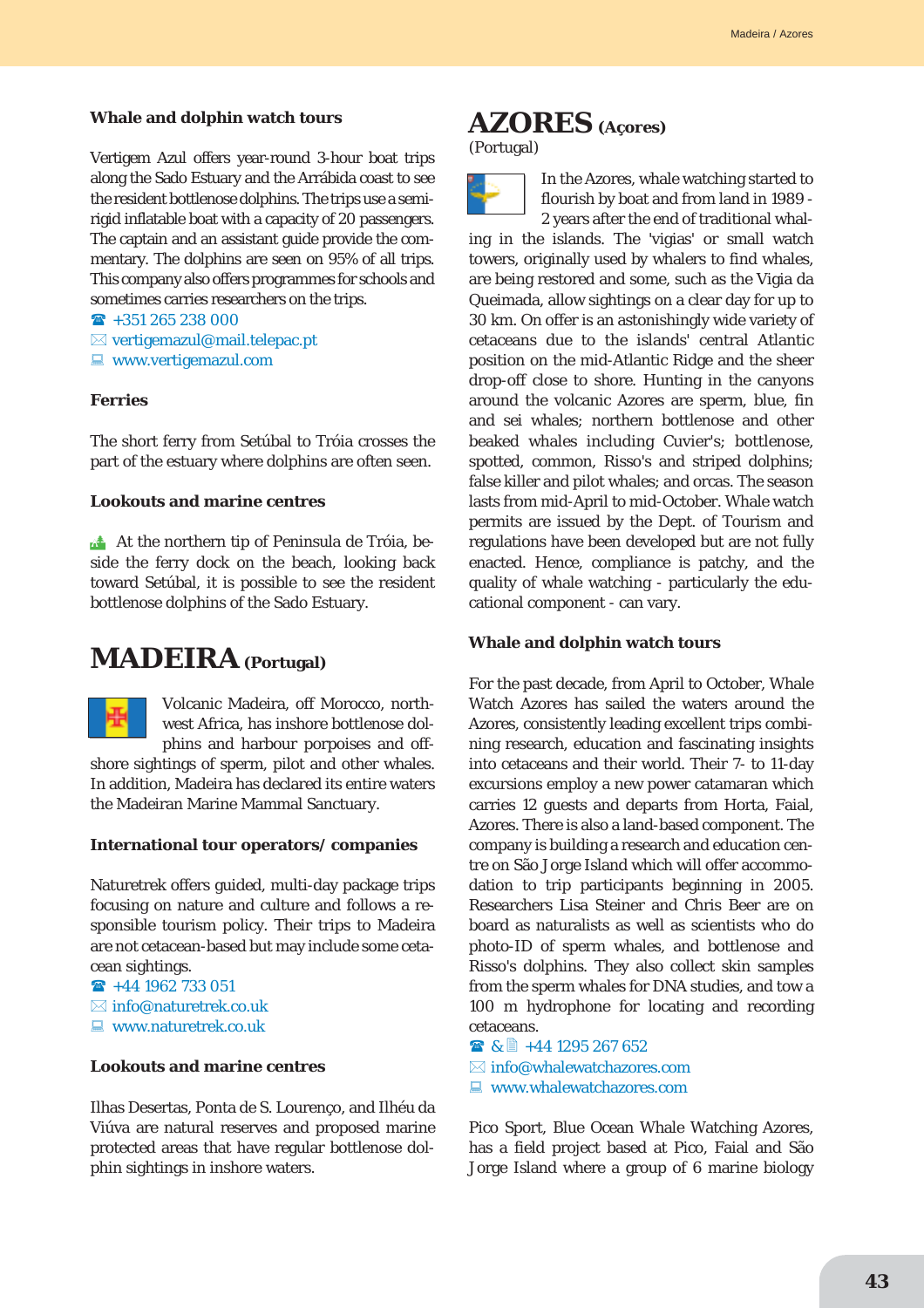#### **Whale and dolphin watch tours**

Vertigem Azul offers year-round 3-hour boat trips along the Sado Estuary and the Arrábida coast to see the resident bottlenose dolphins. The trips use a semirigid inflatable boat with a capacity of 20 passengers. The captain and an assistant guide provide the commentary. The dolphins are seen on 95% of all trips. This company also offers programmes for schools and sometimes carries researchers on the trips.

 $\hat{R}$  +351 265 238 000

- $\boxtimes$  vertigemazul@mail.telepac.pt
- $\blacksquare$  www.vertigemazul.com

#### **Ferries**

The short ferry from Setúbal to Tróia crosses the part of the estuary where dolphins are often seen.

#### **Lookouts and marine centres**

At the northern tip of Peninsula de Tróia, beside the ferry dock on the beach, looking back toward Setúbal, it is possible to see the resident bottlenose dolphins of the Sado Estuary.

# **MADEIRA (Portugal)**



Volcanic Madeira, off Morocco, northwest Africa, has inshore bottlenose dolphins and harbour porpoises and off-

shore sightings of sperm, pilot and other whales. In addition, Madeira has declared its entire waters the Madeiran Marine Mammal Sanctuary.

#### **International tour operators/ companies**

Naturetrek offers guided, multi-day package trips focusing on nature and culture and follows a responsible tourism policy. Their trips to Madeira are not cetacean-based but may include some cetacean sightings.

- $\rightarrow$  +44 1962 733 051
- $\boxtimes$  info@naturetrek.co.uk
- $\Box$  www.naturetrek.co.uk

#### **Lookouts and marine centres**

Ilhas Desertas, Ponta de S. Lourenço, and Ilhéu da Viúva are natural reserves and proposed marine protected areas that have regular bottlenose dolphin sightings in inshore waters.

# **AZORES (Açores)**

(Portugal)



In the Azores, whale watching started to flourish by boat and from land in 1989 - 2 years after the end of traditional whal-

ing in the islands. The 'vigias' or small watch towers, originally used by whalers to find whales, are being restored and some, such as the Vigia da Queimada, allow sightings on a clear day for up to 30 km. On offer is an astonishingly wide variety of cetaceans due to the islands' central Atlantic position on the mid-Atlantic Ridge and the sheer drop-off close to shore. Hunting in the canyons around the volcanic Azores are sperm, blue, fin and sei whales; northern bottlenose and other beaked whales including Cuvier's; bottlenose, spotted, common, Risso's and striped dolphins; false killer and pilot whales; and orcas. The season lasts from mid-April to mid-October. Whale watch permits are issued by the Dept. of Tourism and regulations have been developed but are not fully enacted. Hence, compliance is patchy, and the quality of whale watching - particularly the educational component - can vary.

#### **Whale and dolphin watch tours**

For the past decade, from April to October, Whale Watch Azores has sailed the waters around the Azores, consistently leading excellent trips combining research, education and fascinating insights into cetaceans and their world. Their 7- to 11-day excursions employ a new power catamaran which carries 12 guests and departs from Horta, Faial, Azores. There is also a land-based component. The company is building a research and education centre on São Jorge Island which will offer accommodation to trip participants beginning in 2005. Researchers Lisa Steiner and Chris Beer are on board as naturalists as well as scientists who do photo-ID of sperm whales, and bottlenose and Risso's dolphins. They also collect skin samples from the sperm whales for DNA studies, and tow a 100 m hydrophone for locating and recording cetaceans.

■ & ■ +44 1295 267 652  $\boxtimes$  info@whalewatchazores.com  $\Box$  www.whalewatchazores.com

Pico Sport, Blue Ocean Whale Watching Azores, has a field project based at Pico, Faial and São Jorge Island where a group of 6 marine biology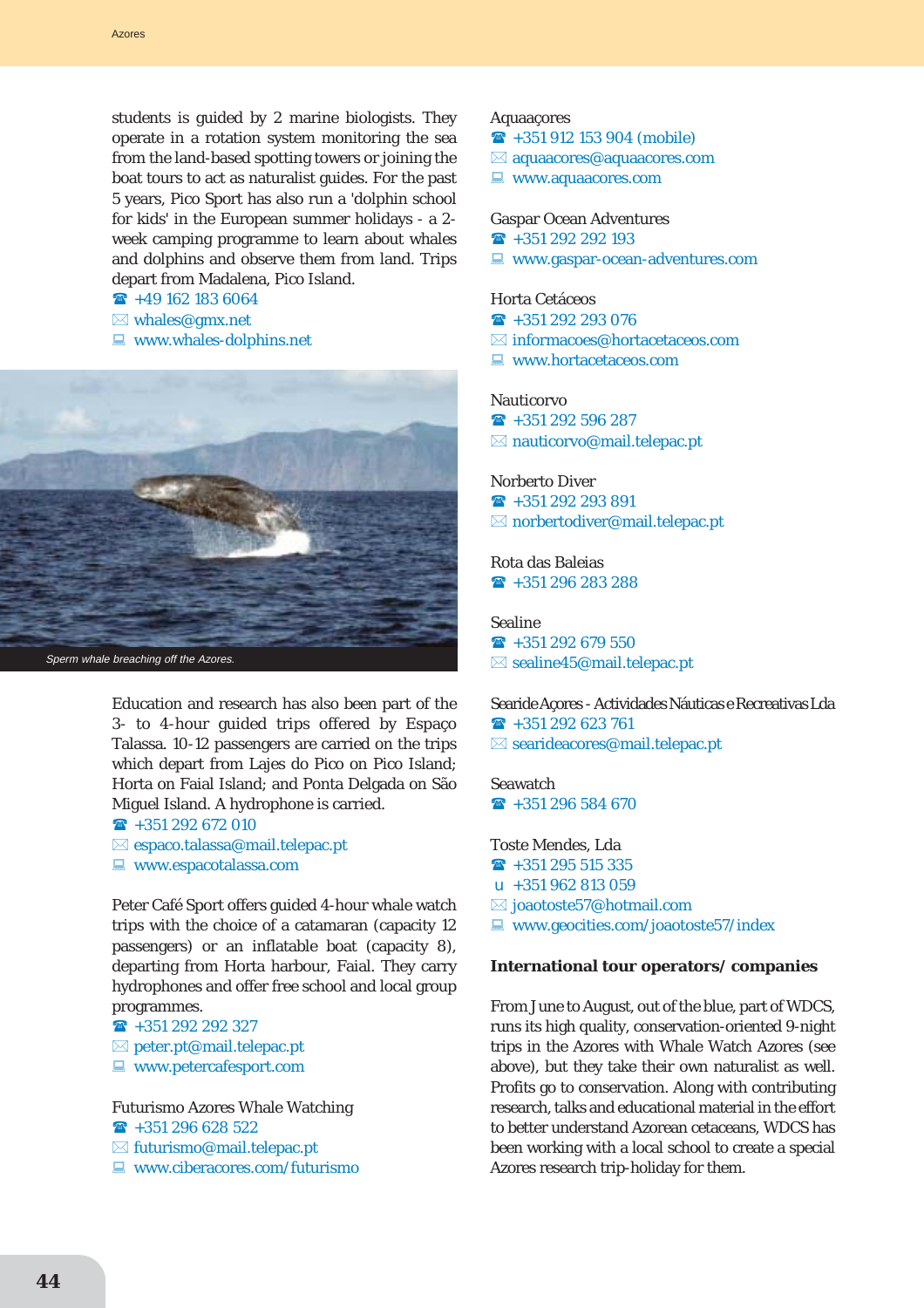students is guided by 2 marine biologists. They operate in a rotation system monitoring the sea from the land-based spotting towers or joining the boat tours to act as naturalist guides. For the past 5 years, Pico Sport has also run a 'dolphin school for kids' in the European summer holidays - a 2 week camping programme to learn about whales and dolphins and observe them from land. Trips depart from Madalena, Pico Island.

 $\textbf{F}$  +49 162 183 6064

- $\boxtimes$  whales@gmx.net
- $\Box$  www.whales-dolphins.net



Education and research has also been part of the 3- to 4-hour guided trips offered by Espaço Talassa. 10-12 passengers are carried on the trips which depart from Lajes do Pico on Pico Island; Horta on Faial Island; and Ponta Delgada on São Miguel Island. A hydrophone is carried.

 $\rightarrow$  +351 292 672 010  $\boxtimes$  espaco.talassa@mail.telepac.pt

 $\Box$  www.espacotalassa.com

Peter Café Sport offers guided 4-hour whale watch trips with the choice of a catamaran (capacity 12 passengers) or an inflatable boat (capacity 8), departing from Horta harbour, Faial. They carry hydrophones and offer free school and local group programmes.

- $\rightarrow$  +351 292 292 327
- $\boxtimes$  peter.pt@mail.telepac.pt
- $\blacksquare$  www.petercafesport.com

Futurismo Azores Whale Watching

- $\rightarrow$  +351 296 628 522
- $\boxtimes$  futurismo@mail.telepac.pt
- $\Box$  www.ciberacores.com/futurismo

#### Aquaaçores

 $\rightarrow$  +351 912 153 904 (mobile)

- $\boxtimes$  aquaacores@aquaacores.com
- $\blacksquare$  www.aquaacores.com

# Gaspar Ocean Adventures

 $\rightarrow$  +351 292 292 193

 $\Box$  www.gaspar-ocean-adventures.com

#### Horta Cetáceos

- $\hat{R}$  +351 292 293 076
- $\boxtimes$  informacoes@hortacetaceos.com
- $\Box$  www.hortacetaceos.com

### **Nauticorvo**

- $\rightarrow$  +351 292 596 287
- $\boxtimes$  nauticorvo@mail.telepac.pt

#### Norberto Diver

 $\rightarrow$  +351 292 293 891  $\boxtimes$  norbertodiver@mail.telepac.pt

Rota das Baleias  $\rightarrow$  +351 296 283 288

#### Sealine

 $\rightarrow$  +351 292 679 550  $\boxtimes$  sealine45@mail.telepac.pt

Searide Açores - Actividades Náuticas e Recreativas Lda  $\rightarrow$  +351 292 623 761  $\boxtimes$  searideacores@mail.telepac.pt

**Seawatch**  $\rightarrow$  +351 296 584 670

Toste Mendes, Lda  $\rightarrow$  +351 295 515 335  $\mu$  +351 962 813 059

- $\boxtimes$  joaotoste57@hotmail.com
- $\Box$  www.geocities.com/joaotoste57/index

#### **International tour operators/ companies**

From June to August, out of the blue, part of WDCS, runs its high quality, conservation-oriented 9-night trips in the Azores with Whale Watch Azores (see above), but they take their own naturalist as well. Profits go to conservation. Along with contributing research, talks and educational material in the effort to better understand Azorean cetaceans, WDCS has been working with a local school to create a special Azores research trip-holiday for them.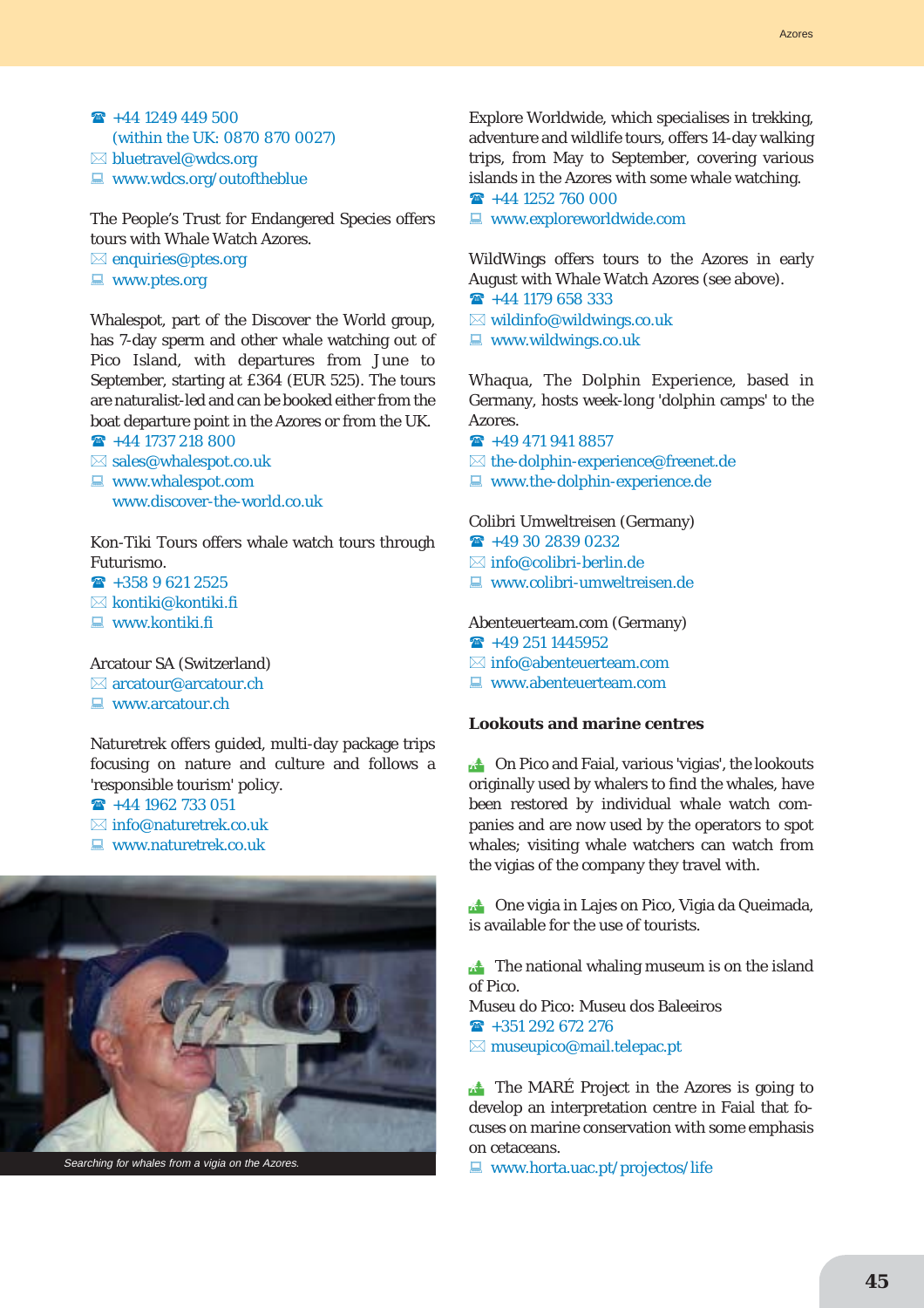$\rightarrow$  +44 1249 449 500 (within the UK: 0870 870 0027)  $\boxtimes$  bluetravel@wdcs.org  $\blacksquare$  www.wdcs.org/outoftheblue

The People's Trust for Endangered Species offers tours with Whale Watch Azores.  $\boxtimes$  enquiries@ptes.org

 $\blacksquare$  www.ptes.org

Whalespot, part of the Discover the World group, has 7-day sperm and other whale watching out of Pico Island, with departures from June to September, starting at £364 (EUR 525). The tours are naturalist-led and can be booked either from the boat departure point in the Azores or from the UK.

- $\rightarrow$  +44 1737 218 800
- $\boxtimes$  sales@whalespot.co.uk
- $\Box$  www.whalespot.com www.discover-the-world.co.uk

Kon-Tiki Tours offers whale watch tours through Futurismo.

 $\rightarrow$  +358 9 621 2525

 $\boxtimes$  kontiki@kontiki.fi

 $\Box$  www.kontiki.fi

Arcatour SA (Switzerland)  $\boxtimes$  arcatour@arcatour.ch

 $\Box$  www.arcatour.ch

Naturetrek offers guided, multi-day package trips focusing on nature and culture and follows a 'responsible tourism' policy.

 $\rightarrow$  +44 1962 733 051

- $\boxtimes$  info@naturetrek.co.uk
- $\Box$  www.naturetrek.co.uk



Searching for whales from a vigia on the Azores.

Explore Worldwide, which specialises in trekking, adventure and wildlife tours, offers 14-day walking trips, from May to September, covering various islands in the Azores with some whale watching.  $\rightarrow$  +44 1252 760 000

 $\blacksquare$  www.exploreworldwide.com

WildWings offers tours to the Azores in early August with Whale Watch Azores (see above).

- $\rightarrow$  +44 1179 658 333
- $\boxtimes$  wildinfo@wildwings.co.uk

 $\Box$  www.wildwings.co.uk

Whaqua, The Dolphin Experience, based in Germany, hosts week-long 'dolphin camps' to the Azores.

- $\rightarrow$  +49 471 941 8857
- $\boxtimes$  the-dolphin-experience@freenet.de
- $\blacksquare$  www.the-dolphin-experience.de

Colibri Umweltreisen (Germany)

- $\rightarrow$  +49 30 2839 0232
- $\boxtimes$  info@colibri-berlin.de
- $\blacksquare$  www.colibri-umweltreisen.de

Abenteuerteam.com (Germany)

- $\rightarrow$  +49 251 1445952
- $\boxtimes$  info@abenteuerteam.com
- $\Box$  www.abenteuerteam.com

#### **Lookouts and marine centres**

**the Conduct On Pico and Faial, various 'vigias', the lookouts** originally used by whalers to find the whales, have been restored by individual whale watch companies and are now used by the operators to spot whales; visiting whale watchers can watch from the vigias of the company they travel with.

**14 One vigia in Lajes on Pico, Vigia da Queimada,** is available for the use of tourists.

 $\triangle$  The national whaling museum is on the island of Pico.

Museu do Pico: Museu dos Baleeiros  $\rightarrow$  +351 292 672 276  $\boxtimes$  museupico@mail.telepac.pt

 $\triangle$  The MARE Project in the Azores is going to develop an interpretation centre in Faial that focuses on marine conservation with some emphasis on cetaceans.

 $\Box$  www.horta.uac.pt/projectos/life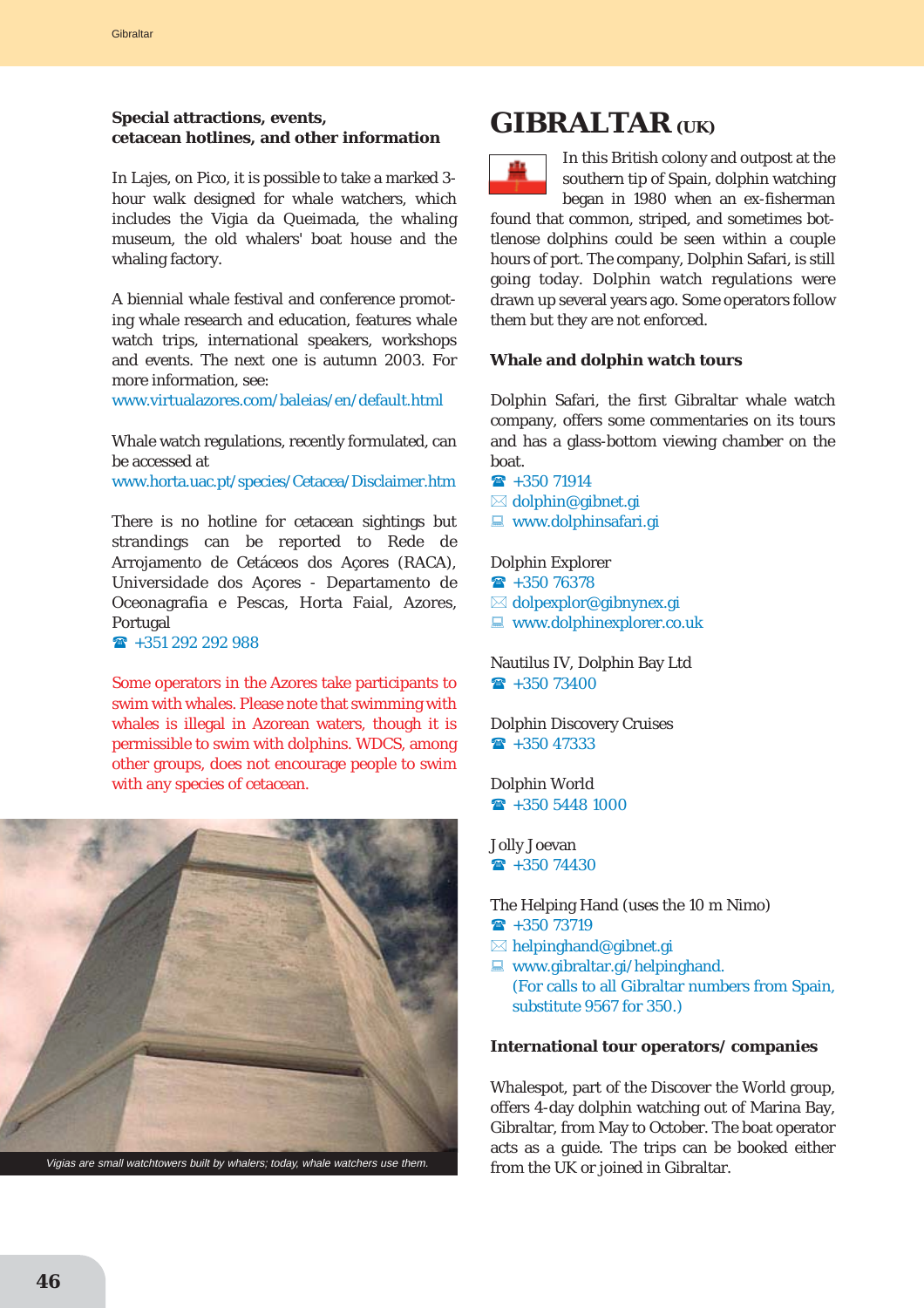# **Special attractions, events, cetacean hotlines, and other information**

In Lajes, on Pico, it is possible to take a marked 3 hour walk designed for whale watchers, which includes the Vigia da Queimada, the whaling museum, the old whalers' boat house and the whaling factory.

A biennial whale festival and conference promoting whale research and education, features whale watch trips, international speakers, workshops and events. The next one is autumn 2003. For more information, see:

www.virtualazores.com/baleias/en/default.html

Whale watch regulations, recently formulated, can be accessed at www.horta.uac.pt/species/Cetacea/Disclaimer.htm

There is no hotline for cetacean sightings but strandings can be reported to Rede de Arrojamento de Cetáceos dos Açores (RACA), Universidade dos Açores - Departamento de Oceonagrafia e Pescas, Horta Faial, Azores, Portugal

 $\rightarrow$  +351 292 292 988

Some operators in the Azores take participants to swim with whales. Please note that swimming with whales is illegal in Azorean waters, though it is permissible to swim with dolphins. WDCS, among other groups, does not encourage people to swim with any species of cetacean.



**GIBRALTAR** (UK)



In this British colony and outpost at the southern tip of Spain, dolphin watching began in 1980 when an ex-fisherman

found that common, striped, and sometimes bottlenose dolphins could be seen within a couple hours of port. The company, Dolphin Safari, is still going today. Dolphin watch regulations were drawn up several years ago. Some operators follow them but they are not enforced.

### **Whale and dolphin watch tours**

Dolphin Safari, the first Gibraltar whale watch company, offers some commentaries on its tours and has a glass-bottom viewing chamber on the boat.

- $\bullet$  +350 71914
- $\boxtimes$  dolphin@gibnet.gi
- $\Box$  www.dolphinsafari.gi

#### Dolphin Explorer

- $\textbf{R}$  +350 76378
- $\boxtimes$  dolpexplor@gibnynex.gi
- $\blacksquare$  www.dolphinexplorer.co.uk

Nautilus IV, Dolphin Bay Ltd  $\textbf{R}$  +350 73400

Dolphin Discovery Cruises  $\rightarrow$  +350 47333

Dolphin World  $\textbf{R}$  +350 5448 1000

Jolly Joevan  $\textbf{R}$  +350 74430

The Helping Hand (uses the 10 m Nimo)

- $\bullet$  +350 73719
- $\boxtimes$  helpinghand@gibnet.gi
- $\Box$  www.gibraltar.gi/helpinghand. (For calls to all Gibraltar numbers from Spain, substitute 9567 for 350.)

#### **International tour operators/ companies**

Whalespot, part of the Discover the World group, offers 4-day dolphin watching out of Marina Bay, Gibraltar, from May to October. The boat operator acts as a guide. The trips can be booked either from the UK or joined in Gibraltar.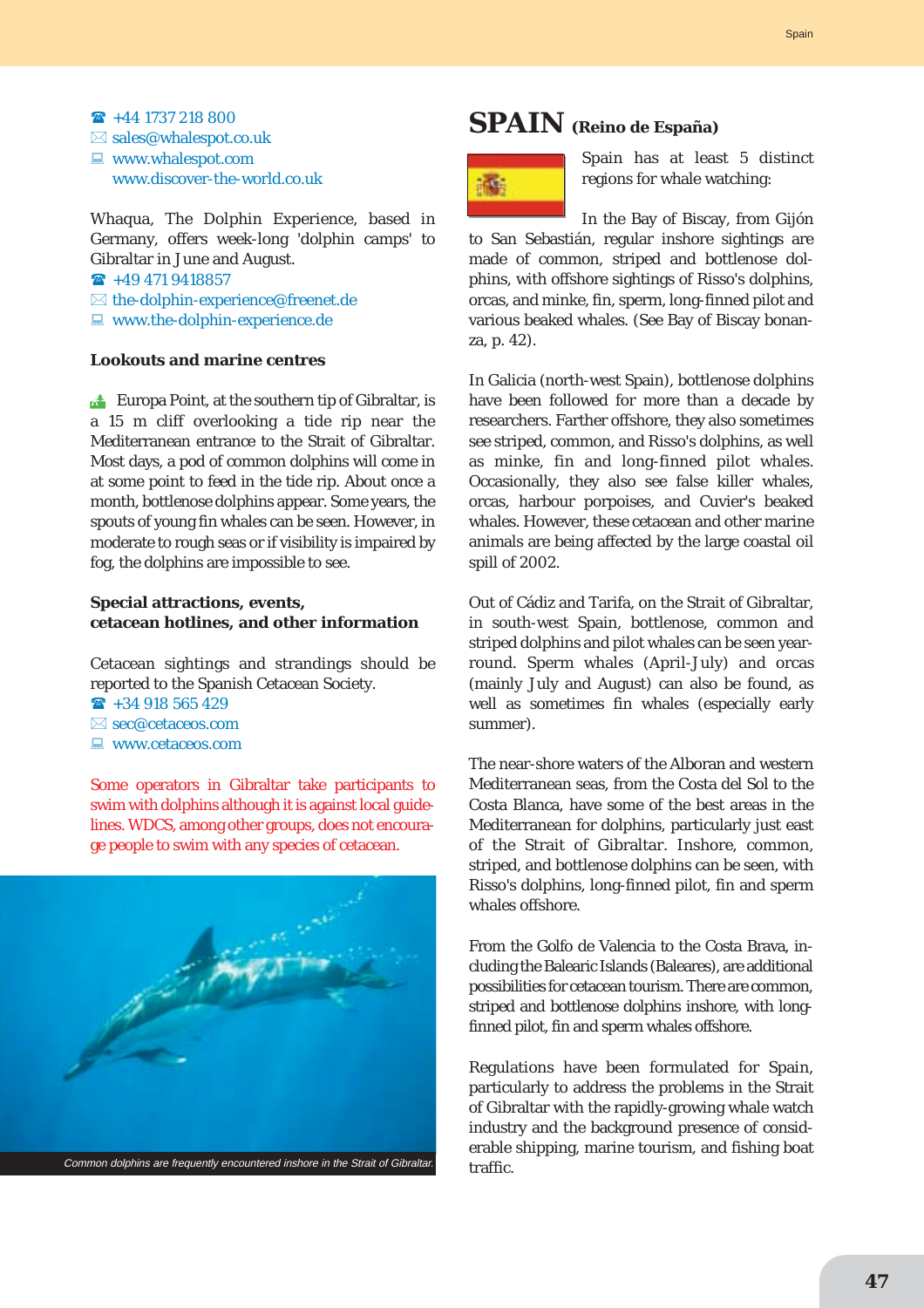### $\rightarrow$  +44 1737 218 800  $\boxtimes$  sales@whalespot.co.uk  $\Box$  www.whalespot.com www.discover-the-world.co.uk

Whaqua, The Dolphin Experience, based in Germany, offers week-long 'dolphin camps' to Gibraltar in June and August.

 $\rightarrow$  +49 471 9418857

- $\boxtimes$  the-dolphin-experience@freenet.de
- $\blacksquare$  www.the-dolphin-experience.de

#### **Lookouts and marine centres**

**Europa Point, at the southern tip of Gibraltar, is** a 15 m cliff overlooking a tide rip near the Mediterranean entrance to the Strait of Gibraltar. Most days, a pod of common dolphins will come in at some point to feed in the tide rip. About once a month, bottlenose dolphins appear. Some years, the spouts of young fin whales can be seen. However, in moderate to rough seas or if visibility is impaired by fog, the dolphins are impossible to see.

### **Special attractions, events, cetacean hotlines, and other information**

Cetacean sightings and strandings should be reported to the Spanish Cetacean Society.

- $\rightarrow$  +34 918 565 429
- $\boxtimes$  sec@cetaceos.com
- $\Box$  www.cetaceos.com

Some operators in Gibraltar take participants to swim with dolphins although it is against local guidelines. WDCS, among other groups, does not encourage people to swim with any species of cetacean.



# **SPAIN (Reino de España)**



Spain has at least 5 distinct regions for whale watching:

In the Bay of Biscay, from Gijón to San Sebastián, regular inshore sightings are made of common, striped and bottlenose dolphins, with offshore sightings of Risso's dolphins, orcas, and minke, fin, sperm, long-finned pilot and various beaked whales. (See Bay of Biscay bonanza, p. 42).

In Galicia (north-west Spain), bottlenose dolphins have been followed for more than a decade by researchers. Farther offshore, they also sometimes see striped, common, and Risso's dolphins, as well as minke, fin and long-finned pilot whales. Occasionally, they also see false killer whales, orcas, harbour porpoises, and Cuvier's beaked whales. However, these cetacean and other marine animals are being affected by the large coastal oil spill of 2002.

Out of Cádiz and Tarifa, on the Strait of Gibraltar, in south-west Spain, bottlenose, common and striped dolphins and pilot whales can be seen yearround. Sperm whales (April-July) and orcas (mainly July and August) can also be found, as well as sometimes fin whales (especially early summer).

The near-shore waters of the Alboran and western Mediterranean seas, from the Costa del Sol to the Costa Blanca, have some of the best areas in the Mediterranean for dolphins, particularly just east of the Strait of Gibraltar. Inshore, common, striped, and bottlenose dolphins can be seen, with Risso's dolphins, long-finned pilot, fin and sperm whales offshore.

From the Golfo de Valencia to the Costa Brava, including the Balearic Islands (Baleares), are additional possibilities for cetacean tourism. There are common, striped and bottlenose dolphins inshore, with longfinned pilot, fin and sperm whales offshore.

Regulations have been formulated for Spain, particularly to address the problems in the Strait of Gibraltar with the rapidly-growing whale watch industry and the background presence of considerable shipping, marine tourism, and fishing boat traffic.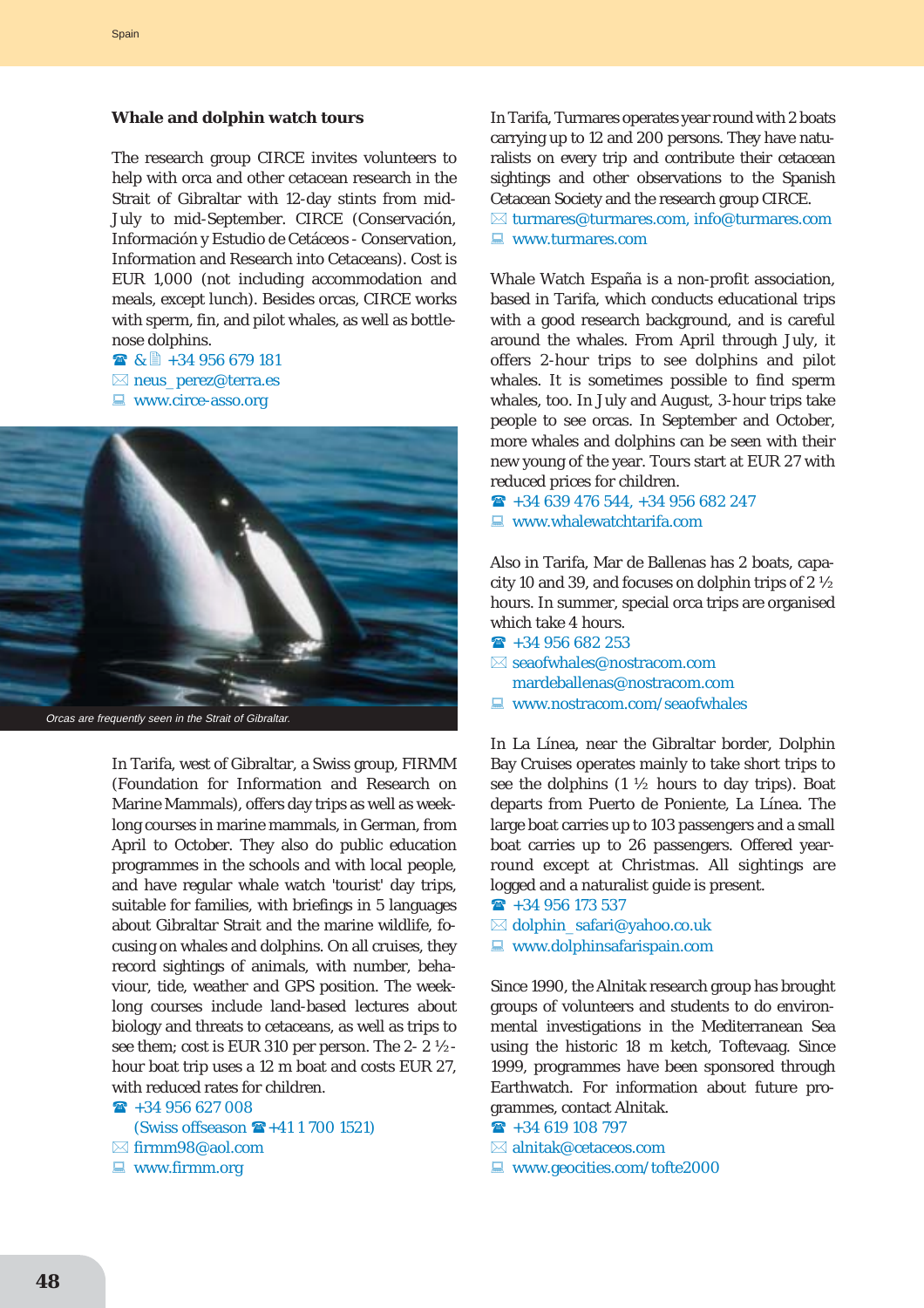#### **Whale and dolphin watch tours**

The research group CIRCE invites volunteers to help with orca and other cetacean research in the Strait of Gibraltar with 12-day stints from mid-July to mid-September. CIRCE (Conservación, Información y Estudio de Cetáceos - Conservation, Information and Research into Cetaceans). Cost is EUR 1,000 (not including accommodation and meals, except lunch). Besides orcas, CIRCE works with sperm, fin, and pilot whales, as well as bottlenose dolphins.

■ & ■ +34 956 679 181  $\boxtimes$  neus\_perez@terra.es  $\Box$  www.circe-asso.org



In Tarifa, west of Gibraltar, a Swiss group, FIRMM (Foundation for Information and Research on Marine Mammals), offers day trips as well as weeklong courses in marine mammals, in German, from April to October. They also do public education programmes in the schools and with local people, and have regular whale watch 'tourist' day trips, suitable for families, with briefings in 5 languages about Gibraltar Strait and the marine wildlife, focusing on whales and dolphins. On all cruises, they record sightings of animals, with number, behaviour, tide, weather and GPS position. The weeklong courses include land-based lectures about biology and threats to cetaceans, as well as trips to see them; cost is EUR 310 per person. The 2- 2 ½ hour boat trip uses a 12 m boat and costs EUR 27, with reduced rates for children.

 $\rightarrow$  +34 956 627 008 (Swiss offseason  $\mathbf{F} + 41 1 700 1521$ )

- $\boxtimes$  firmm98@aol.com
- $\blacksquare$  www.firmm.org

In Tarifa, Turmares operates year round with 2 boats carrying up to 12 and 200 persons. They have naturalists on every trip and contribute their cetacean sightings and other observations to the Spanish Cetacean Society and the research group CIRCE.

 $\boxtimes$  turmares@turmares.com, info@turmares.com  $\Box$  www.turmares.com

Whale Watch España is a non-profit association, based in Tarifa, which conducts educational trips with a good research background, and is careful around the whales. From April through July, it offers 2-hour trips to see dolphins and pilot whales. It is sometimes possible to find sperm whales, too. In July and August, 3-hour trips take people to see orcas. In September and October, more whales and dolphins can be seen with their new young of the year. Tours start at EUR 27 with reduced prices for children.

 $\hat{ }$  +34 639 476 544, +34 956 682 247  $\blacksquare$  www.whalewatchtarifa.com

Also in Tarifa, Mar de Ballenas has 2 boats, capacity 10 and 39, and focuses on dolphin trips of 2 ½ hours. In summer, special orca trips are organised which take 4 hours.

- $\rightarrow$  +34 956 682 253  $\boxtimes$  seaofwhales@nostracom.com mardeballenas@nostracom.com
- $\Box$  www.nostracom.com/seaofwhales

In La Línea, near the Gibraltar border, Dolphin Bay Cruises operates mainly to take short trips to see the dolphins  $(1 \frac{1}{2})$  hours to day trips). Boat departs from Puerto de Poniente, La Línea. The large boat carries up to 103 passengers and a small boat carries up to 26 passengers. Offered yearround except at Christmas. All sightings are logged and a naturalist guide is present.

- $\rightarrow$  +34 956 173 537
- $\boxtimes$  dolphin\_safari@yahoo.co.uk
- $\Box$  www.dolphinsafarispain.com

Since 1990, the Alnitak research group has brought groups of volunteers and students to do environmental investigations in the Mediterranean Sea using the historic 18 m ketch, Toftevaag. Since 1999, programmes have been sponsored through Earthwatch. For information about future programmes, contact Alnitak.

 $\rightarrow$  +34 619 108 797

- $\boxtimes$  alnitak@cetaceos.com
- $\Box$  www.geocities.com/tofte2000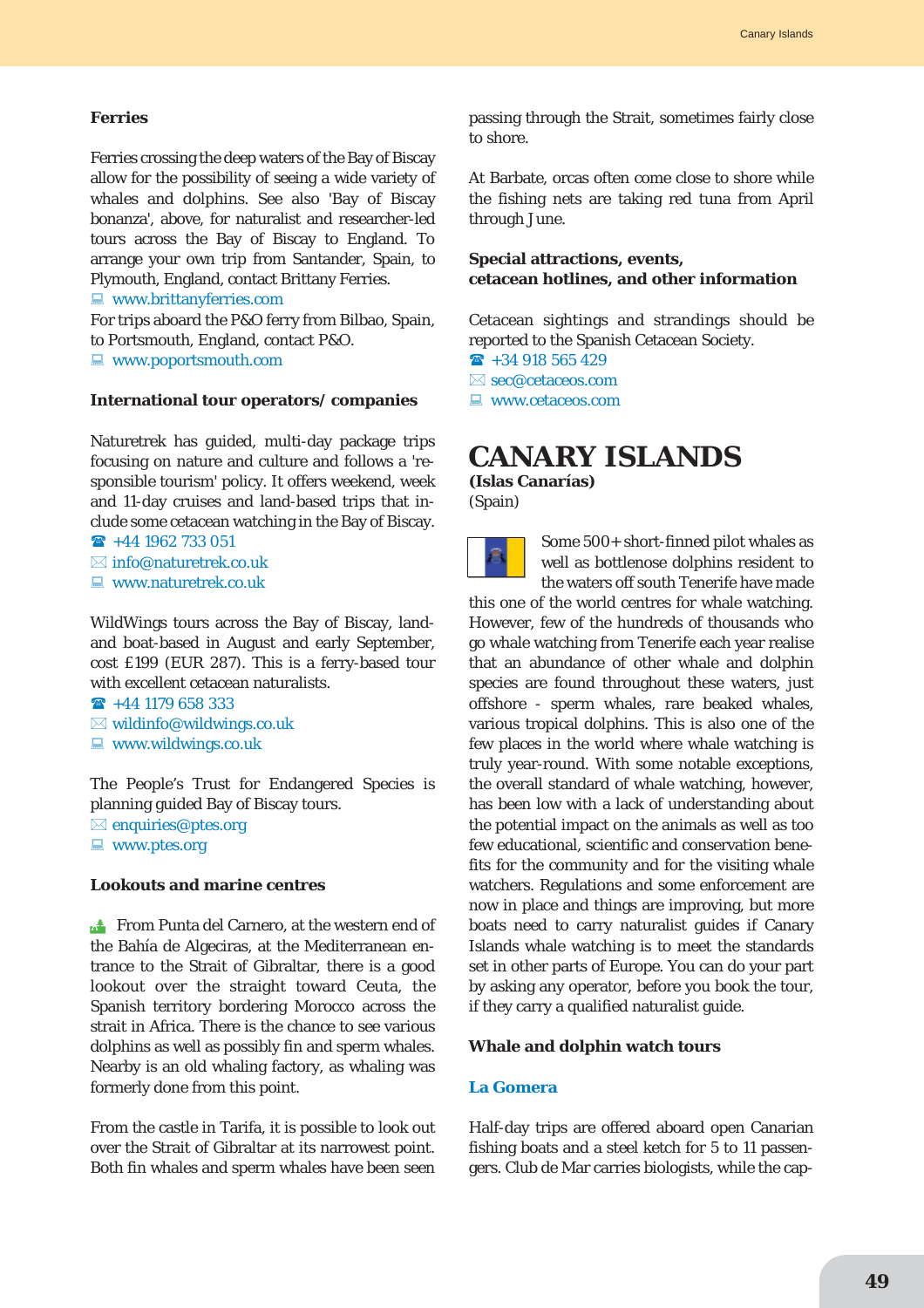#### **Ferries**

Ferries crossing the deep waters of the Bay of Biscay allow for the possibility of seeing a wide variety of whales and dolphins. See also 'Bay of Biscay bonanza', above, for naturalist and researcher-led tours across the Bay of Biscay to England. To arrange your own trip from Santander, Spain, to Plymouth, England, contact Brittany Ferries.

 $\Box$  www.brittanyferries.com

For trips aboard the P&O ferry from Bilbao, Spain, to Portsmouth, England, contact P&O.  $\blacksquare$  www.poportsmouth.com

#### **International tour operators/ companies**

Naturetrek has guided, multi-day package trips focusing on nature and culture and follows a 'responsible tourism' policy. It offers weekend, week and 11-day cruises and land-based trips that include some cetacean watching in the Bay of Biscay.  $\hat{ }$  +44 1962 733 051

 $\boxtimes$  info@naturetrek.co.uk

 $\blacksquare$  www.naturetrek.co.uk

WildWings tours across the Bay of Biscay, landand boat-based in August and early September, cost £199 (EUR 287). This is a ferry-based tour with excellent cetacean naturalists.

 $\rightarrow$  +44 1179 658 333

- $\boxtimes$  wildinfo@wildwings.co.uk
- $\Box$  www.wildwings.co.uk

The People's Trust for Endangered Species is planning guided Bay of Biscay tours.

 $\boxtimes$  enquiries@ptes.org  $\blacksquare$  www.ptes.org

#### **Lookouts and marine centres**

**From Punta del Carnero, at the western end of** the Bahía de Algeciras, at the Mediterranean entrance to the Strait of Gibraltar, there is a good lookout over the straight toward Ceuta, the Spanish territory bordering Morocco across the strait in Africa. There is the chance to see various dolphins as well as possibly fin and sperm whales. Nearby is an old whaling factory, as whaling was formerly done from this point.

From the castle in Tarifa, it is possible to look out over the Strait of Gibraltar at its narrowest point. Both fin whales and sperm whales have been seen passing through the Strait, sometimes fairly close to shore.

At Barbate, orcas often come close to shore while the fishing nets are taking red tuna from April through June.

### **Special attractions, events, cetacean hotlines, and other information**

Cetacean sightings and strandings should be reported to the Spanish Cetacean Society.

 $\rightarrow$  +34 918 565 429

 $\boxtimes$  sec@cetaceos.com

 $\Box$  www.cetaceos.com

# **CANARY ISLANDS**

**(Islas Canarías)** (Spain)



Some 500+ short-finned pilot whales as well as bottlenose dolphins resident to the waters off south Tenerife have made

this one of the world centres for whale watching. However, few of the hundreds of thousands who go whale watching from Tenerife each year realise that an abundance of other whale and dolphin species are found throughout these waters, just offshore - sperm whales, rare beaked whales, various tropical dolphins. This is also one of the few places in the world where whale watching is truly year-round. With some notable exceptions, the overall standard of whale watching, however, has been low with a lack of understanding about the potential impact on the animals as well as too few educational, scientific and conservation benefits for the community and for the visiting whale watchers. Regulations and some enforcement are now in place and things are improving, but more boats need to carry naturalist guides if Canary Islands whale watching is to meet the standards set in other parts of Europe. You can do your part by asking any operator, before you book the tour, if they carry a qualified naturalist guide.

#### **Whale and dolphin watch tours**

#### **La Gomera**

Half-day trips are offered aboard open Canarian fishing boats and a steel ketch for 5 to 11 passengers. Club de Mar carries biologists, while the cap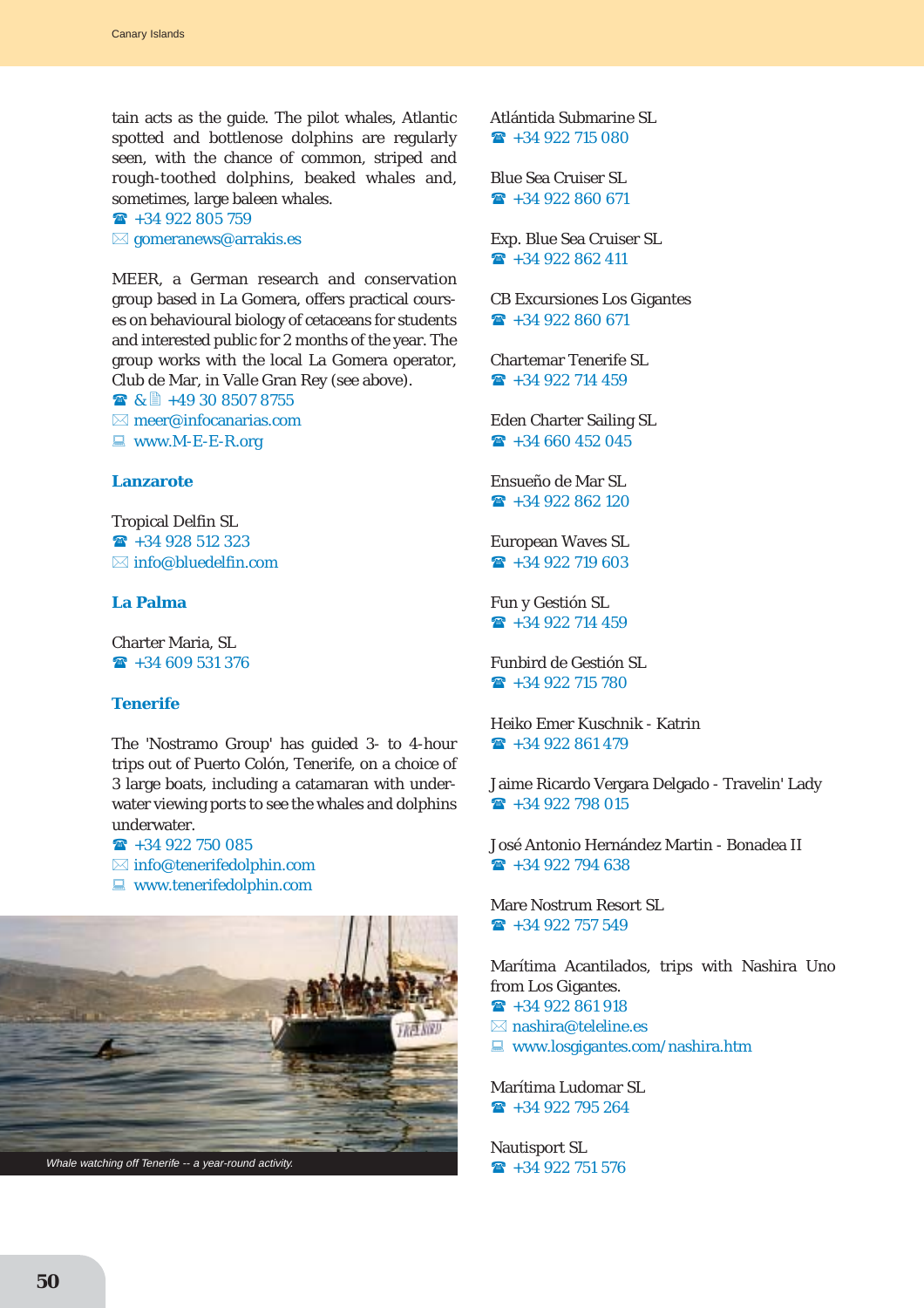tain acts as the guide. The pilot whales, Atlantic spotted and bottlenose dolphins are regularly seen, with the chance of common, striped and rough-toothed dolphins, beaked whales and, sometimes, large baleen whales.

 $\rightarrow$  +34 922 805 759  $\boxtimes$  gomeranews@arrakis.es

MEER, a German research and conservation group based in La Gomera, offers practical courses on behavioural biology of cetaceans for students and interested public for 2 months of the year. The group works with the local La Gomera operator, Club de Mar, in Valle Gran Rey (see above).

■ & ■ +49 30 8507 8755  $\boxtimes$  meer@infocanarias.com  $\blacksquare$  www.M-E-E-R.org

### **Lanzarote**

Tropical Delfin SL  $\rightarrow$  +34 928 512 323  $\boxtimes$  info@bluedelfin.com

# **La Palma**

Charter Maria, SL  $\rightarrow$  +34 609 531 376

# **Tenerife**

The 'Nostramo Group' has guided 3- to 4-hour trips out of Puerto Colón, Tenerife, on a choice of 3 large boats, including a catamaran with underwater viewing ports to see the whales and dolphins underwater.

 $\rightarrow$  +34 922 750 085

- $\boxtimes$  info@tenerifedolphin.com
- $\blacksquare$  www.tenerifedolphin.com



Atlántida Submarine SL  $\rightarrow$  +34 922 715 080

Blue Sea Cruiser SL  $\rightarrow$  +34 922 860 671

Exp. Blue Sea Cruiser SL  $\rightarrow$  +34 922 862 411

CB Excursiones Los Gigantes  $\hat{ }$  +34 922 860 671

Chartemar Tenerife SL  $\rightarrow$  +34 922 714 459

Eden Charter Sailing SL  $\hat{ }$  +34 660 452 045

Ensueño de Mar SL  $\rightarrow$  +34 922 862 120

European Waves SL  $\rightarrow$  +34 922 719 603

Fun y Gestión SL  $\rightarrow$  +34 922 714 459

Funbird de Gestión SL  $\rightarrow$  +34 922 715 780

Heiko Emer Kuschnik - Katrin  $\hat{ }$  +34 922 861 479

Jaime Ricardo Vergara Delgado - Travelin' Lady  $\rightarrow$  +34 922 798 015

José Antonio Hernández Martin - Bonadea II  $\hat{ }$  +34 922 794 638

Mare Nostrum Resort SL  $\rightarrow$  +34 922 757 549

Marítima Acantilados, trips with Nashira Uno from Los Gigantes.

 $\hat{ }$  +34 922 861 918

- $\boxtimes$  nashira@teleline.es
- $\Box$  www.losgigantes.com/nashira.htm

Marítima Ludomar SL  $\rightarrow$  +34 922 795 264

Nautisport SL  $\rightarrow$  +34 922 751 576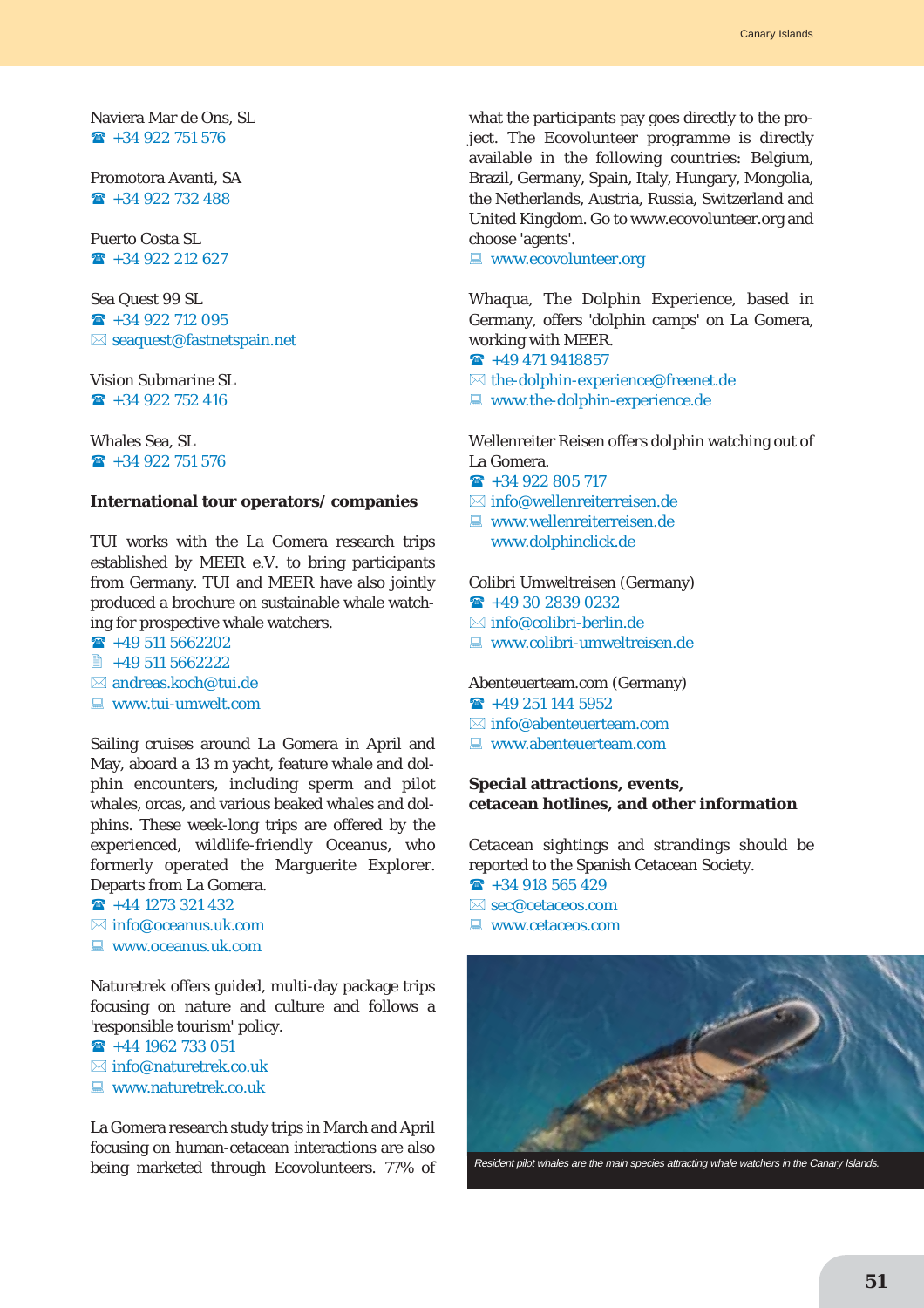Naviera Mar de Ons, SL  $\rightarrow$  +34 922 751 576

Promotora Avanti, SA  $\rightarrow$  +34 922 732 488

Puerto Costa SL  $\rightarrow$  +34 922 212 627

Sea Quest 99 SL  $\hat{ }$  +34 922 712 095  $\boxtimes$  seaquest@fastnetspain.net

Vision Submarine SL  $\rightarrow$  +34 922 752 416

Whales Sea, SL  $\rightarrow$  +34 922 751 576

#### **International tour operators/ companies**

TUI works with the La Gomera research trips established by MEER e.V. to bring participants from Germany. TUI and MEER have also jointly produced a brochure on sustainable whale watching for prospective whale watchers.

 $\rightarrow$  +49 511 5662202 ■ +49 511 5662222

 $\boxtimes$  andreas.koch@tui.de

 $\Box$  www.tui-umwelt.com

Sailing cruises around La Gomera in April and May, aboard a 13 m yacht, feature whale and dolphin encounters, including sperm and pilot whales, orcas, and various beaked whales and dolphins. These week-long trips are offered by the experienced, wildlife-friendly Oceanus, who formerly operated the Marguerite Explorer. Departs from La Gomera.

 $\rightarrow$  +44 1273 321 432

- $\boxtimes$  info@oceanus.uk.com
- $\Box$  www.oceanus.uk.com

Naturetrek offers guided, multi-day package trips focusing on nature and culture and follows a 'responsible tourism' policy.

 $\rightarrow$  +44 1962 733 051

- $\boxtimes$  info@naturetrek.co.uk
- $\Box$  www.naturetrek.co.uk

La Gomera research study trips in March and April focusing on human-cetacean interactions are also being marketed through Ecovolunteers. 77% of

what the participants pay goes directly to the project. The Ecovolunteer programme is directly available in the following countries: Belgium, Brazil, Germany, Spain, Italy, Hungary, Mongolia, the Netherlands, Austria, Russia, Switzerland and United Kingdom. Go to www.ecovolunteer.org and choose 'agents'.

 $\blacksquare$  www.ecovolunteer.org

Whaqua, The Dolphin Experience, based in Germany, offers 'dolphin camps' on La Gomera, working with MEER.

- $\textbf{R}$  +49 471 9418857
- $\boxtimes$  the-dolphin-experience@freenet.de
- $\blacksquare$  www.the-dolphin-experience.de

Wellenreiter Reisen offers dolphin watching out of La Gomera.

- $\rightarrow$  +34 922 805 717
- $\boxtimes$  info@wellenreiterreisen.de
- $\blacksquare$  www.wellenreiterreisen.de www.dolphinclick.de

Colibri Umweltreisen (Germany)

- $\rightarrow$  +49 30 2839 0232
- $\boxtimes$  info@colibri-berlin.de
- $\blacksquare$  www.colibri-umweltreisen.de

Abenteuerteam.com (Germany)

- $\rightarrow$  +49 251 144 5952
- $\boxtimes$  info@abenteuerteam.com
- $\Box$  www.abenteuerteam.com

### **Special attractions, events, cetacean hotlines, and other information**

Cetacean sightings and strandings should be reported to the Spanish Cetacean Society.  $\rightarrow$  +34 918 565 429

 $\boxtimes$  sec@cetaceos.com

- $\Box$  www.cetaceos.com
- 

Resident pilot whales are the main species attracting whale watchers in the Canary Islands.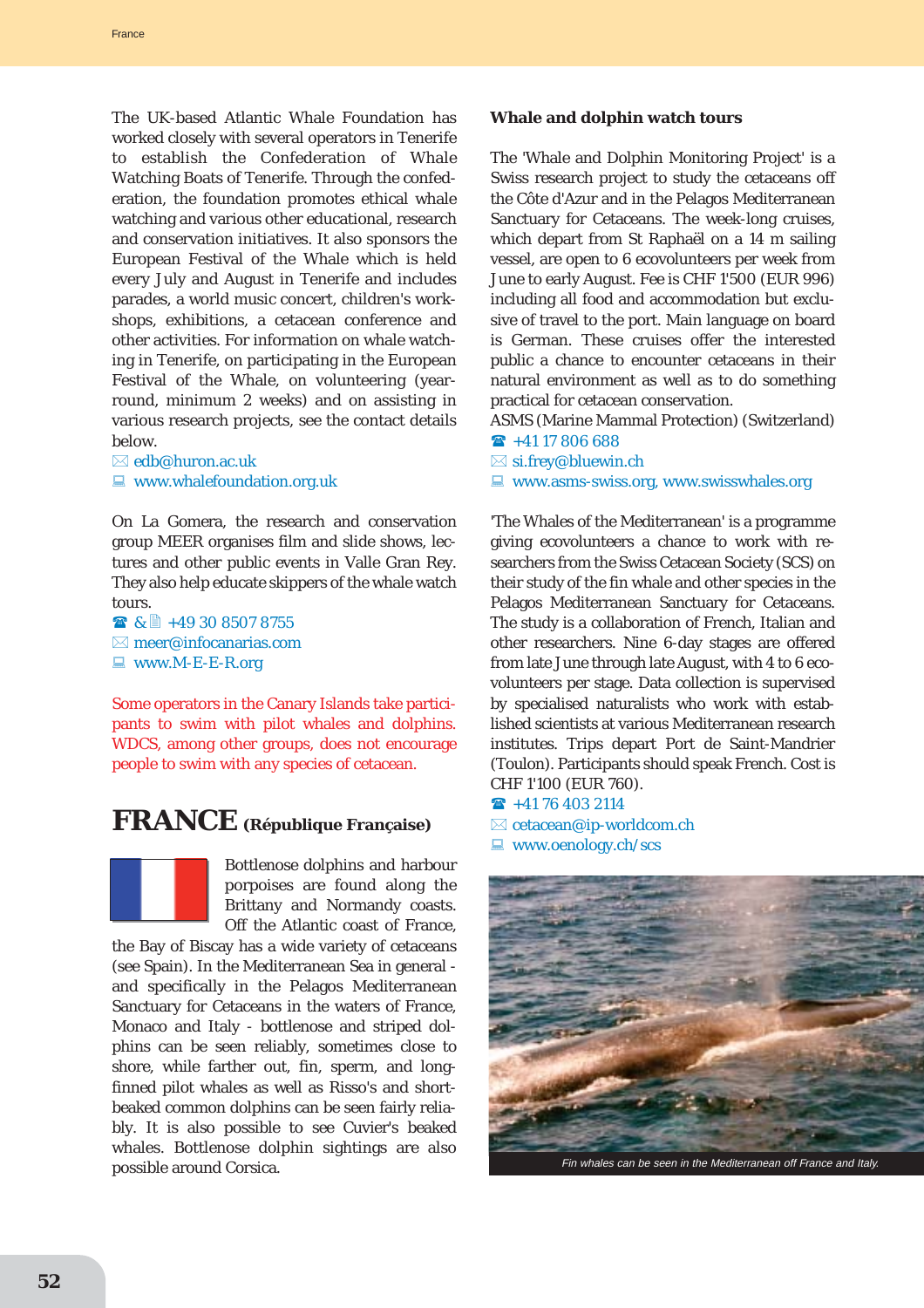The UK-based Atlantic Whale Foundation has worked closely with several operators in Tenerife to establish the Confederation of Whale Watching Boats of Tenerife. Through the confederation, the foundation promotes ethical whale watching and various other educational, research and conservation initiatives. It also sponsors the European Festival of the Whale which is held every July and August in Tenerife and includes parades, a world music concert, children's workshops, exhibitions, a cetacean conference and other activities. For information on whale watching in Tenerife, on participating in the European Festival of the Whale, on volunteering (yearround, minimum 2 weeks) and on assisting in various research projects, see the contact details below.

 $\boxtimes$  edb@huron.ac.uk  $\blacksquare$  www.whalefoundation.org.uk

On La Gomera, the research and conservation group MEER organises film and slide shows, lectures and other public events in Valle Gran Rey. They also help educate skippers of the whale watch tours.

 $\bullet$  &  $\uparrow$  +49 30 8507 8755  $\boxtimes$  meer@infocanarias.com  $\blacksquare$  www.M-E-E-R.org

Some operators in the Canary Islands take participants to swim with pilot whales and dolphins. WDCS, among other groups, does not encourage people to swim with any species of cetacean.

# **FRANCE (République Française)**



Bottlenose dolphins and harbour porpoises are found along the Brittany and Normandy coasts. Off the Atlantic coast of France,

the Bay of Biscay has a wide variety of cetaceans (see Spain). In the Mediterranean Sea in general and specifically in the Pelagos Mediterranean Sanctuary for Cetaceans in the waters of France, Monaco and Italy - bottlenose and striped dolphins can be seen reliably, sometimes close to shore, while farther out, fin, sperm, and longfinned pilot whales as well as Risso's and shortbeaked common dolphins can be seen fairly reliably. It is also possible to see Cuvier's beaked whales. Bottlenose dolphin sightings are also possible around Corsica.

# **Whale and dolphin watch tours**

The 'Whale and Dolphin Monitoring Project' is a Swiss research project to study the cetaceans off the Côte d'Azur and in the Pelagos Mediterranean Sanctuary for Cetaceans. The week-long cruises, which depart from St Raphaël on a 14 m sailing vessel, are open to 6 ecovolunteers per week from June to early August. Fee is CHF 1'500 (EUR 996) including all food and accommodation but exclusive of travel to the port. Main language on board is German. These cruises offer the interested public a chance to encounter cetaceans in their natural environment as well as to do something practical for cetacean conservation.

ASMS (Marine Mammal Protection) (Switzerland)  $\hat{ }$  +41 17 806 688

 $\boxtimes$  si.frey@bluewin.ch

 $\Box$  www.asms-swiss.org, www.swisswhales.org

'The Whales of the Mediterranean' is a programme giving ecovolunteers a chance to work with researchers from the Swiss Cetacean Society (SCS) on their study of the fin whale and other species in the Pelagos Mediterranean Sanctuary for Cetaceans. The study is a collaboration of French, Italian and other researchers. Nine 6-day stages are offered from late June through late August, with 4 to 6 ecovolunteers per stage. Data collection is supervised by specialised naturalists who work with established scientists at various Mediterranean research institutes. Trips depart Port de Saint-Mandrier (Toulon). Participants should speak French. Cost is CHF 1'100 (EUR 760).

 $\hat{ }$  +41 76 403 2114

 $\boxtimes$  cetacean@ip-worldcom.ch  $\Box$  www.oenology.ch/scs

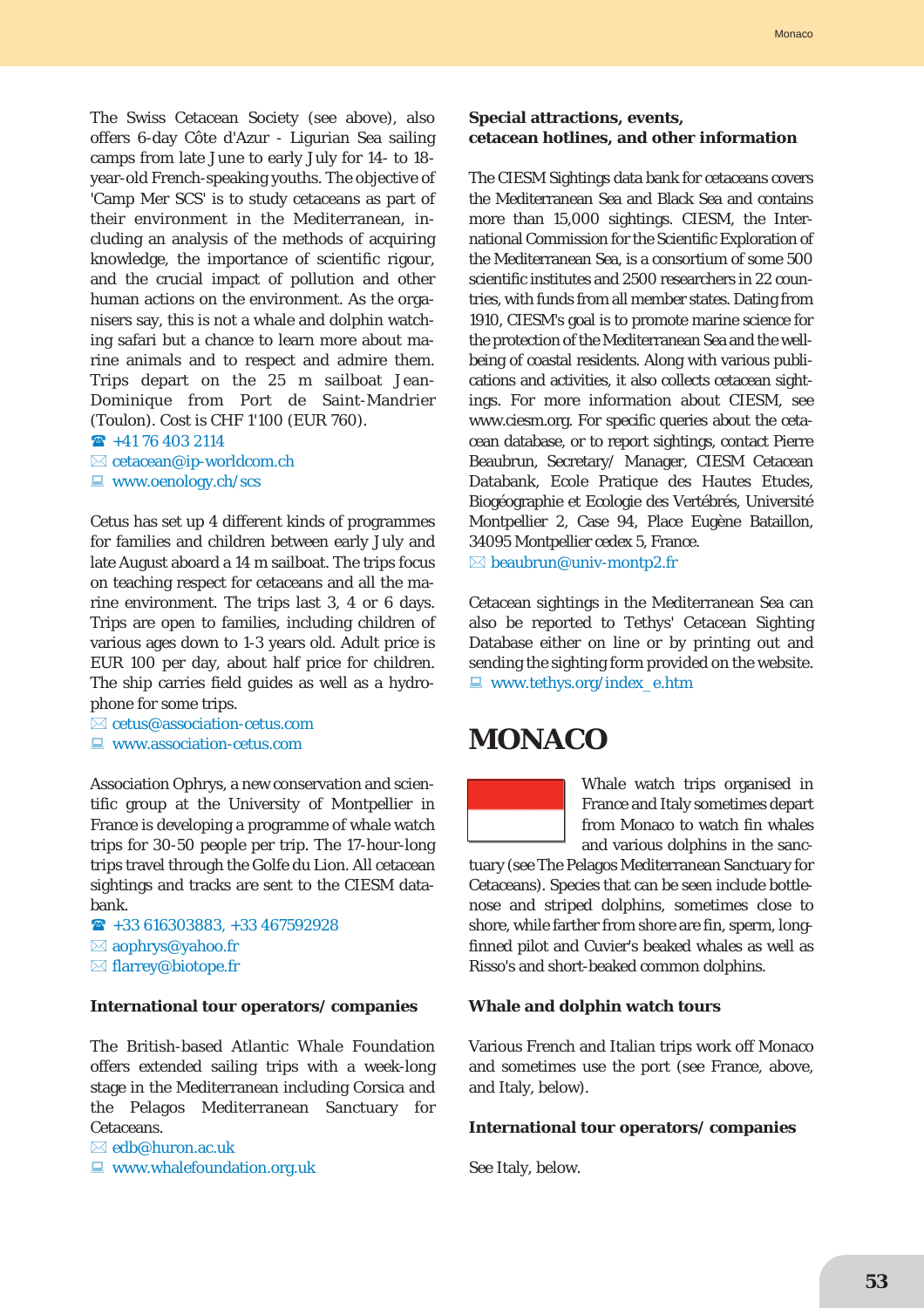The Swiss Cetacean Society (see above), also offers 6-day Côte d'Azur - Ligurian Sea sailing camps from late June to early July for 14- to 18 year-old French-speaking youths. The objective of 'Camp Mer SCS' is to study cetaceans as part of their environment in the Mediterranean, including an analysis of the methods of acquiring knowledge, the importance of scientific rigour, and the crucial impact of pollution and other human actions on the environment. As the organisers say, this is not a whale and dolphin watching safari but a chance to learn more about marine animals and to respect and admire them. Trips depart on the 25 m sailboat Jean-Dominique from Port de Saint-Mandrier (Toulon). Cost is CHF 1'100 (EUR 760).

 $\hat{ }$  +41 76 403 2114

- $\boxtimes$  cetacean@ip-worldcom.ch
- $\Box$  www.oenology.ch/scs

Cetus has set up 4 different kinds of programmes for families and children between early July and late August aboard a 14 m sailboat. The trips focus on teaching respect for cetaceans and all the marine environment. The trips last 3, 4 or 6 days. Trips are open to families, including children of various ages down to 1-3 years old. Adult price is EUR 100 per day, about half price for children. The ship carries field guides as well as a hydrophone for some trips.

 $\boxtimes$  cetus@association-cetus.com  $\Box$  www.association-cetus.com

Association Ophrys, a new conservation and scientific group at the University of Montpellier in France is developing a programme of whale watch trips for 30-50 people per trip. The 17-hour-long trips travel through the Golfe du Lion. All cetacean sightings and tracks are sent to the CIESM databank.

 $\textbf{R}$  +33 616303883, +33 467592928  $\boxtimes$  aophrys@yahoo.fr ⊠ flarrey@biotope.fr

#### **International tour operators/ companies**

The British-based Atlantic Whale Foundation offers extended sailing trips with a week-long stage in the Mediterranean including Corsica and the Pelagos Mediterranean Sanctuary for Cetaceans.

 $\boxtimes$  edb@huron.ac.uk

 $\Box$  www.whalefoundation.org.uk

#### **Special attractions, events, cetacean hotlines, and other information**

The CIESM Sightings data bank for cetaceans covers the Mediterranean Sea and Black Sea and contains more than 15,000 sightings. CIESM, the International Commission for the Scientific Exploration of the Mediterranean Sea, is a consortium of some 500 scientific institutes and 2500 researchers in 22 countries, with funds from all member states. Dating from 1910, CIESM's goal is to promote marine science for the protection of the Mediterranean Sea and the wellbeing of coastal residents. Along with various publications and activities, it also collects cetacean sightings. For more information about CIESM, see www.ciesm.org. For specific queries about the cetacean database, or to report sightings, contact Pierre Beaubrun, Secretary/ Manager, CIESM Cetacean Databank, Ecole Pratique des Hautes Etudes, Biogéographie et Ecologie des Vertébrés, Université Montpellier 2, Case 94, Place Eugène Bataillon, 34095 Montpellier cedex 5, France.  $\boxtimes$  beaubrun@univ-montp2.fr

Cetacean sightings in the Mediterranean Sea can also be reported to Tethys' Cetacean Sighting Database either on line or by printing out and sending the sighting form provided on the website.  $\Box$  www.tethys.org/index\_e.htm

# **MONACO**



Whale watch trips organised in France and Italy sometimes depart from Monaco to watch fin whales and various dolphins in the sanc-

tuary (see The Pelagos Mediterranean Sanctuary for Cetaceans). Species that can be seen include bottlenose and striped dolphins, sometimes close to shore, while farther from shore are fin, sperm, longfinned pilot and Cuvier's beaked whales as well as Risso's and short-beaked common dolphins.

#### **Whale and dolphin watch tours**

Various French and Italian trips work off Monaco and sometimes use the port (see France, above, and Italy, below).

#### **International tour operators/ companies**

See Italy, below.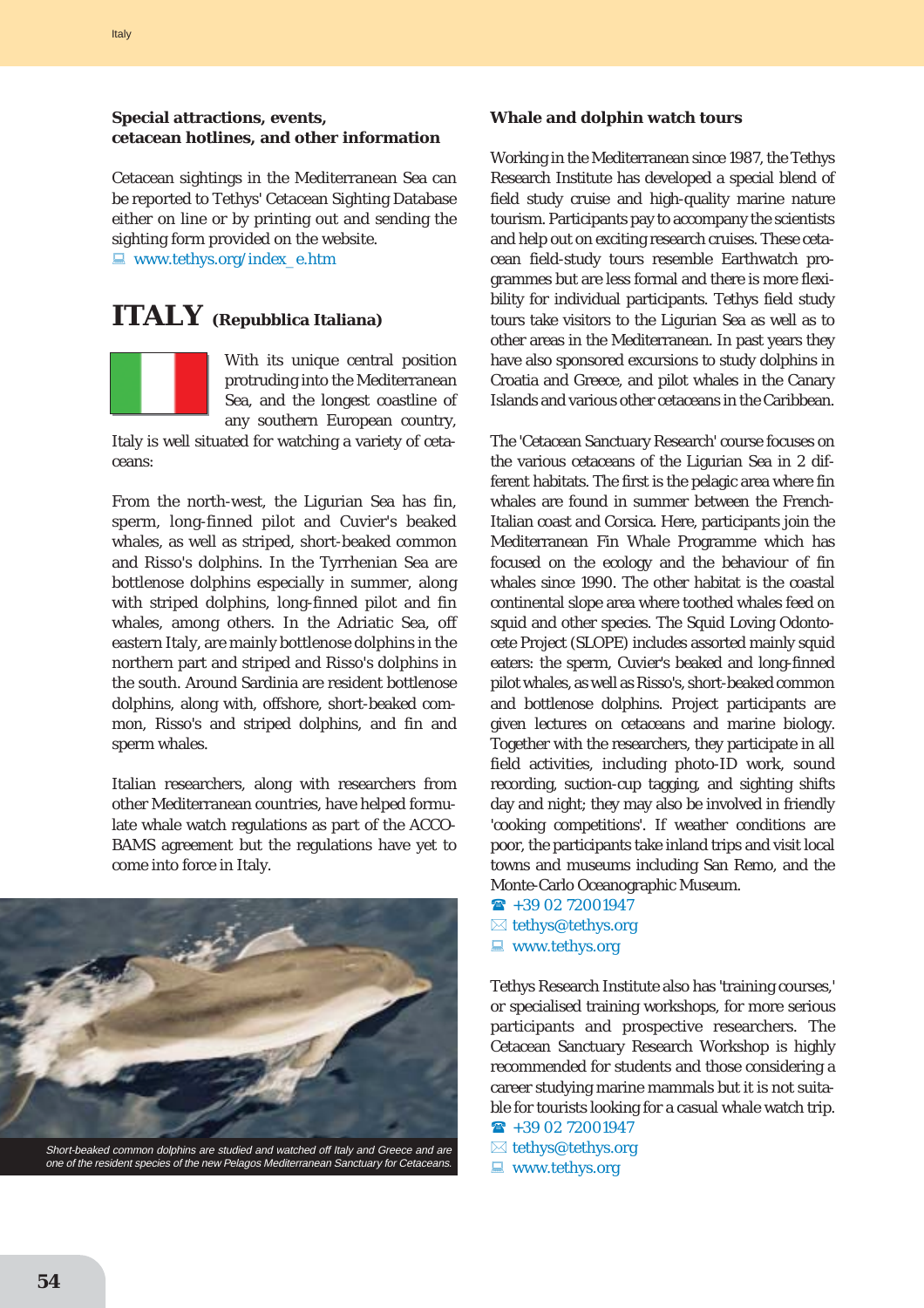# **Special attractions, events, cetacean hotlines, and other information**

Cetacean sightings in the Mediterranean Sea can be reported to Tethys' Cetacean Sighting Database either on line or by printing out and sending the sighting form provided on the website.

 $\Box$  www.tethys.org/index\_e.htm

# **ITALY (Repubblica Italiana)**



With its unique central position protruding into the Mediterranean Sea, and the longest coastline of any southern European country,

Italy is well situated for watching a variety of cetaceans:

From the north-west, the Ligurian Sea has fin, sperm, long-finned pilot and Cuvier's beaked whales, as well as striped, short-beaked common and Risso's dolphins. In the Tyrrhenian Sea are bottlenose dolphins especially in summer, along with striped dolphins, long-finned pilot and fin whales, among others. In the Adriatic Sea, off eastern Italy, are mainly bottlenose dolphins in the northern part and striped and Risso's dolphins in the south. Around Sardinia are resident bottlenose dolphins, along with, offshore, short-beaked common, Risso's and striped dolphins, and fin and sperm whales.

Italian researchers, along with researchers from other Mediterranean countries, have helped formulate whale watch regulations as part of the ACCO-BAMS agreement but the regulations have yet to come into force in Italy.



one of the resident species of the new Pelagos Mediterranean Sanctuary for Cetaceans.

# **Whale and dolphin watch tours**

Working in the Mediterranean since 1987, the Tethys Research Institute has developed a special blend of field study cruise and high-quality marine nature tourism. Participants pay to accompany the scientists and help out on exciting research cruises. These cetacean field-study tours resemble Earthwatch programmes but are less formal and there is more flexibility for individual participants. Tethys field study tours take visitors to the Ligurian Sea as well as to other areas in the Mediterranean. In past years they have also sponsored excursions to study dolphins in Croatia and Greece, and pilot whales in the Canary Islands and various other cetaceans in the Caribbean.

The 'Cetacean Sanctuary Research' course focuses on the various cetaceans of the Ligurian Sea in 2 different habitats. The first is the pelagic area where fin whales are found in summer between the French-Italian coast and Corsica. Here, participants join the Mediterranean Fin Whale Programme which has focused on the ecology and the behaviour of fin whales since 1990. The other habitat is the coastal continental slope area where toothed whales feed on squid and other species. The Squid Loving Odontocete Project (SLOPE) includes assorted mainly squid eaters: the sperm, Cuvier's beaked and long-finned pilot whales, as well as Risso's, short-beaked common and bottlenose dolphins. Project participants are given lectures on cetaceans and marine biology. Together with the researchers, they participate in all field activities, including photo-ID work, sound recording, suction-cup tagging, and sighting shifts day and night; they may also be involved in friendly 'cooking competitions'. If weather conditions are poor, the participants take inland trips and visit local towns and museums including San Remo, and the Monte-Carlo Oceanographic Museum.

 $\rightarrow$  +39 02 72001947  $\boxtimes$  tethys@tethys.org  $\blacksquare$  www.tethys.org

Tethys Research Institute also has 'training courses,' or specialised training workshops, for more serious participants and prospective researchers. The Cetacean Sanctuary Research Workshop is highly recommended for students and those considering a career studying marine mammals but it is not suitable for tourists looking for a casual whale watch trip.

- $\rightarrow$  +39 02 72001947
- $\boxtimes$  tethys@tethys.org
- $\blacksquare$  www.tethys.org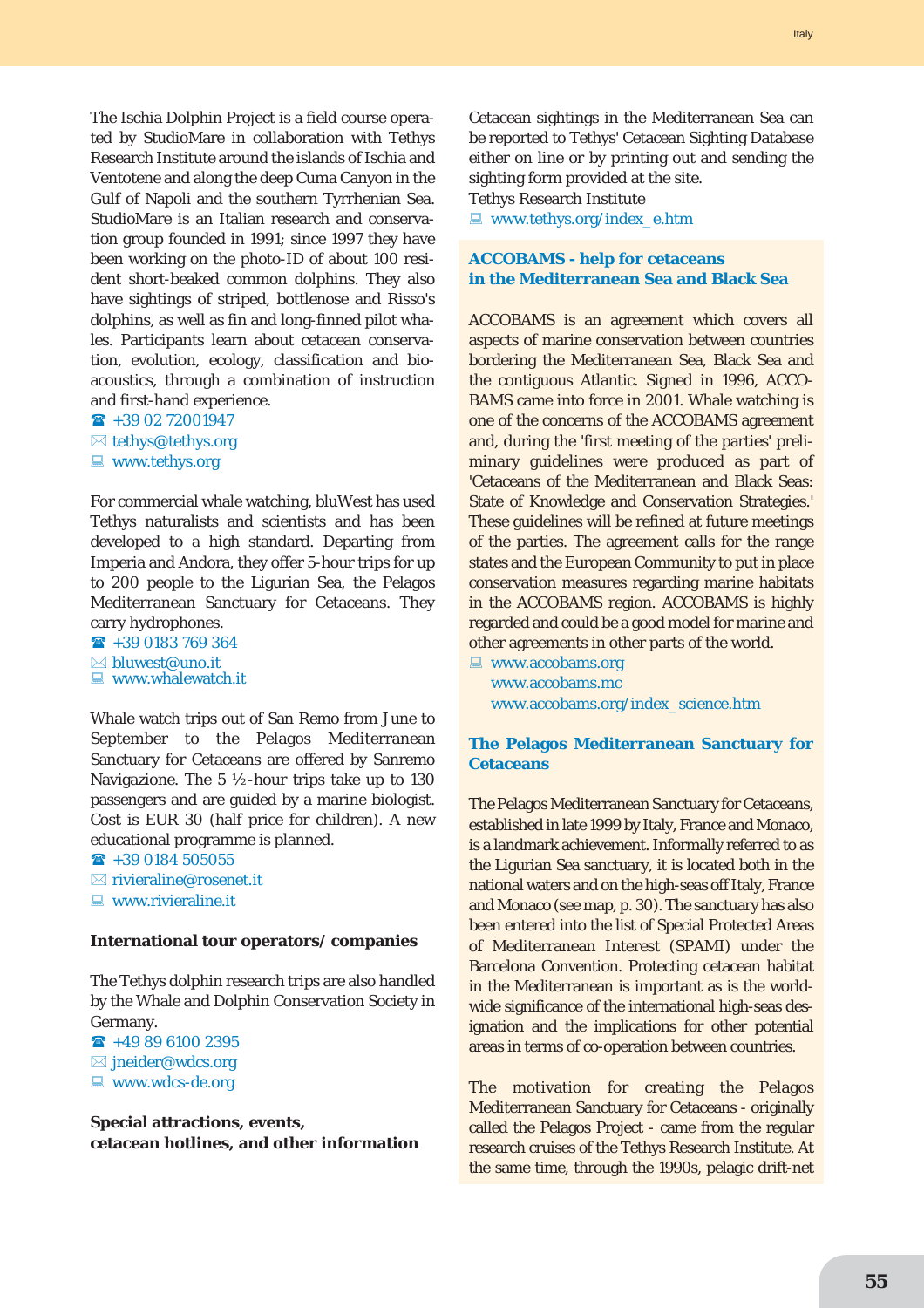The Ischia Dolphin Project is a field course operated by StudioMare in collaboration with Tethys Research Institute around the islands of Ischia and Ventotene and along the deep Cuma Canyon in the Gulf of Napoli and the southern Tyrrhenian Sea. StudioMare is an Italian research and conservation group founded in 1991; since 1997 they have been working on the photo-ID of about 100 resident short-beaked common dolphins. They also have sightings of striped, bottlenose and Risso's dolphins, as well as fin and long-finned pilot whales. Participants learn about cetacean conservation, evolution, ecology, classification and bioacoustics, through a combination of instruction and first-hand experience.

- $\rightarrow$  +39 02 72001947
- $\boxtimes$  tethys@tethys.org
- $\blacksquare$  www.tethys.org

For commercial whale watching, bluWest has used Tethys naturalists and scientists and has been developed to a high standard. Departing from Imperia and Andora, they offer 5-hour trips for up to 200 people to the Ligurian Sea, the Pelagos Mediterranean Sanctuary for Cetaceans. They carry hydrophones.

 $\textbf{R}$  +39 0183 769 364  $\boxtimes$  bluwest@uno.it  $\blacksquare$  www.whalewatch.it

Whale watch trips out of San Remo from June to September to the Pelagos Mediterranean Sanctuary for Cetaceans are offered by Sanremo Navigazione. The 5 ½-hour trips take up to 130 passengers and are guided by a marine biologist. Cost is EUR 30 (half price for children). A new educational programme is planned.

 $\rightarrow$  +39 0184 505055

- $\boxtimes$  rivieraline@rosenet.it
- $\Box$  www.rivieraline.it

#### **International tour operators/ companies**

The Tethys dolphin research trips are also handled by the Whale and Dolphin Conservation Society in Germany.

 $\rightarrow$  +49 89 6100 2395

- $\boxtimes$  jneider@wdcs.org
- $\blacksquare$  www.wdcs-de.org

**Special attractions, events, cetacean hotlines, and other information** Cetacean sightings in the Mediterranean Sea can be reported to Tethys' Cetacean Sighting Database either on line or by printing out and sending the sighting form provided at the site.

Tethys Research Institute

■ www.tethys.org/index\_e.htm

# **ACCOBAMS - help for cetaceans in the Mediterranean Sea and Black Sea**

ACCOBAMS is an agreement which covers all aspects of marine conservation between countries bordering the Mediterranean Sea, Black Sea and the contiguous Atlantic. Signed in 1996, ACCO-BAMS came into force in 2001. Whale watching is one of the concerns of the ACCOBAMS agreement and, during the 'first meeting of the parties' preliminary guidelines were produced as part of 'Cetaceans of the Mediterranean and Black Seas: State of Knowledge and Conservation Strategies.' These guidelines will be refined at future meetings of the parties. The agreement calls for the range states and the European Community to put in place conservation measures regarding marine habitats in the ACCOBAMS region. ACCOBAMS is highly regarded and could be a good model for marine and other agreements in other parts of the world.

 $\Box$  www.accobams.org www.accobams.mc www.accobams.org/index\_science.htm

### **The Pelagos Mediterranean Sanctuary for Cetaceans**

The Pelagos Mediterranean Sanctuary for Cetaceans, established in late 1999 by Italy, France and Monaco, is a landmark achievement. Informally referred to as the Ligurian Sea sanctuary, it is located both in the national waters and on the high-seas off Italy, France and Monaco (see map, p. 30). The sanctuary has also been entered into the list of Special Protected Areas of Mediterranean Interest (SPAMI) under the Barcelona Convention. Protecting cetacean habitat in the Mediterranean is important as is the worldwide significance of the international high-seas designation and the implications for other potential areas in terms of co-operation between countries.

The motivation for creating the Pelagos Mediterranean Sanctuary for Cetaceans - originally called the Pelagos Project - came from the regular research cruises of the Tethys Research Institute. At the same time, through the 1990s, pelagic drift-net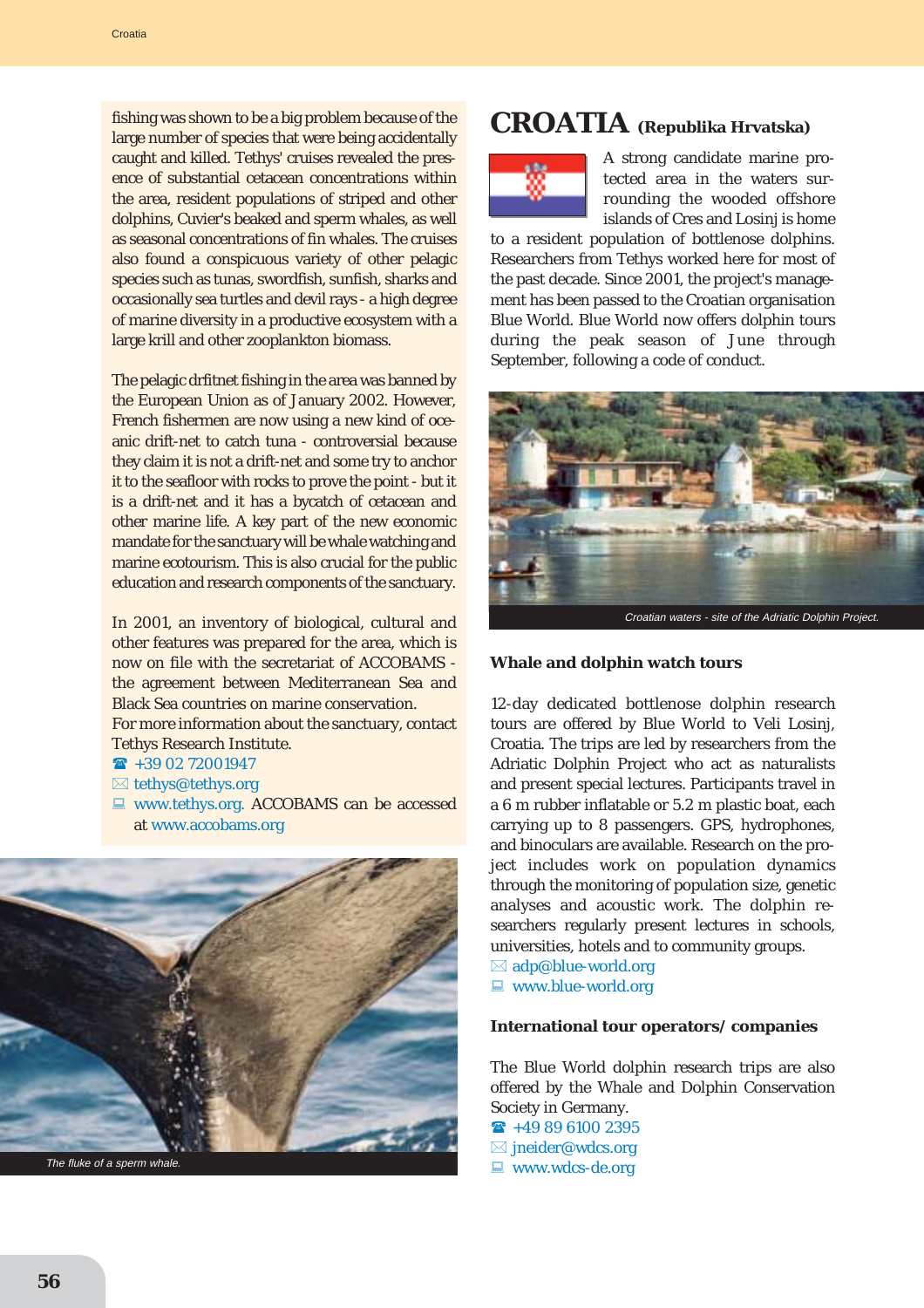fishing was shown to be a big problem because of the large number of species that were being accidentally caught and killed. Tethys' cruises revealed the presence of substantial cetacean concentrations within the area, resident populations of striped and other dolphins, Cuvier's beaked and sperm whales, as well as seasonal concentrations of fin whales. The cruises also found a conspicuous variety of other pelagic species such as tunas, swordfish, sunfish, sharks and occasionally sea turtles and devil rays - a high degree of marine diversity in a productive ecosystem with a large krill and other zooplankton biomass.

The pelagic drfitnet fishing in the area was banned by the European Union as of January 2002. However, French fishermen are now using a new kind of oceanic drift-net to catch tuna - controversial because they claim it is not a drift-net and some try to anchor it to the seafloor with rocks to prove the point - but it is a drift-net and it has a bycatch of cetacean and other marine life. A key part of the new economic mandate for the sanctuary will be whale watching and marine ecotourism. This is also crucial for the public education and research components of the sanctuary.

In 2001, an inventory of biological, cultural and other features was prepared for the area, which is now on file with the secretariat of ACCOBAMS the agreement between Mediterranean Sea and Black Sea countries on marine conservation. For more information about the sanctuary, contact Tethys Research Institute.

- $\rightarrow$  +39 02 72001947
- $\boxtimes$  tethys@tethys.org
- **E www.tethys.org. ACCOBAMS can be accessed** at www.accobams.org



# **CROATIA (Republika Hrvatska)**



A strong candidate marine protected area in the waters surrounding the wooded offshore islands of Cres and Losinj is home

to a resident population of bottlenose dolphins. Researchers from Tethys worked here for most of the past decade. Since 2001, the project's management has been passed to the Croatian organisation Blue World. Blue World now offers dolphin tours during the peak season of June through September, following a code of conduct.



### **Whale and dolphin watch tours**

12-day dedicated bottlenose dolphin research tours are offered by Blue World to Veli Losinj, Croatia. The trips are led by researchers from the Adriatic Dolphin Project who act as naturalists and present special lectures. Participants travel in a 6 m rubber inflatable or 5.2 m plastic boat, each carrying up to 8 passengers. GPS, hydrophones, and binoculars are available. Research on the project includes work on population dynamics through the monitoring of population size, genetic analyses and acoustic work. The dolphin researchers regularly present lectures in schools, universities, hotels and to community groups.

 $\boxtimes$  adp@blue-world.org  $\Box$  www.blue-world.org

#### **International tour operators/ companies**

The Blue World dolphin research trips are also offered by the Whale and Dolphin Conservation Society in Germany.

 $\rightarrow$  +49 89 6100 2395  $\boxtimes$  jneider@wdcs.org  $\blacksquare$  www.wdcs-de.org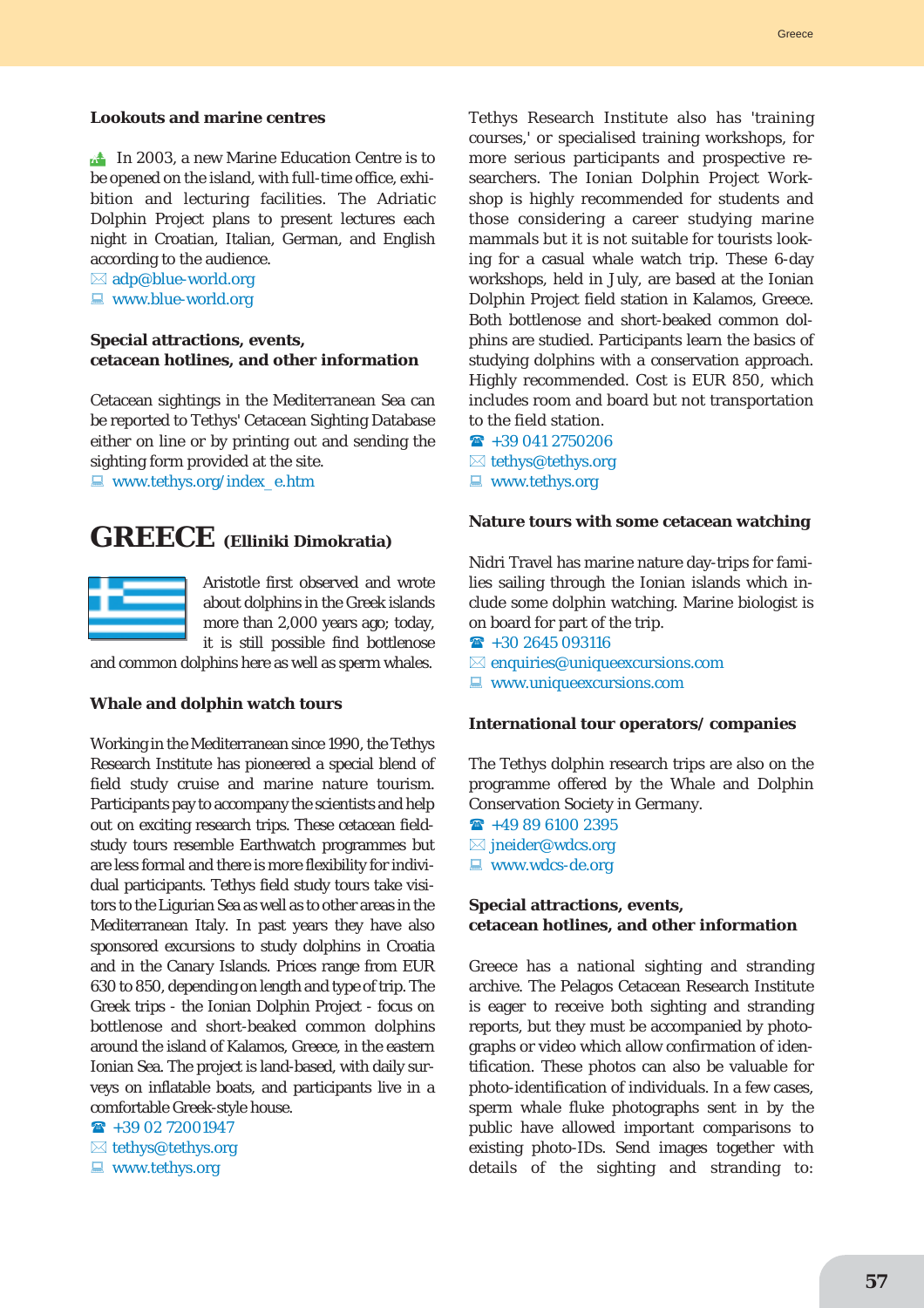#### **Lookouts and marine centres**

 $\mathbb{R}^*$  In 2003, a new Marine Education Centre is to be opened on the island, with full-time office, exhibition and lecturing facilities. The Adriatic Dolphin Project plans to present lectures each night in Croatian, Italian, German, and English according to the audience.

 $\boxtimes$  adp@blue-world.org

 $\Box$  www.blue-world.org

#### **Special attractions, events, cetacean hotlines, and other information**

Cetacean sightings in the Mediterranean Sea can be reported to Tethys' Cetacean Sighting Database either on line or by printing out and sending the sighting form provided at the site.

 $\Box$  www.tethys.org/index\_e.htm

# **GREECE (Elliniki Dimokratia)**



Aristotle first observed and wrote about dolphins in the Greek islands more than 2,000 years ago; today, it is still possible find bottlenose

and common dolphins here as well as sperm whales.

#### **Whale and dolphin watch tours**

Working in the Mediterranean since 1990, the Tethys Research Institute has pioneered a special blend of field study cruise and marine nature tourism. Participants pay to accompany the scientists and help out on exciting research trips. These cetacean fieldstudy tours resemble Earthwatch programmes but are less formal and there is more flexibility for individual participants. Tethys field study tours take visitors to the Ligurian Sea as well as to other areas in the Mediterranean Italy. In past years they have also sponsored excursions to study dolphins in Croatia and in the Canary Islands. Prices range from EUR 630 to 850, depending on length and type of trip. The Greek trips - the Ionian Dolphin Project - focus on bottlenose and short-beaked common dolphins around the island of Kalamos, Greece, in the eastern Ionian Sea. The project is land-based, with daily surveys on inflatable boats, and participants live in a comfortable Greek-style house.

 $\rightarrow$  +39 02 72001947

- $\boxtimes$  tethys@tethys.org
- $\blacksquare$  www.tethys.org

Tethys Research Institute also has 'training courses,' or specialised training workshops, for more serious participants and prospective researchers. The Ionian Dolphin Project Workshop is highly recommended for students and those considering a career studying marine mammals but it is not suitable for tourists looking for a casual whale watch trip. These 6-day workshops, held in July, are based at the Ionian Dolphin Project field station in Kalamos, Greece. Both bottlenose and short-beaked common dolphins are studied. Participants learn the basics of studying dolphins with a conservation approach. Highly recommended. Cost is EUR 850, which includes room and board but not transportation to the field station.

 $\rightarrow$  +39 041 2750206  $\boxtimes$  tethys@tethys.org  $\blacksquare$  www.tethys.org

#### **Nature tours with some cetacean watching**

Nidri Travel has marine nature day-trips for families sailing through the Ionian islands which include some dolphin watching. Marine biologist is on board for part of the trip.

 $\textbf{a}$  +30 2645 093116

 $\boxtimes$  enquiries@uniqueexcursions.com

 $\blacksquare$  www.uniqueexcursions.com

#### **International tour operators/ companies**

The Tethys dolphin research trips are also on the programme offered by the Whale and Dolphin Conservation Society in Germany.

- $\rightarrow$  +49 89 6100 2395
- $\boxtimes$  jneider@wdcs.org
- $\Box$  www.wdcs-de.org

#### **Special attractions, events, cetacean hotlines, and other information**

Greece has a national sighting and stranding archive. The Pelagos Cetacean Research Institute is eager to receive both sighting and stranding reports, but they must be accompanied by photographs or video which allow confirmation of identification. These photos can also be valuable for photo-identification of individuals. In a few cases, sperm whale fluke photographs sent in by the public have allowed important comparisons to existing photo-IDs. Send images together with details of the sighting and stranding to: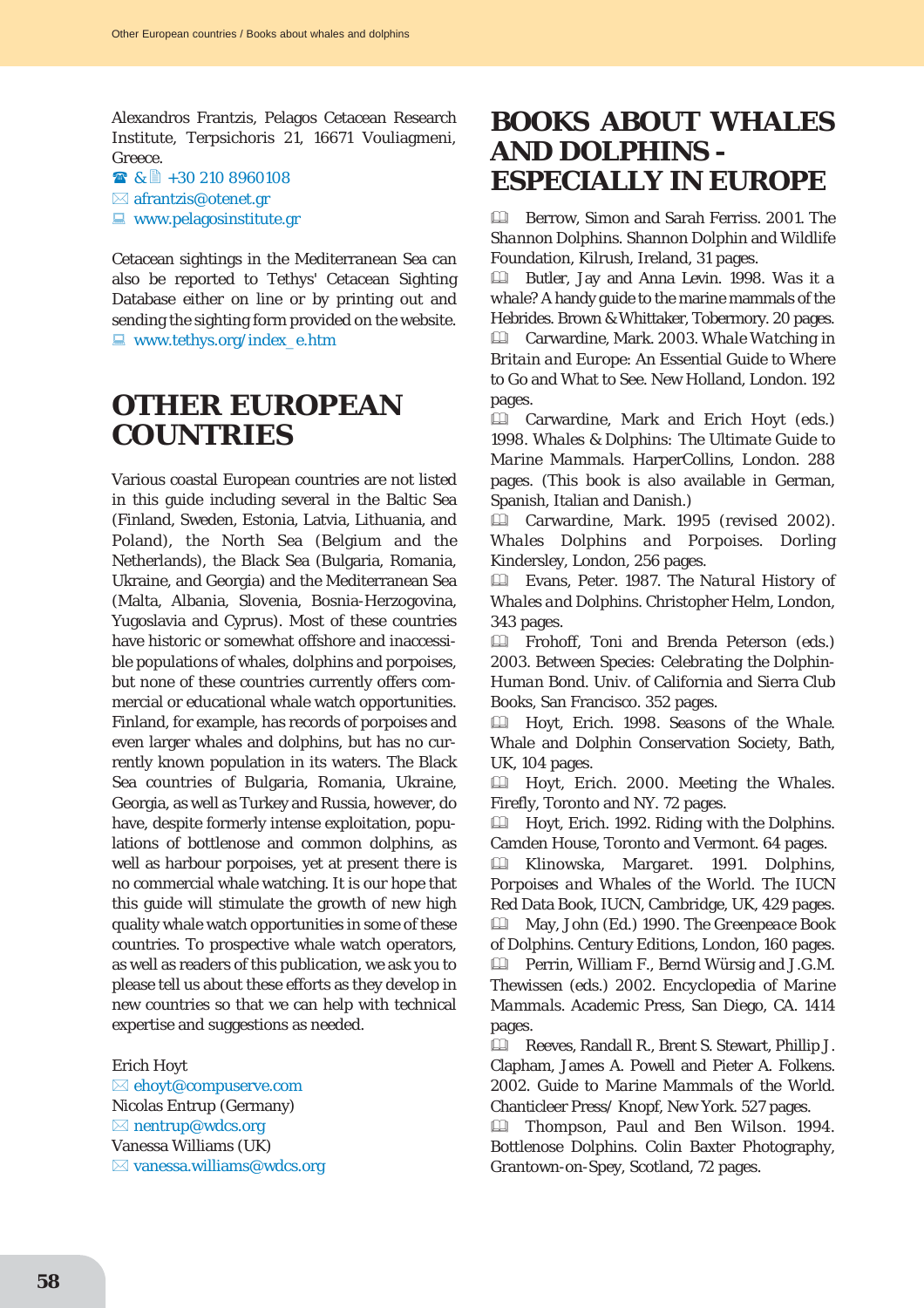Alexandros Frantzis, Pelagos Cetacean Research Institute, Terpsichoris 21, 16671 Vouliagmeni, Greece.

- $\bullet$  &  $\uparrow$  +30 210 8960108
- $\boxtimes$  afrantzis@otenet.gr
- $\blacksquare$  www.pelagosinstitute.gr

Cetacean sightings in the Mediterranean Sea can also be reported to Tethys' Cetacean Sighting Database either on line or by printing out and sending the sighting form provided on the website.  $\Box$  www.tethys.org/index\_e.htm

# **OTHER EUROPEAN COUNTRIES**

Various coastal European countries are not listed in this guide including several in the Baltic Sea (Finland, Sweden, Estonia, Latvia, Lithuania, and Poland), the North Sea (Belgium and the Netherlands), the Black Sea (Bulgaria, Romania, Ukraine, and Georgia) and the Mediterranean Sea (Malta, Albania, Slovenia, Bosnia-Herzogovina, Yugoslavia and Cyprus). Most of these countries have historic or somewhat offshore and inaccessible populations of whales, dolphins and porpoises, but none of these countries currently offers commercial or educational whale watch opportunities. Finland, for example, has records of porpoises and even larger whales and dolphins, but has no currently known population in its waters. The Black Sea countries of Bulgaria, Romania, Ukraine, Georgia, as well as Turkey and Russia, however, do have, despite formerly intense exploitation, populations of bottlenose and common dolphins, as well as harbour porpoises, yet at present there is no commercial whale watching. It is our hope that this guide will stimulate the growth of new high quality whale watch opportunities in some of these countries. To prospective whale watch operators, as well as readers of this publication, we ask you to please tell us about these efforts as they develop in new countries so that we can help with technical expertise and suggestions as needed.

#### Erich Hoyt

 $\boxtimes$  ehoyt@compuserve.com Nicolas Entrup (Germany)  $\boxtimes$  nentrup@wdcs.org Vanessa Williams (UK)  $\boxtimes$  vanessa.williams@wdcs.org

# **BOOKS ABOUT WHALES AND DOLPHINS - ESPECIALLY IN EUROPE**

& Berrow, Simon and Sarah Ferriss. 2001. *The Shannon Dolphins*. Shannon Dolphin and Wildlife Foundation, Kilrush, Ireland, 31 pages.

& Butler, Jay and Anna Levin. 1998. *Was it a whale?* A handy guide to the marine mammals of the Hebrides. Brown & Whittaker, Tobermory. 20 pages. & Carwardine, Mark. 2003. *Whale Watching in Britain and Europe*: An Essential Guide to Where to Go and What to See. New Holland, London. 192 pages.

& Carwardine, Mark and Erich Hoyt (eds.) 1998. *Whales & Dolphins: The Ultimate Guide to Marine Mammals*. HarperCollins, London. 288 pages. (This book is also available in German, Spanish, Italian and Danish.)

& Carwardine, Mark. 1995 (revised 2002). *Whales Dolphins and Porpoises*. Dorling Kindersley, London, 256 pages.

& Evans, Peter. 1987. *The Natural History of Whales and Dolphins*. Christopher Helm, London, 343 pages.

& Frohoff, Toni and Brenda Peterson (eds.) 2003. *Between Species: Celebrating the Dolphin-Human Bond*. Univ. of California and Sierra Club Books, San Francisco. 352 pages.

& Hoyt, Erich. 1998. *Seasons of the Whale*. Whale and Dolphin Conservation Society, Bath, UK, 104 pages.

& Hoyt, Erich. 2000. *Meeting the Whales*. Firefly, Toronto and NY. 72 pages.

& Hoyt, Erich. 1992. *Riding with the Dolphins*. Camden House, Toronto and Vermont. 64 pages.

& Klinowska, Margaret. 1991. *Dolphins, Porpoises and Whales of the World*. The IUCN Red Data Book, IUCN, Cambridge, UK, 429 pages. & May, John (Ed.) 1990. *The Greenpeace Book of Dolphins*. Century Editions, London, 160 pages. & Perrin, William F., Bernd Würsig and J.G.M. Thewissen (eds.) 2002. *Encyclopedia of Marine Mammals*. Academic Press, San Diego, CA. 1414 pages.

& Reeves, Randall R., Brent S. Stewart, Phillip J. Clapham, James A. Powell and Pieter A. Folkens. 2002. *Guide to Marine Mammals of the World*. Chanticleer Press/ Knopf, New York. 527 pages.

& Thompson, Paul and Ben Wilson. 1994. *Bottlenose Dolphins*. Colin Baxter Photography, Grantown-on-Spey, Scotland, 72 pages.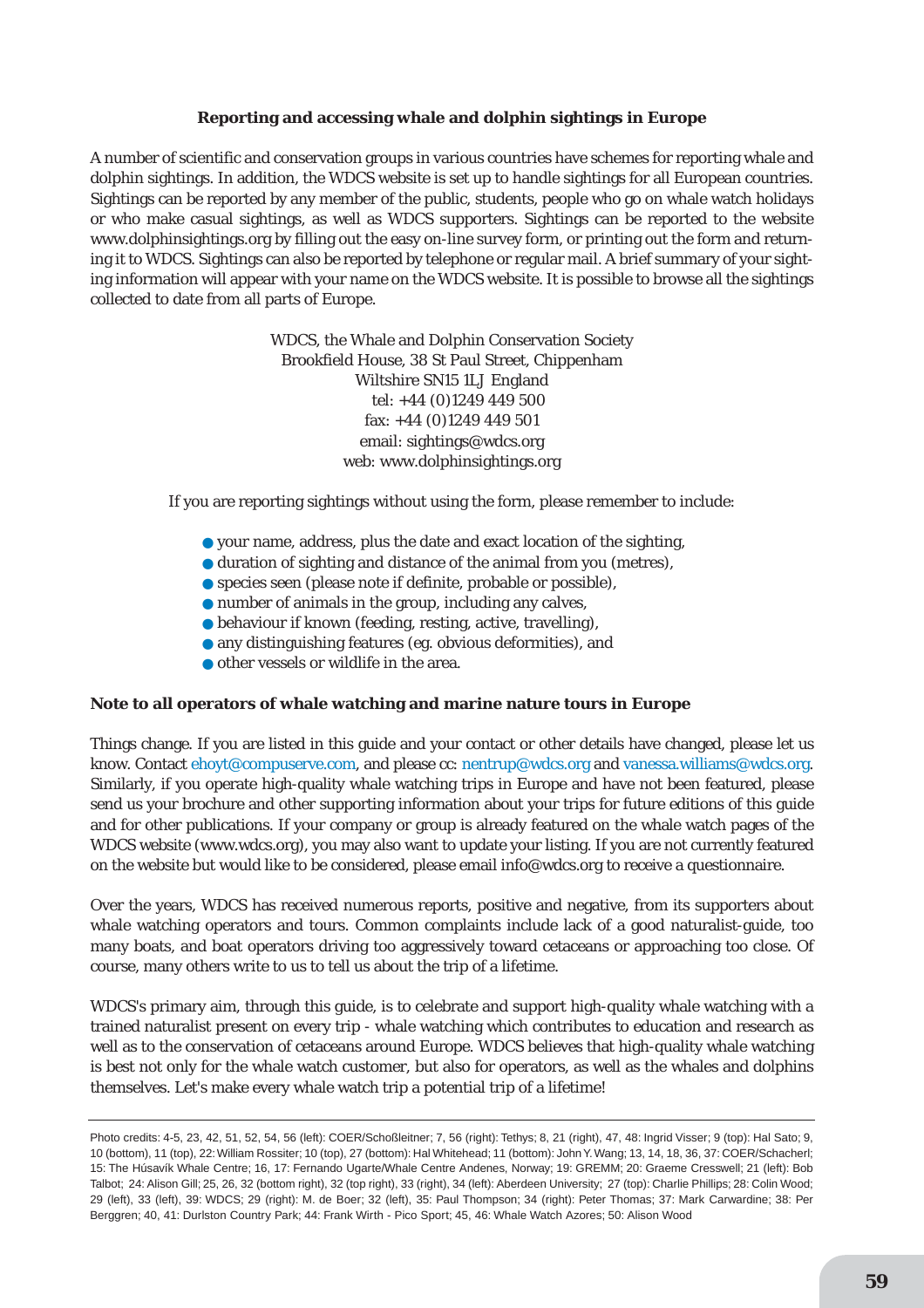# **Reporting and accessing whale and dolphin sightings in Europe**

A number of scientific and conservation groups in various countries have schemes for reporting whale and dolphin sightings. In addition, the WDCS website is set up to handle sightings for all European countries. Sightings can be reported by any member of the public, students, people who go on whale watch holidays or who make casual sightings, as well as WDCS supporters. Sightings can be reported to the website www.dolphinsightings.org by filling out the easy on-line survey form, or printing out the form and returning it to WDCS. Sightings can also be reported by telephone or regular mail. A brief summary of your sighting information will appear with your name on the WDCS website. It is possible to browse all the sightings collected to date from all parts of Europe.

> WDCS, the Whale and Dolphin Conservation Society Brookfield House, 38 St Paul Street, Chippenham Wiltshire SN15 1LJ England tel: +44 (0)1249 449 500 fax: +44 (0)1249 449 501 email: sightings@wdcs.org web: www.dolphinsightings.org

If you are reporting sightings without using the form, please remember to include:

- your name, address, plus the date and exact location of the sighting,
- duration of sighting and distance of the animal from you (metres),
- species seen (please note if definite, probable or possible),
- number of animals in the group, including any calves,
- behaviour if known (feeding, resting, active, travelling),
- any distinguishing features (eg. obvious deformities), and
- other vessels or wildlife in the area.

#### **Note to all operators of whale watching and marine nature tours in Europe**

Things change. If you are listed in this guide and your contact or other details have changed, please let us know. Contact ehoyt@compuserve.com, and please cc: nentrup@wdcs.org and vanessa.williams@wdcs.org. Similarly, if you operate high-quality whale watching trips in Europe and have not been featured, please send us your brochure and other supporting information about your trips for future editions of this guide and for other publications. If your company or group is already featured on the whale watch pages of the WDCS website (www.wdcs.org), you may also want to update your listing. If you are not currently featured on the website but would like to be considered, please email info@wdcs.org to receive a questionnaire.

Over the years, WDCS has received numerous reports, positive and negative, from its supporters about whale watching operators and tours. Common complaints include lack of a good naturalist-guide, too many boats, and boat operators driving too aggressively toward cetaceans or approaching too close. Of course, many others write to us to tell us about the trip of a lifetime.

WDCS's primary aim, through this guide, is to celebrate and support high-quality whale watching with a trained naturalist present on every trip - whale watching which contributes to education and research as well as to the conservation of cetaceans around Europe. WDCS believes that high-quality whale watching is best not only for the whale watch customer, but also for operators, as well as the whales and dolphins themselves. Let's make every whale watch trip a potential trip of a lifetime!

Photo credits: 4-5, 23, 42, 51, 52, 54, 56 (left): COER/Schoßleitner; 7, 56 (right): Tethys; 8, 21 (right), 47, 48: Ingrid Visser; 9 (top): Hal Sato; 9, 10 (bottom), 11 (top), 22:William Rossiter; 10 (top), 27 (bottom): Hal Whitehead; 11 (bottom): John Y.Wang; 13, 14, 18, 36, 37: COER/Schacherl; 15: The Húsavík Whale Centre; 16, 17: Fernando Ugarte/Whale Centre Andenes, Norway; 19: GREMM; 20: Graeme Cresswell; 21 (left): Bob Talbot; 24: Alison Gill; 25, 26, 32 (bottom right), 32 (top right), 33 (right), 34 (left): Aberdeen University; 27 (top): Charlie Phillips; 28: Colin Wood; 29 (left), 33 (left), 39: WDCS; 29 (right): M. de Boer; 32 (left), 35: Paul Thompson; 34 (right): Peter Thomas; 37: Mark Carwardine; 38: Per Berggren; 40, 41: Durlston Country Park; 44: Frank Wirth - Pico Sport; 45, 46: Whale Watch Azores; 50: Alison Wood